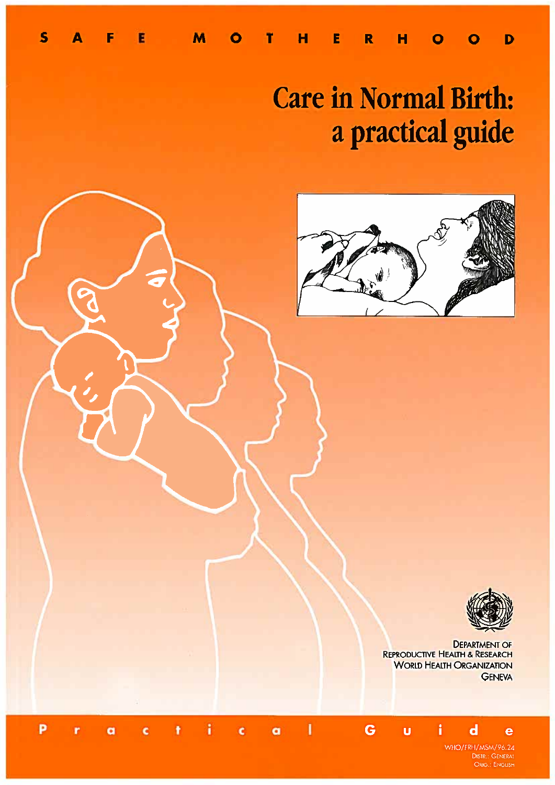

P

a

ċ

# **Care in Normal Birth:** a practical guide





**DEPARTMENT OF REPRODUCTIVE HEALTH & RESEARCH WORLD HEALTH ORGANIZATION GENEVA** 

ï

 $\cup$ 

T

 $\alpha$ 

î

c

G

WHO/FRH/MSM/96.24 ORIG.: ENGLISH

e

 $\mathbf d$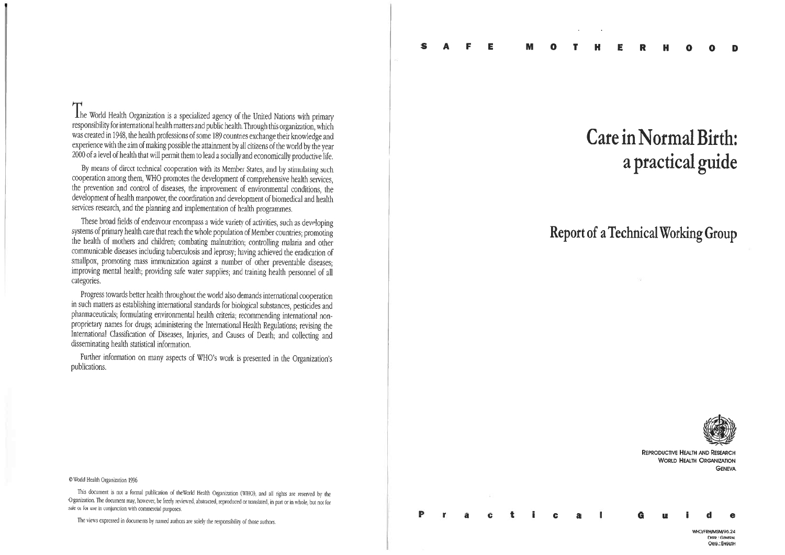The World Health Organization is a specialized agency of the United Nations with primary responsibility for international health matters and public health. Through this organization, which was created in 1948, the health professions of some 189 countries exchange their knowledge and experience with the aim of making possible the attainment by all citizens of the world by the year 2000 of a level of health that will permit them to lead a socially and economically productive life.

By means of direct technical cooperation with its Member States, and by stimulating such cooperation among them, WHO promotes the development of comprehensive health services, the prevention and control of diseases, the improvement of environmental conditions, the development of health manpower, the coordination and development of biomedical and health services research, and the planning and implementation of health programmes.

These broad fields of endeavour encompass a wide variety of activities, such as developing systems of primary health care that reach the whole population of Member countries; promoting the health of mothers and children; combating malnutrition; controlling malaria and other communicable diseases including tuberculosis and leprosy; having achieved the eradication of smallpox, promoting mass immunization against a number of other preventable diseases; improving mental health; providing safe water supplies; and training health personnel of all categories.

Progress towards better health throughout the world also demands international cooperation in such matters as establishing international standards for biological substances, pesticides and pharmaceuticals; formulating environmental health criteria; recommending international nonproprietary names for drugs; administering the International Health Regulations; revising the International Classification of Diseases, Injuries, and Causes of Death; and collecting and disseminating health statistical information.

Further information on many aspects of WHO's work is presented in the Organization's publications.

© World Health Organization 1996

This document is not a formal publication of the World Health Organization (WHO), and all rights are reserved by the Organization. The document may, however, be freely reviewed, abstracted, reproduced or translated, in part or in whole, but not for sale or for use in conjunction with commercial purposes.

The views expressed in documents by named authors are solely the responsibility of those authors.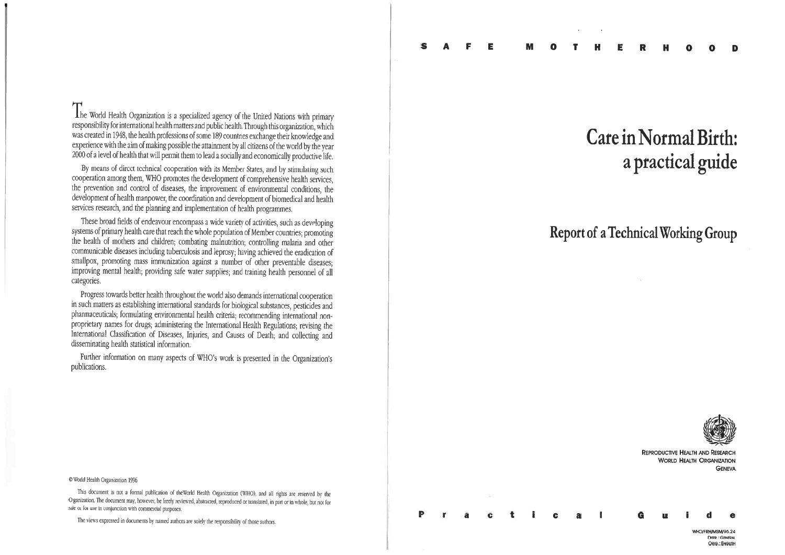|  |  | SAFE MOTHERHOOD |  |  |  |  |  |
|--|--|-----------------|--|--|--|--|--|
|  |  |                 |  |  |  |  |  |

 $\pm 1$ 

Ĉ

Я

i

C.

a

ı

Þ

 $\geq$ 

 $\bar{z}$ 

# **Care in Normal Birth:** a practical guide

**Report of a Technical Working Group** 

 $\frac{1}{2}$ 

G

 $\mathbf u$ 



**REPRODUCTIVE HEALTH AND RESEARCH WORLD HEALTH ORGANIZATION GENEVA** 

i

WHO/FRH/MSM/96.24 DISTR.: GENERAL ORIG.: ENGLISH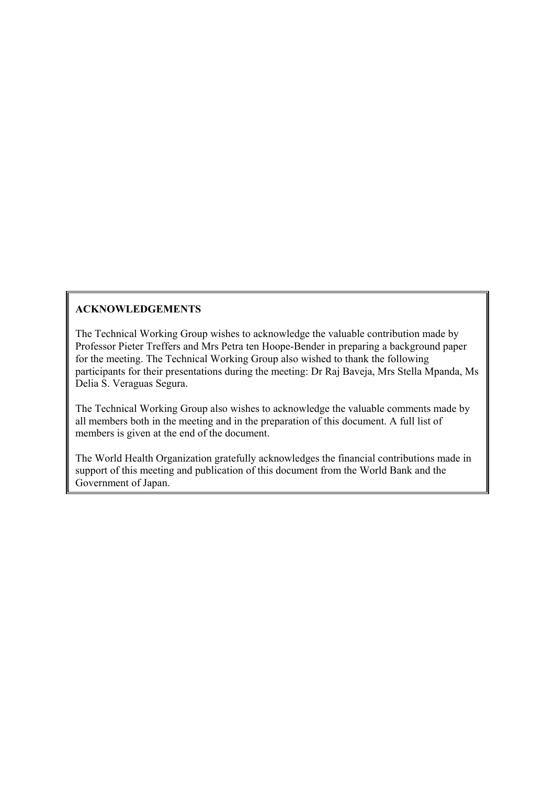# **ACKNOWLEDGEMENTS**

The Technical Working Group wishes to acknowledge the valuable contribution made by Professor Pieter Treffers and Mrs Petra ten Hoope-Bender in preparing a background paper for the meeting. The Technical Working Group also wished to thank the following participants for their presentations during the meeting: Dr Raj Baveja, Mrs Stella Mpanda, Ms Delia S. Veraguas Segura.

The Technical Working Group also wishes to acknowledge the valuable comments made by all members both in the meeting and in the preparation of this document. A full list of members is given at the end of the document.

The World Health Organization gratefully acknowledges the financial contributions made in support of this meeting and publication of this document from the World Bank and the Government of Japan.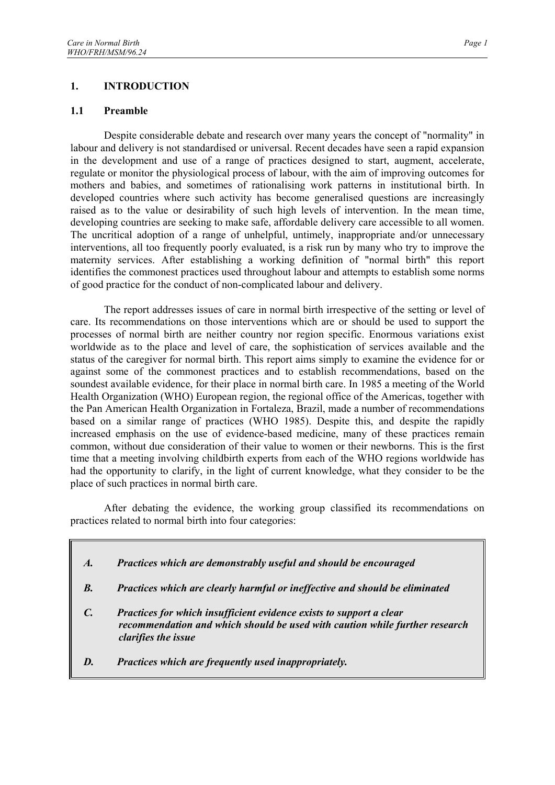## **1. INTRODUCTION**

#### **1.1 Preamble**

Despite considerable debate and research over many years the concept of "normality" in labour and delivery is not standardised or universal. Recent decades have seen a rapid expansion in the development and use of a range of practices designed to start, augment, accelerate, regulate or monitor the physiological process of labour, with the aim of improving outcomes for mothers and babies, and sometimes of rationalising work patterns in institutional birth. In developed countries where such activity has become generalised questions are increasingly raised as to the value or desirability of such high levels of intervention. In the mean time, developing countries are seeking to make safe, affordable delivery care accessible to all women. The uncritical adoption of a range of unhelpful, untimely, inappropriate and/or unnecessary interventions, all too frequently poorly evaluated, is a risk run by many who try to improve the maternity services. After establishing a working definition of "normal birth" this report identifies the commonest practices used throughout labour and attempts to establish some norms of good practice for the conduct of non-complicated labour and delivery.

The report addresses issues of care in normal birth irrespective of the setting or level of care. Its recommendations on those interventions which are or should be used to support the processes of normal birth are neither country nor region specific. Enormous variations exist worldwide as to the place and level of care, the sophistication of services available and the status of the caregiver for normal birth. This report aims simply to examine the evidence for or against some of the commonest practices and to establish recommendations, based on the soundest available evidence, for their place in normal birth care. In 1985 a meeting of the World Health Organization (WHO) European region, the regional office of the Americas, together with the Pan American Health Organization in Fortaleza, Brazil, made a number of recommendations based on a similar range of practices (WHO 1985). Despite this, and despite the rapidly increased emphasis on the use of evidence-based medicine, many of these practices remain common, without due consideration of their value to women or their newborns. This is the first time that a meeting involving childbirth experts from each of the WHO regions worldwide has had the opportunity to clarify, in the light of current knowledge, what they consider to be the place of such practices in normal birth care.

After debating the evidence, the working group classified its recommendations on practices related to normal birth into four categories:

| $\boldsymbol{A}$ . |  |  |  | Practices which are demonstrably useful and should be encouraged |
|--------------------|--|--|--|------------------------------------------------------------------|
|--------------------|--|--|--|------------------------------------------------------------------|

- *B. Practices which are clearly harmful or ineffective and should be eliminated*
- *C. Practices for which insufficient evidence exists to support a clear recommendation and which should be used with caution while further research clarifies the issue*
- *D. Practices which are frequently used inappropriately.*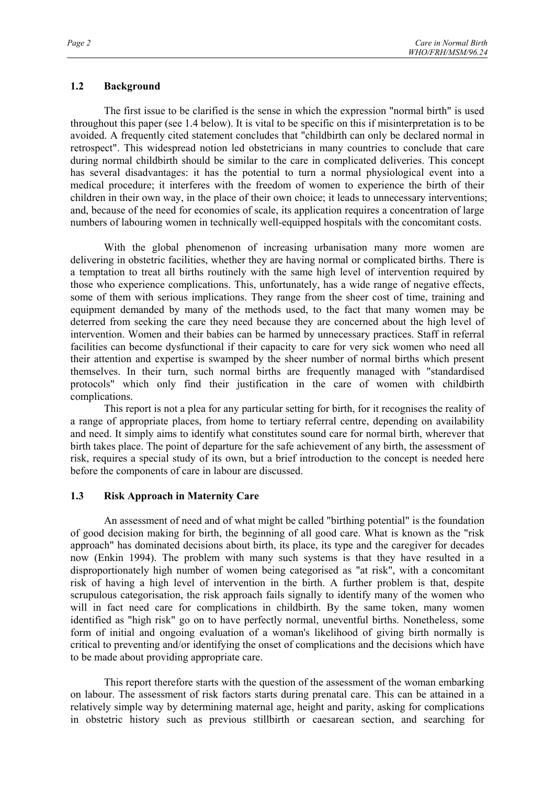## **1.2 Background**

The first issue to be clarified is the sense in which the expression "normal birth" is used throughout this paper (see 1.4 below). It is vital to be specific on this if misinterpretation is to be avoided. A frequently cited statement concludes that "childbirth can only be declared normal in retrospect". This widespread notion led obstetricians in many countries to conclude that care during normal childbirth should be similar to the care in complicated deliveries. This concept has several disadvantages: it has the potential to turn a normal physiological event into a medical procedure; it interferes with the freedom of women to experience the birth of their children in their own way, in the place of their own choice; it leads to unnecessary interventions; and, because of the need for economies of scale, its application requires a concentration of large numbers of labouring women in technically well-equipped hospitals with the concomitant costs.

With the global phenomenon of increasing urbanisation many more women are delivering in obstetric facilities, whether they are having normal or complicated births. There is a temptation to treat all births routinely with the same high level of intervention required by those who experience complications. This, unfortunately, has a wide range of negative effects, some of them with serious implications. They range from the sheer cost of time, training and equipment demanded by many of the methods used, to the fact that many women may be deterred from seeking the care they need because they are concerned about the high level of intervention. Women and their babies can be harmed by unnecessary practices. Staff in referral facilities can become dysfunctional if their capacity to care for very sick women who need all their attention and expertise is swamped by the sheer number of normal births which present themselves. In their turn, such normal births are frequently managed with "standardised protocols" which only find their justification in the care of women with childbirth complications.

This report is not a plea for any particular setting for birth, for it recognises the reality of a range of appropriate places, from home to tertiary referral centre, depending on availability and need. It simply aims to identify what constitutes sound care for normal birth, wherever that birth takes place. The point of departure for the safe achievement of any birth, the assessment of risk, requires a special study of its own, but a brief introduction to the concept is needed here before the components of care in labour are discussed.

### **1.3 Risk Approach in Maternity Care**

An assessment of need and of what might be called "birthing potential" is the foundation of good decision making for birth, the beginning of all good care. What is known as the "risk approach" has dominated decisions about birth, its place, its type and the caregiver for decades now (Enkin 1994). The problem with many such systems is that they have resulted in a disproportionately high number of women being categorised as "at risk", with a concomitant risk of having a high level of intervention in the birth. A further problem is that, despite scrupulous categorisation, the risk approach fails signally to identify many of the women who will in fact need care for complications in childbirth. By the same token, many women identified as "high risk" go on to have perfectly normal, uneventful births. Nonetheless, some form of initial and ongoing evaluation of a woman's likelihood of giving birth normally is critical to preventing and/or identifying the onset of complications and the decisions which have to be made about providing appropriate care.

This report therefore starts with the question of the assessment of the woman embarking on labour. The assessment of risk factors starts during prenatal care. This can be attained in a relatively simple way by determining maternal age, height and parity, asking for complications in obstetric history such as previous stillbirth or caesarean section, and searching for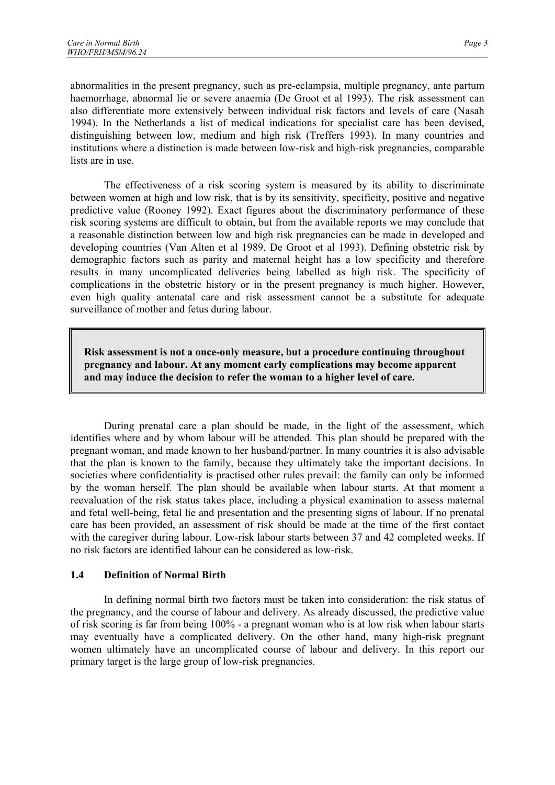abnormalities in the present pregnancy, such as pre-eclampsia, multiple pregnancy, ante partum haemorrhage, abnormal lie or severe anaemia (De Groot et al 1993). The risk assessment can also differentiate more extensively between individual risk factors and levels of care (Nasah 1994). In the Netherlands a list of medical indications for specialist care has been devised, distinguishing between low, medium and high risk (Treffers 1993). In many countries and institutions where a distinction is made between low-risk and high-risk pregnancies, comparable lists are in use.

The effectiveness of a risk scoring system is measured by its ability to discriminate between women at high and low risk, that is by its sensitivity, specificity, positive and negative predictive value (Rooney 1992). Exact figures about the discriminatory performance of these risk scoring systems are difficult to obtain, but from the available reports we may conclude that a reasonable distinction between low and high risk pregnancies can be made in developed and developing countries (Van Alten et al 1989, De Groot et al 1993). Defining obstetric risk by demographic factors such as parity and maternal height has a low specificity and therefore results in many uncomplicated deliveries being labelled as high risk. The specificity of complications in the obstetric history or in the present pregnancy is much higher. However, even high quality antenatal care and risk assessment cannot be a substitute for adequate surveillance of mother and fetus during labour.

**Risk assessment is not a once-only measure, but a procedure continuing throughout pregnancy and labour. At any moment early complications may become apparent and may induce the decision to refer the woman to a higher level of care.**

During prenatal care a plan should be made, in the light of the assessment, which identifies where and by whom labour will be attended. This plan should be prepared with the pregnant woman, and made known to her husband/partner. In many countries it is also advisable that the plan is known to the family, because they ultimately take the important decisions. In societies where confidentiality is practised other rules prevail: the family can only be informed by the woman herself. The plan should be available when labour starts. At that moment a reevaluation of the risk status takes place, including a physical examination to assess maternal and fetal well-being, fetal lie and presentation and the presenting signs of labour. If no prenatal care has been provided, an assessment of risk should be made at the time of the first contact with the caregiver during labour. Low-risk labour starts between 37 and 42 completed weeks. If no risk factors are identified labour can be considered as low-risk.

# **1.4 Definition of Normal Birth**

In defining normal birth two factors must be taken into consideration: the risk status of the pregnancy, and the course of labour and delivery. As already discussed, the predictive value of risk scoring is far from being 100% - a pregnant woman who is at low risk when labour starts may eventually have a complicated delivery. On the other hand, many high-risk pregnant women ultimately have an uncomplicated course of labour and delivery. In this report our primary target is the large group of low-risk pregnancies.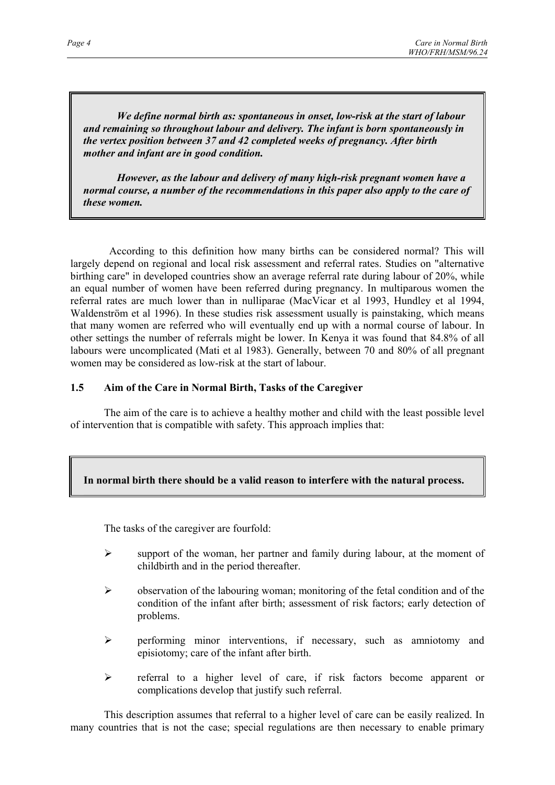*We define normal birth as: spontaneous in onset, low-risk at the start of labour and remaining so throughout labour and delivery. The infant is born spontaneously in the vertex position between 37 and 42 completed weeks of pregnancy. After birth mother and infant are in good condition.* 

*However, as the labour and delivery of many high-risk pregnant women have a normal course, a number of the recommendations in this paper also apply to the care of these women.*

 According to this definition how many births can be considered normal? This will largely depend on regional and local risk assessment and referral rates. Studies on "alternative birthing care" in developed countries show an average referral rate during labour of 20%, while an equal number of women have been referred during pregnancy. In multiparous women the referral rates are much lower than in nulliparae (MacVicar et al 1993, Hundley et al 1994, Waldenström et al 1996). In these studies risk assessment usually is painstaking, which means that many women are referred who will eventually end up with a normal course of labour. In other settings the number of referrals might be lower. In Kenya it was found that 84.8% of all labours were uncomplicated (Mati et al 1983). Generally, between 70 and 80% of all pregnant women may be considered as low-risk at the start of labour.

## **1.5 Aim of the Care in Normal Birth, Tasks of the Caregiver**

The aim of the care is to achieve a healthy mother and child with the least possible level of intervention that is compatible with safety. This approach implies that:

## **In normal birth there should be a valid reason to interfere with the natural process.**

The tasks of the caregiver are fourfold:

- $\triangleright$  support of the woman, her partner and family during labour, at the moment of childbirth and in the period thereafter.
- $\triangleright$  observation of the labouring woman; monitoring of the fetal condition and of the condition of the infant after birth; assessment of risk factors; early detection of problems.
- ¾ performing minor interventions, if necessary, such as amniotomy and episiotomy; care of the infant after birth.
- ¾ referral to a higher level of care, if risk factors become apparent or complications develop that justify such referral.

This description assumes that referral to a higher level of care can be easily realized. In many countries that is not the case; special regulations are then necessary to enable primary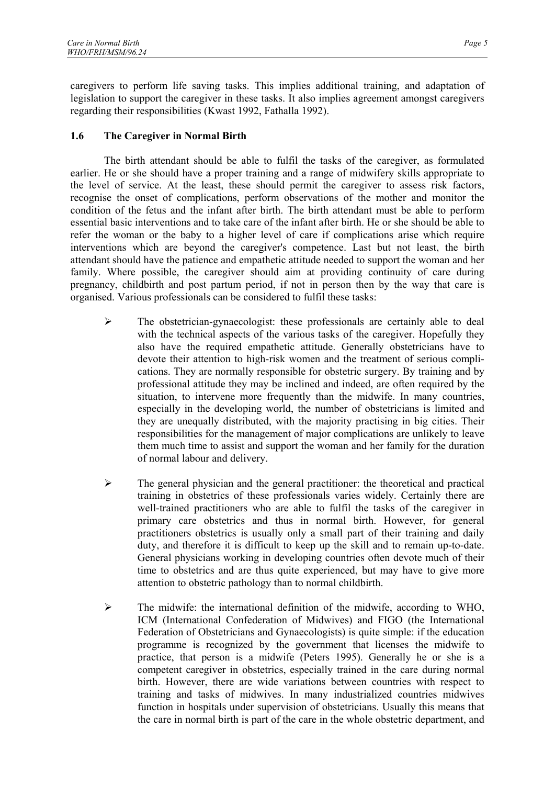caregivers to perform life saving tasks. This implies additional training, and adaptation of legislation to support the caregiver in these tasks. It also implies agreement amongst caregivers regarding their responsibilities (Kwast 1992, Fathalla 1992).

## **1.6 The Caregiver in Normal Birth**

The birth attendant should be able to fulfil the tasks of the caregiver, as formulated earlier. He or she should have a proper training and a range of midwifery skills appropriate to the level of service. At the least, these should permit the caregiver to assess risk factors, recognise the onset of complications, perform observations of the mother and monitor the condition of the fetus and the infant after birth. The birth attendant must be able to perform essential basic interventions and to take care of the infant after birth. He or she should be able to refer the woman or the baby to a higher level of care if complications arise which require interventions which are beyond the caregiver's competence. Last but not least, the birth attendant should have the patience and empathetic attitude needed to support the woman and her family. Where possible, the caregiver should aim at providing continuity of care during pregnancy, childbirth and post partum period, if not in person then by the way that care is organised. Various professionals can be considered to fulfil these tasks:

- $\triangleright$  The obstetrician-gynaecologist: these professionals are certainly able to deal with the technical aspects of the various tasks of the caregiver. Hopefully they also have the required empathetic attitude. Generally obstetricians have to devote their attention to high-risk women and the treatment of serious complications. They are normally responsible for obstetric surgery. By training and by professional attitude they may be inclined and indeed, are often required by the situation, to intervene more frequently than the midwife. In many countries, especially in the developing world, the number of obstetricians is limited and they are unequally distributed, with the majority practising in big cities. Their responsibilities for the management of major complications are unlikely to leave them much time to assist and support the woman and her family for the duration of normal labour and delivery.
- $\triangleright$  The general physician and the general practitioner: the theoretical and practical training in obstetrics of these professionals varies widely. Certainly there are well-trained practitioners who are able to fulfil the tasks of the caregiver in primary care obstetrics and thus in normal birth. However, for general practitioners obstetrics is usually only a small part of their training and daily duty, and therefore it is difficult to keep up the skill and to remain up-to-date. General physicians working in developing countries often devote much of their time to obstetrics and are thus quite experienced, but may have to give more attention to obstetric pathology than to normal childbirth.
- $\triangleright$  The midwife: the international definition of the midwife, according to WHO, ICM (International Confederation of Midwives) and FIGO (the International Federation of Obstetricians and Gynaecologists) is quite simple: if the education programme is recognized by the government that licenses the midwife to practice, that person is a midwife (Peters 1995). Generally he or she is a competent caregiver in obstetrics, especially trained in the care during normal birth. However, there are wide variations between countries with respect to training and tasks of midwives. In many industrialized countries midwives function in hospitals under supervision of obstetricians. Usually this means that the care in normal birth is part of the care in the whole obstetric department, and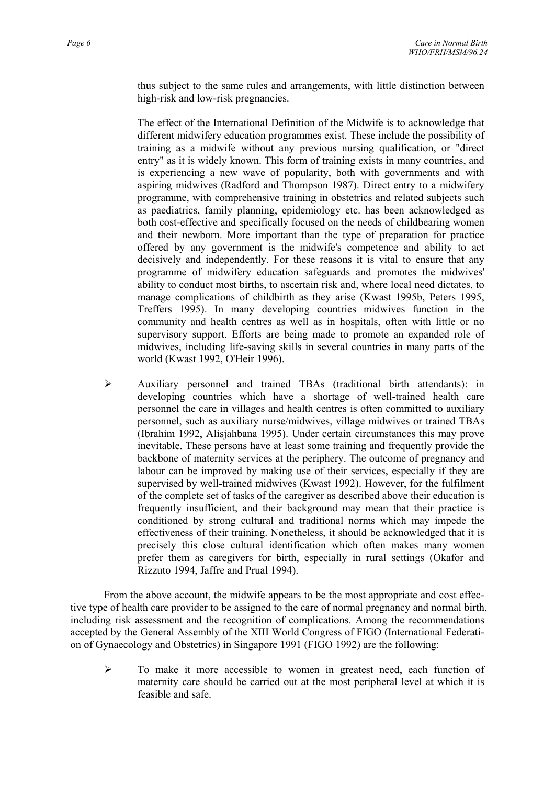thus subject to the same rules and arrangements, with little distinction between high-risk and low-risk pregnancies.

The effect of the International Definition of the Midwife is to acknowledge that different midwifery education programmes exist. These include the possibility of training as a midwife without any previous nursing qualification, or "direct entry" as it is widely known. This form of training exists in many countries, and is experiencing a new wave of popularity, both with governments and with aspiring midwives (Radford and Thompson 1987). Direct entry to a midwifery programme, with comprehensive training in obstetrics and related subjects such as paediatrics, family planning, epidemiology etc. has been acknowledged as both cost-effective and specifically focused on the needs of childbearing women and their newborn. More important than the type of preparation for practice offered by any government is the midwife's competence and ability to act decisively and independently. For these reasons it is vital to ensure that any programme of midwifery education safeguards and promotes the midwives' ability to conduct most births, to ascertain risk and, where local need dictates, to manage complications of childbirth as they arise (Kwast 1995b, Peters 1995, Treffers 1995). In many developing countries midwives function in the community and health centres as well as in hospitals, often with little or no supervisory support. Efforts are being made to promote an expanded role of midwives, including life-saving skills in several countries in many parts of the world (Kwast 1992, O'Heir 1996).

¾ Auxiliary personnel and trained TBAs (traditional birth attendants): in developing countries which have a shortage of well-trained health care personnel the care in villages and health centres is often committed to auxiliary personnel, such as auxiliary nurse/midwives, village midwives or trained TBAs (Ibrahim 1992, Alisjahbana 1995). Under certain circumstances this may prove inevitable. These persons have at least some training and frequently provide the backbone of maternity services at the periphery. The outcome of pregnancy and labour can be improved by making use of their services, especially if they are supervised by well-trained midwives (Kwast 1992). However, for the fulfilment of the complete set of tasks of the caregiver as described above their education is frequently insufficient, and their background may mean that their practice is conditioned by strong cultural and traditional norms which may impede the effectiveness of their training. Nonetheless, it should be acknowledged that it is precisely this close cultural identification which often makes many women prefer them as caregivers for birth, especially in rural settings (Okafor and Rizzuto 1994, Jaffre and Prual 1994).

From the above account, the midwife appears to be the most appropriate and cost effective type of health care provider to be assigned to the care of normal pregnancy and normal birth, including risk assessment and the recognition of complications. Among the recommendations accepted by the General Assembly of the XIII World Congress of FIGO (International Federation of Gynaecology and Obstetrics) in Singapore 1991 (FIGO 1992) are the following:

 $\triangleright$  To make it more accessible to women in greatest need, each function of maternity care should be carried out at the most peripheral level at which it is feasible and safe.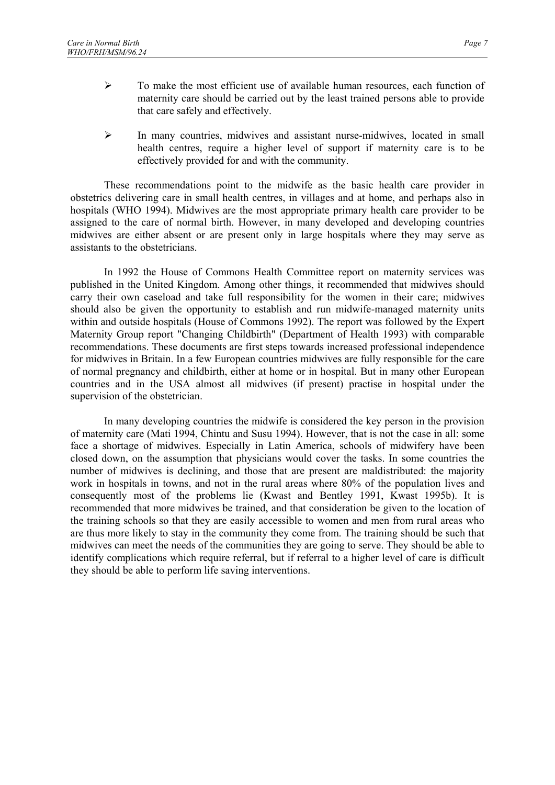- $\triangleright$  To make the most efficient use of available human resources, each function of maternity care should be carried out by the least trained persons able to provide that care safely and effectively.
- ¾ In many countries, midwives and assistant nurse-midwives, located in small health centres, require a higher level of support if maternity care is to be effectively provided for and with the community.

These recommendations point to the midwife as the basic health care provider in obstetrics delivering care in small health centres, in villages and at home, and perhaps also in hospitals (WHO 1994). Midwives are the most appropriate primary health care provider to be assigned to the care of normal birth. However, in many developed and developing countries midwives are either absent or are present only in large hospitals where they may serve as assistants to the obstetricians.

In 1992 the House of Commons Health Committee report on maternity services was published in the United Kingdom. Among other things, it recommended that midwives should carry their own caseload and take full responsibility for the women in their care; midwives should also be given the opportunity to establish and run midwife-managed maternity units within and outside hospitals (House of Commons 1992). The report was followed by the Expert Maternity Group report "Changing Childbirth" (Department of Health 1993) with comparable recommendations. These documents are first steps towards increased professional independence for midwives in Britain. In a few European countries midwives are fully responsible for the care of normal pregnancy and childbirth, either at home or in hospital. But in many other European countries and in the USA almost all midwives (if present) practise in hospital under the supervision of the obstetrician.

In many developing countries the midwife is considered the key person in the provision of maternity care (Mati 1994, Chintu and Susu 1994). However, that is not the case in all: some face a shortage of midwives. Especially in Latin America, schools of midwifery have been closed down, on the assumption that physicians would cover the tasks. In some countries the number of midwives is declining, and those that are present are maldistributed: the majority work in hospitals in towns, and not in the rural areas where 80% of the population lives and consequently most of the problems lie (Kwast and Bentley 1991, Kwast 1995b). It is recommended that more midwives be trained, and that consideration be given to the location of the training schools so that they are easily accessible to women and men from rural areas who are thus more likely to stay in the community they come from. The training should be such that midwives can meet the needs of the communities they are going to serve. They should be able to identify complications which require referral, but if referral to a higher level of care is difficult they should be able to perform life saving interventions.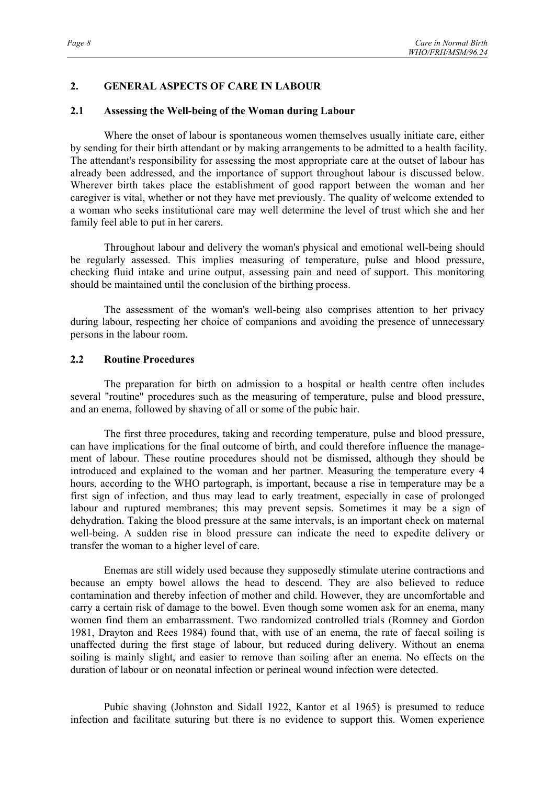## **2. GENERAL ASPECTS OF CARE IN LABOUR**

### **2.1 Assessing the Well-being of the Woman during Labour**

Where the onset of labour is spontaneous women themselves usually initiate care, either by sending for their birth attendant or by making arrangements to be admitted to a health facility. The attendant's responsibility for assessing the most appropriate care at the outset of labour has already been addressed, and the importance of support throughout labour is discussed below. Wherever birth takes place the establishment of good rapport between the woman and her caregiver is vital, whether or not they have met previously. The quality of welcome extended to a woman who seeks institutional care may well determine the level of trust which she and her family feel able to put in her carers.

Throughout labour and delivery the woman's physical and emotional well-being should be regularly assessed. This implies measuring of temperature, pulse and blood pressure, checking fluid intake and urine output, assessing pain and need of support. This monitoring should be maintained until the conclusion of the birthing process.

The assessment of the woman's well-being also comprises attention to her privacy during labour, respecting her choice of companions and avoiding the presence of unnecessary persons in the labour room.

#### **2.2 Routine Procedures**

The preparation for birth on admission to a hospital or health centre often includes several "routine" procedures such as the measuring of temperature, pulse and blood pressure, and an enema, followed by shaving of all or some of the pubic hair.

The first three procedures, taking and recording temperature, pulse and blood pressure, can have implications for the final outcome of birth, and could therefore influence the management of labour. These routine procedures should not be dismissed, although they should be introduced and explained to the woman and her partner. Measuring the temperature every 4 hours, according to the WHO partograph, is important, because a rise in temperature may be a first sign of infection, and thus may lead to early treatment, especially in case of prolonged labour and ruptured membranes; this may prevent sepsis. Sometimes it may be a sign of dehydration. Taking the blood pressure at the same intervals, is an important check on maternal well-being. A sudden rise in blood pressure can indicate the need to expedite delivery or transfer the woman to a higher level of care.

Enemas are still widely used because they supposedly stimulate uterine contractions and because an empty bowel allows the head to descend. They are also believed to reduce contamination and thereby infection of mother and child. However, they are uncomfortable and carry a certain risk of damage to the bowel. Even though some women ask for an enema, many women find them an embarrassment. Two randomized controlled trials (Romney and Gordon 1981, Drayton and Rees 1984) found that, with use of an enema, the rate of faecal soiling is unaffected during the first stage of labour, but reduced during delivery. Without an enema soiling is mainly slight, and easier to remove than soiling after an enema. No effects on the duration of labour or on neonatal infection or perineal wound infection were detected.

Pubic shaving (Johnston and Sidall 1922, Kantor et al 1965) is presumed to reduce infection and facilitate suturing but there is no evidence to support this. Women experience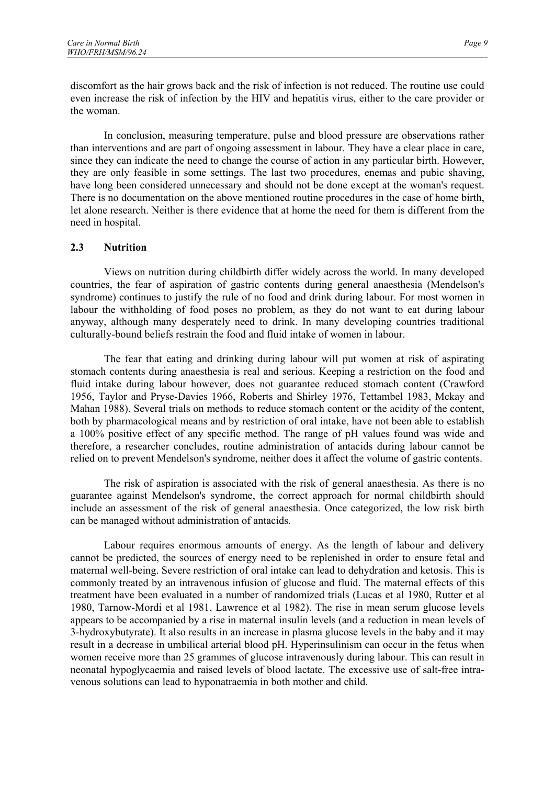discomfort as the hair grows back and the risk of infection is not reduced. The routine use could even increase the risk of infection by the HIV and hepatitis virus, either to the care provider or the woman.

In conclusion, measuring temperature, pulse and blood pressure are observations rather than interventions and are part of ongoing assessment in labour. They have a clear place in care, since they can indicate the need to change the course of action in any particular birth. However, they are only feasible in some settings. The last two procedures, enemas and pubic shaving, have long been considered unnecessary and should not be done except at the woman's request. There is no documentation on the above mentioned routine procedures in the case of home birth, let alone research. Neither is there evidence that at home the need for them is different from the need in hospital.

## **2.3 Nutrition**

Views on nutrition during childbirth differ widely across the world. In many developed countries, the fear of aspiration of gastric contents during general anaesthesia (Mendelson's syndrome) continues to justify the rule of no food and drink during labour. For most women in labour the withholding of food poses no problem, as they do not want to eat during labour anyway, although many desperately need to drink. In many developing countries traditional culturally-bound beliefs restrain the food and fluid intake of women in labour.

The fear that eating and drinking during labour will put women at risk of aspirating stomach contents during anaesthesia is real and serious. Keeping a restriction on the food and fluid intake during labour however, does not guarantee reduced stomach content (Crawford 1956, Taylor and Pryse-Davies 1966, Roberts and Shirley 1976, Tettambel 1983, Mckay and Mahan 1988). Several trials on methods to reduce stomach content or the acidity of the content, both by pharmacological means and by restriction of oral intake, have not been able to establish a 100% positive effect of any specific method. The range of pH values found was wide and therefore, a researcher concludes, routine administration of antacids during labour cannot be relied on to prevent Mendelson's syndrome, neither does it affect the volume of gastric contents.

The risk of aspiration is associated with the risk of general anaesthesia. As there is no guarantee against Mendelson's syndrome, the correct approach for normal childbirth should include an assessment of the risk of general anaesthesia. Once categorized, the low risk birth can be managed without administration of antacids.

Labour requires enormous amounts of energy. As the length of labour and delivery cannot be predicted, the sources of energy need to be replenished in order to ensure fetal and maternal well-being. Severe restriction of oral intake can lead to dehydration and ketosis. This is commonly treated by an intravenous infusion of glucose and fluid. The maternal effects of this treatment have been evaluated in a number of randomized trials (Lucas et al 1980, Rutter et al 1980, Tarnow-Mordi et al 1981, Lawrence et al 1982). The rise in mean serum glucose levels appears to be accompanied by a rise in maternal insulin levels (and a reduction in mean levels of 3-hydroxybutyrate). It also results in an increase in plasma glucose levels in the baby and it may result in a decrease in umbilical arterial blood pH. Hyperinsulinism can occur in the fetus when women receive more than 25 grammes of glucose intravenously during labour. This can result in neonatal hypoglycaemia and raised levels of blood lactate. The excessive use of salt-free intravenous solutions can lead to hyponatraemia in both mother and child.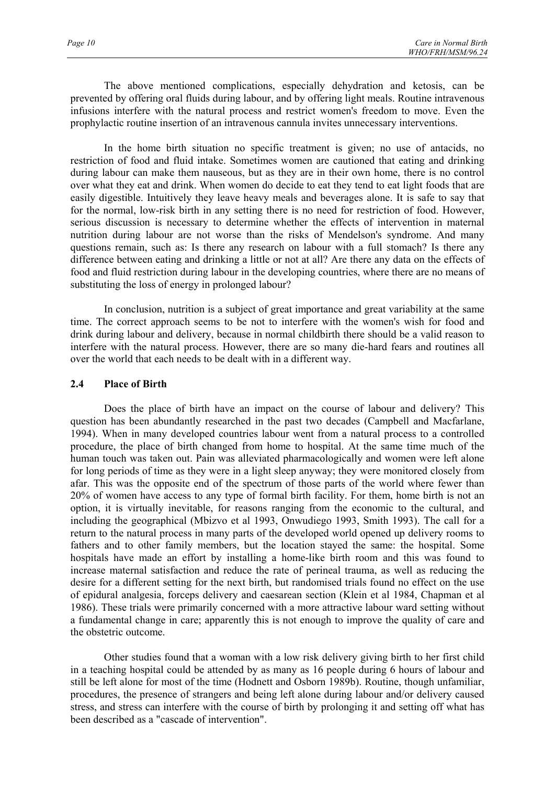The above mentioned complications, especially dehydration and ketosis, can be prevented by offering oral fluids during labour, and by offering light meals. Routine intravenous infusions interfere with the natural process and restrict women's freedom to move. Even the prophylactic routine insertion of an intravenous cannula invites unnecessary interventions.

In the home birth situation no specific treatment is given; no use of antacids, no restriction of food and fluid intake. Sometimes women are cautioned that eating and drinking during labour can make them nauseous, but as they are in their own home, there is no control over what they eat and drink. When women do decide to eat they tend to eat light foods that are easily digestible. Intuitively they leave heavy meals and beverages alone. It is safe to say that for the normal, low-risk birth in any setting there is no need for restriction of food. However, serious discussion is necessary to determine whether the effects of intervention in maternal nutrition during labour are not worse than the risks of Mendelson's syndrome. And many questions remain, such as: Is there any research on labour with a full stomach? Is there any difference between eating and drinking a little or not at all? Are there any data on the effects of food and fluid restriction during labour in the developing countries, where there are no means of substituting the loss of energy in prolonged labour?

In conclusion, nutrition is a subject of great importance and great variability at the same time. The correct approach seems to be not to interfere with the women's wish for food and drink during labour and delivery, because in normal childbirth there should be a valid reason to interfere with the natural process. However, there are so many die-hard fears and routines all over the world that each needs to be dealt with in a different way.

## **2.4 Place of Birth**

Does the place of birth have an impact on the course of labour and delivery? This question has been abundantly researched in the past two decades (Campbell and Macfarlane, 1994). When in many developed countries labour went from a natural process to a controlled procedure, the place of birth changed from home to hospital. At the same time much of the human touch was taken out. Pain was alleviated pharmacologically and women were left alone for long periods of time as they were in a light sleep anyway; they were monitored closely from afar. This was the opposite end of the spectrum of those parts of the world where fewer than 20% of women have access to any type of formal birth facility. For them, home birth is not an option, it is virtually inevitable, for reasons ranging from the economic to the cultural, and including the geographical (Mbizvo et al 1993, Onwudiego 1993, Smith 1993). The call for a return to the natural process in many parts of the developed world opened up delivery rooms to fathers and to other family members, but the location stayed the same: the hospital. Some hospitals have made an effort by installing a home-like birth room and this was found to increase maternal satisfaction and reduce the rate of perineal trauma, as well as reducing the desire for a different setting for the next birth, but randomised trials found no effect on the use of epidural analgesia, forceps delivery and caesarean section (Klein et al 1984, Chapman et al 1986). These trials were primarily concerned with a more attractive labour ward setting without a fundamental change in care; apparently this is not enough to improve the quality of care and the obstetric outcome.

Other studies found that a woman with a low risk delivery giving birth to her first child in a teaching hospital could be attended by as many as 16 people during 6 hours of labour and still be left alone for most of the time (Hodnett and Osborn 1989b). Routine, though unfamiliar, procedures, the presence of strangers and being left alone during labour and/or delivery caused stress, and stress can interfere with the course of birth by prolonging it and setting off what has been described as a "cascade of intervention".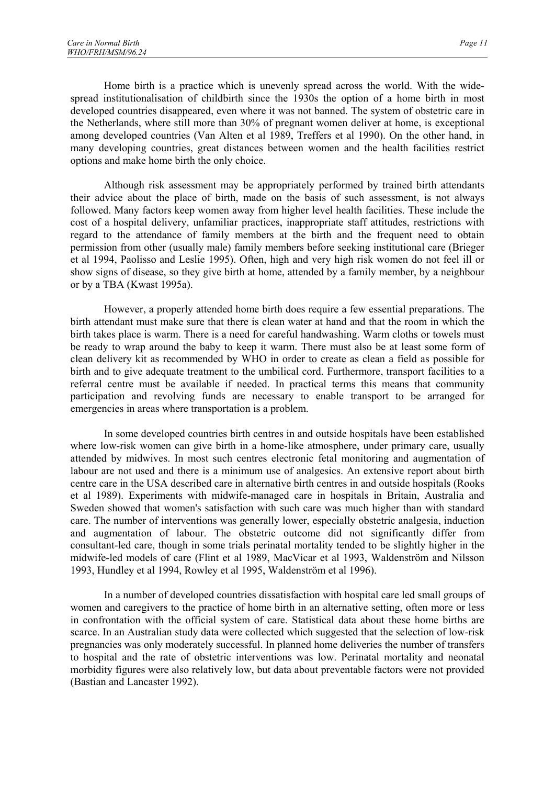Home birth is a practice which is unevenly spread across the world. With the widespread institutionalisation of childbirth since the 1930s the option of a home birth in most developed countries disappeared, even where it was not banned. The system of obstetric care in the Netherlands, where still more than 30% of pregnant women deliver at home, is exceptional among developed countries (Van Alten et al 1989, Treffers et al 1990). On the other hand, in many developing countries, great distances between women and the health facilities restrict options and make home birth the only choice.

Although risk assessment may be appropriately performed by trained birth attendants their advice about the place of birth, made on the basis of such assessment, is not always followed. Many factors keep women away from higher level health facilities. These include the cost of a hospital delivery, unfamiliar practices, inappropriate staff attitudes, restrictions with regard to the attendance of family members at the birth and the frequent need to obtain permission from other (usually male) family members before seeking institutional care (Brieger et al 1994, Paolisso and Leslie 1995). Often, high and very high risk women do not feel ill or show signs of disease, so they give birth at home, attended by a family member, by a neighbour or by a TBA (Kwast 1995a).

However, a properly attended home birth does require a few essential preparations. The birth attendant must make sure that there is clean water at hand and that the room in which the birth takes place is warm. There is a need for careful handwashing. Warm cloths or towels must be ready to wrap around the baby to keep it warm. There must also be at least some form of clean delivery kit as recommended by WHO in order to create as clean a field as possible for birth and to give adequate treatment to the umbilical cord. Furthermore, transport facilities to a referral centre must be available if needed. In practical terms this means that community participation and revolving funds are necessary to enable transport to be arranged for emergencies in areas where transportation is a problem.

In some developed countries birth centres in and outside hospitals have been established where low-risk women can give birth in a home-like atmosphere, under primary care, usually attended by midwives. In most such centres electronic fetal monitoring and augmentation of labour are not used and there is a minimum use of analgesics. An extensive report about birth centre care in the USA described care in alternative birth centres in and outside hospitals (Rooks et al 1989). Experiments with midwife-managed care in hospitals in Britain, Australia and Sweden showed that women's satisfaction with such care was much higher than with standard care. The number of interventions was generally lower, especially obstetric analgesia, induction and augmentation of labour. The obstetric outcome did not significantly differ from consultant-led care, though in some trials perinatal mortality tended to be slightly higher in the midwife-led models of care (Flint et al 1989, MacVicar et al 1993, Waldenström and Nilsson 1993, Hundley et al 1994, Rowley et al 1995, Waldenström et al 1996).

In a number of developed countries dissatisfaction with hospital care led small groups of women and caregivers to the practice of home birth in an alternative setting, often more or less in confrontation with the official system of care. Statistical data about these home births are scarce. In an Australian study data were collected which suggested that the selection of low-risk pregnancies was only moderately successful. In planned home deliveries the number of transfers to hospital and the rate of obstetric interventions was low. Perinatal mortality and neonatal morbidity figures were also relatively low, but data about preventable factors were not provided (Bastian and Lancaster 1992).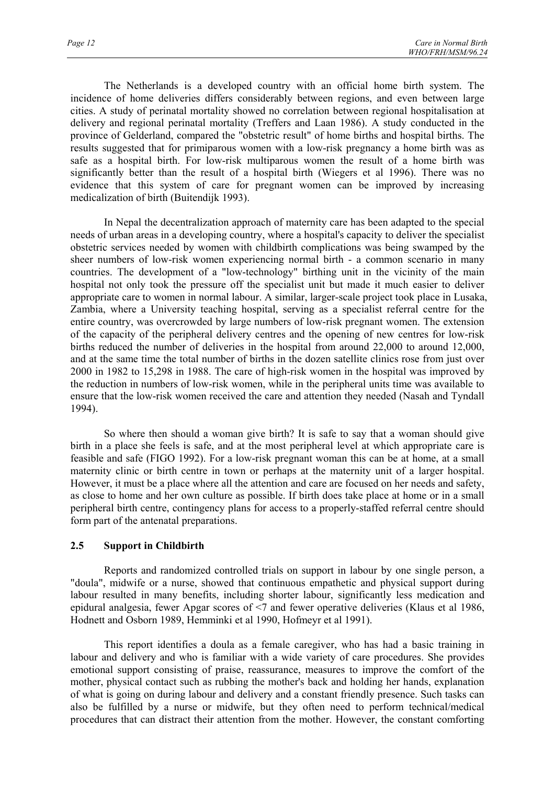The Netherlands is a developed country with an official home birth system. The incidence of home deliveries differs considerably between regions, and even between large cities. A study of perinatal mortality showed no correlation between regional hospitalisation at delivery and regional perinatal mortality (Treffers and Laan 1986). A study conducted in the province of Gelderland, compared the "obstetric result" of home births and hospital births. The results suggested that for primiparous women with a low-risk pregnancy a home birth was as safe as a hospital birth. For low-risk multiparous women the result of a home birth was significantly better than the result of a hospital birth (Wiegers et al 1996). There was no evidence that this system of care for pregnant women can be improved by increasing medicalization of birth (Buitendijk 1993).

In Nepal the decentralization approach of maternity care has been adapted to the special needs of urban areas in a developing country, where a hospital's capacity to deliver the specialist obstetric services needed by women with childbirth complications was being swamped by the sheer numbers of low-risk women experiencing normal birth - a common scenario in many countries. The development of a "low-technology" birthing unit in the vicinity of the main hospital not only took the pressure off the specialist unit but made it much easier to deliver appropriate care to women in normal labour. A similar, larger-scale project took place in Lusaka, Zambia, where a University teaching hospital, serving as a specialist referral centre for the entire country, was overcrowded by large numbers of low-risk pregnant women. The extension of the capacity of the peripheral delivery centres and the opening of new centres for low-risk births reduced the number of deliveries in the hospital from around 22,000 to around 12,000, and at the same time the total number of births in the dozen satellite clinics rose from just over 2000 in 1982 to 15,298 in 1988. The care of high-risk women in the hospital was improved by the reduction in numbers of low-risk women, while in the peripheral units time was available to ensure that the low-risk women received the care and attention they needed (Nasah and Tyndall 1994).

So where then should a woman give birth? It is safe to say that a woman should give birth in a place she feels is safe, and at the most peripheral level at which appropriate care is feasible and safe (FIGO 1992). For a low-risk pregnant woman this can be at home, at a small maternity clinic or birth centre in town or perhaps at the maternity unit of a larger hospital. However, it must be a place where all the attention and care are focused on her needs and safety, as close to home and her own culture as possible. If birth does take place at home or in a small peripheral birth centre, contingency plans for access to a properly-staffed referral centre should form part of the antenatal preparations.

## **2.5 Support in Childbirth**

Reports and randomized controlled trials on support in labour by one single person, a "doula", midwife or a nurse, showed that continuous empathetic and physical support during labour resulted in many benefits, including shorter labour, significantly less medication and epidural analgesia, fewer Apgar scores of <7 and fewer operative deliveries (Klaus et al 1986, Hodnett and Osborn 1989, Hemminki et al 1990, Hofmeyr et al 1991).

This report identifies a doula as a female caregiver, who has had a basic training in labour and delivery and who is familiar with a wide variety of care procedures. She provides emotional support consisting of praise, reassurance, measures to improve the comfort of the mother, physical contact such as rubbing the mother's back and holding her hands, explanation of what is going on during labour and delivery and a constant friendly presence. Such tasks can also be fulfilled by a nurse or midwife, but they often need to perform technical/medical procedures that can distract their attention from the mother. However, the constant comforting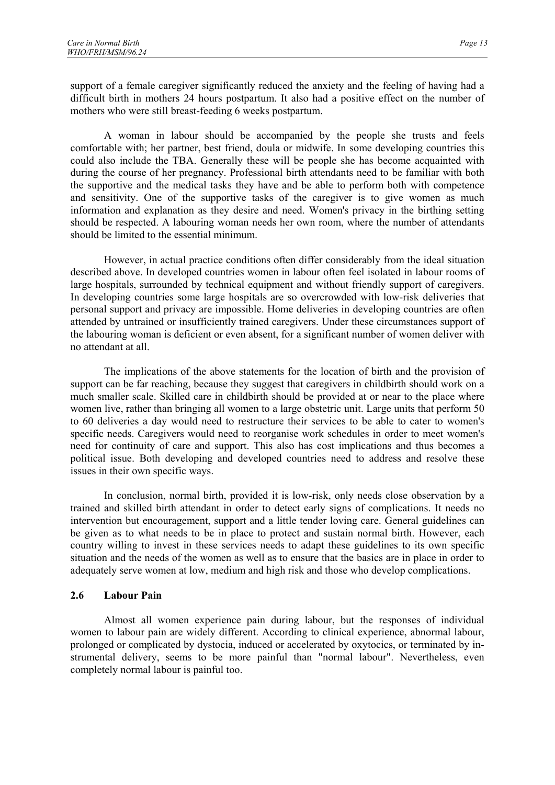support of a female caregiver significantly reduced the anxiety and the feeling of having had a difficult birth in mothers 24 hours postpartum. It also had a positive effect on the number of mothers who were still breast-feeding 6 weeks postpartum.

A woman in labour should be accompanied by the people she trusts and feels comfortable with; her partner, best friend, doula or midwife. In some developing countries this could also include the TBA. Generally these will be people she has become acquainted with during the course of her pregnancy. Professional birth attendants need to be familiar with both the supportive and the medical tasks they have and be able to perform both with competence and sensitivity. One of the supportive tasks of the caregiver is to give women as much information and explanation as they desire and need. Women's privacy in the birthing setting should be respected. A labouring woman needs her own room, where the number of attendants should be limited to the essential minimum.

However, in actual practice conditions often differ considerably from the ideal situation described above. In developed countries women in labour often feel isolated in labour rooms of large hospitals, surrounded by technical equipment and without friendly support of caregivers. In developing countries some large hospitals are so overcrowded with low-risk deliveries that personal support and privacy are impossible. Home deliveries in developing countries are often attended by untrained or insufficiently trained caregivers. Under these circumstances support of the labouring woman is deficient or even absent, for a significant number of women deliver with no attendant at all.

The implications of the above statements for the location of birth and the provision of support can be far reaching, because they suggest that caregivers in childbirth should work on a much smaller scale. Skilled care in childbirth should be provided at or near to the place where women live, rather than bringing all women to a large obstetric unit. Large units that perform 50 to 60 deliveries a day would need to restructure their services to be able to cater to women's specific needs. Caregivers would need to reorganise work schedules in order to meet women's need for continuity of care and support. This also has cost implications and thus becomes a political issue. Both developing and developed countries need to address and resolve these issues in their own specific ways.

In conclusion, normal birth, provided it is low-risk, only needs close observation by a trained and skilled birth attendant in order to detect early signs of complications. It needs no intervention but encouragement, support and a little tender loving care. General guidelines can be given as to what needs to be in place to protect and sustain normal birth. However, each country willing to invest in these services needs to adapt these guidelines to its own specific situation and the needs of the women as well as to ensure that the basics are in place in order to adequately serve women at low, medium and high risk and those who develop complications.

### **2.6 Labour Pain**

Almost all women experience pain during labour, but the responses of individual women to labour pain are widely different. According to clinical experience, abnormal labour, prolonged or complicated by dystocia, induced or accelerated by oxytocics, or terminated by instrumental delivery, seems to be more painful than "normal labour". Nevertheless, even completely normal labour is painful too.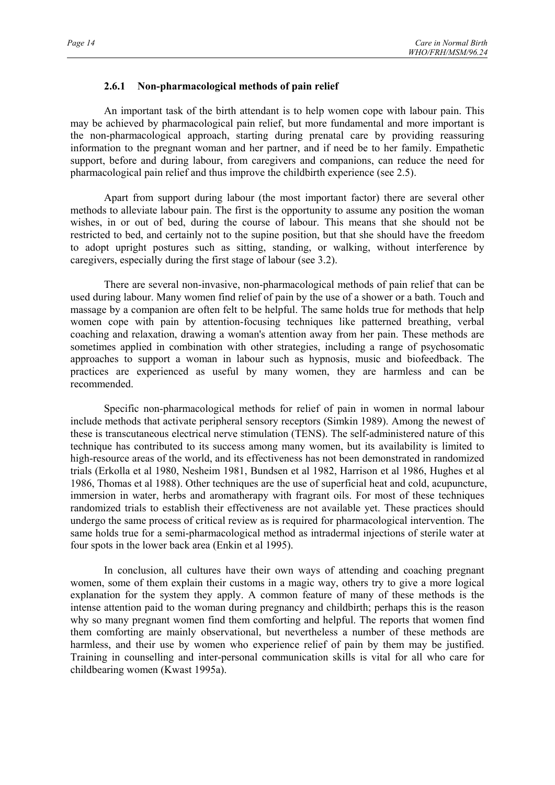## **2.6.1 Non-pharmacological methods of pain relief**

An important task of the birth attendant is to help women cope with labour pain. This may be achieved by pharmacological pain relief, but more fundamental and more important is the non-pharmacological approach, starting during prenatal care by providing reassuring information to the pregnant woman and her partner, and if need be to her family. Empathetic support, before and during labour, from caregivers and companions, can reduce the need for pharmacological pain relief and thus improve the childbirth experience (see 2.5).

Apart from support during labour (the most important factor) there are several other methods to alleviate labour pain. The first is the opportunity to assume any position the woman wishes, in or out of bed, during the course of labour. This means that she should not be restricted to bed, and certainly not to the supine position, but that she should have the freedom to adopt upright postures such as sitting, standing, or walking, without interference by caregivers, especially during the first stage of labour (see 3.2).

There are several non-invasive, non-pharmacological methods of pain relief that can be used during labour. Many women find relief of pain by the use of a shower or a bath. Touch and massage by a companion are often felt to be helpful. The same holds true for methods that help women cope with pain by attention-focusing techniques like patterned breathing, verbal coaching and relaxation, drawing a woman's attention away from her pain. These methods are sometimes applied in combination with other strategies, including a range of psychosomatic approaches to support a woman in labour such as hypnosis, music and biofeedback. The practices are experienced as useful by many women, they are harmless and can be recommended.

Specific non-pharmacological methods for relief of pain in women in normal labour include methods that activate peripheral sensory receptors (Simkin 1989). Among the newest of these is transcutaneous electrical nerve stimulation (TENS). The self-administered nature of this technique has contributed to its success among many women, but its availability is limited to high-resource areas of the world, and its effectiveness has not been demonstrated in randomized trials (Erkolla et al 1980, Nesheim 1981, Bundsen et al 1982, Harrison et al 1986, Hughes et al 1986, Thomas et al 1988). Other techniques are the use of superficial heat and cold, acupuncture, immersion in water, herbs and aromatherapy with fragrant oils. For most of these techniques randomized trials to establish their effectiveness are not available yet. These practices should undergo the same process of critical review as is required for pharmacological intervention. The same holds true for a semi-pharmacological method as intradermal injections of sterile water at four spots in the lower back area (Enkin et al 1995).

In conclusion, all cultures have their own ways of attending and coaching pregnant women, some of them explain their customs in a magic way, others try to give a more logical explanation for the system they apply. A common feature of many of these methods is the intense attention paid to the woman during pregnancy and childbirth; perhaps this is the reason why so many pregnant women find them comforting and helpful. The reports that women find them comforting are mainly observational, but nevertheless a number of these methods are harmless, and their use by women who experience relief of pain by them may be justified. Training in counselling and inter-personal communication skills is vital for all who care for childbearing women (Kwast 1995a).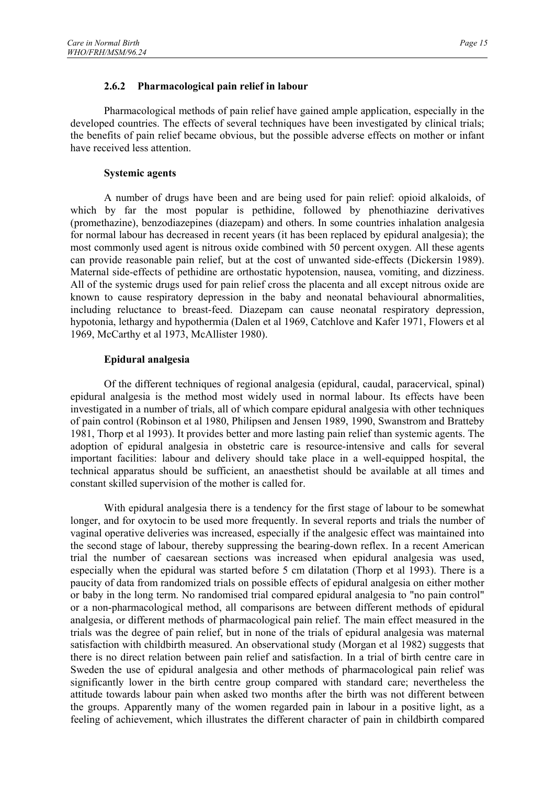## **2.6.2 Pharmacological pain relief in labour**

Pharmacological methods of pain relief have gained ample application, especially in the developed countries. The effects of several techniques have been investigated by clinical trials; the benefits of pain relief became obvious, but the possible adverse effects on mother or infant have received less attention.

## **Systemic agents**

A number of drugs have been and are being used for pain relief: opioid alkaloids, of which by far the most popular is pethidine, followed by phenothiazine derivatives (promethazine), benzodiazepines (diazepam) and others. In some countries inhalation analgesia for normal labour has decreased in recent years (it has been replaced by epidural analgesia); the most commonly used agent is nitrous oxide combined with 50 percent oxygen. All these agents can provide reasonable pain relief, but at the cost of unwanted side-effects (Dickersin 1989). Maternal side-effects of pethidine are orthostatic hypotension, nausea, vomiting, and dizziness. All of the systemic drugs used for pain relief cross the placenta and all except nitrous oxide are known to cause respiratory depression in the baby and neonatal behavioural abnormalities, including reluctance to breast-feed. Diazepam can cause neonatal respiratory depression, hypotonia, lethargy and hypothermia (Dalen et al 1969, Catchlove and Kafer 1971, Flowers et al 1969, McCarthy et al 1973, McAllister 1980).

## **Epidural analgesia**

Of the different techniques of regional analgesia (epidural, caudal, paracervical, spinal) epidural analgesia is the method most widely used in normal labour. Its effects have been investigated in a number of trials, all of which compare epidural analgesia with other techniques of pain control (Robinson et al 1980, Philipsen and Jensen 1989, 1990, Swanstrom and Bratteby 1981, Thorp et al 1993). It provides better and more lasting pain relief than systemic agents. The adoption of epidural analgesia in obstetric care is resource-intensive and calls for several important facilities: labour and delivery should take place in a well-equipped hospital, the technical apparatus should be sufficient, an anaesthetist should be available at all times and constant skilled supervision of the mother is called for.

With epidural analgesia there is a tendency for the first stage of labour to be somewhat longer, and for oxytocin to be used more frequently. In several reports and trials the number of vaginal operative deliveries was increased, especially if the analgesic effect was maintained into the second stage of labour, thereby suppressing the bearing-down reflex. In a recent American trial the number of caesarean sections was increased when epidural analgesia was used, especially when the epidural was started before 5 cm dilatation (Thorp et al 1993). There is a paucity of data from randomized trials on possible effects of epidural analgesia on either mother or baby in the long term. No randomised trial compared epidural analgesia to "no pain control" or a non-pharmacological method, all comparisons are between different methods of epidural analgesia, or different methods of pharmacological pain relief. The main effect measured in the trials was the degree of pain relief, but in none of the trials of epidural analgesia was maternal satisfaction with childbirth measured. An observational study (Morgan et al 1982) suggests that there is no direct relation between pain relief and satisfaction. In a trial of birth centre care in Sweden the use of epidural analgesia and other methods of pharmacological pain relief was significantly lower in the birth centre group compared with standard care; nevertheless the attitude towards labour pain when asked two months after the birth was not different between the groups. Apparently many of the women regarded pain in labour in a positive light, as a feeling of achievement, which illustrates the different character of pain in childbirth compared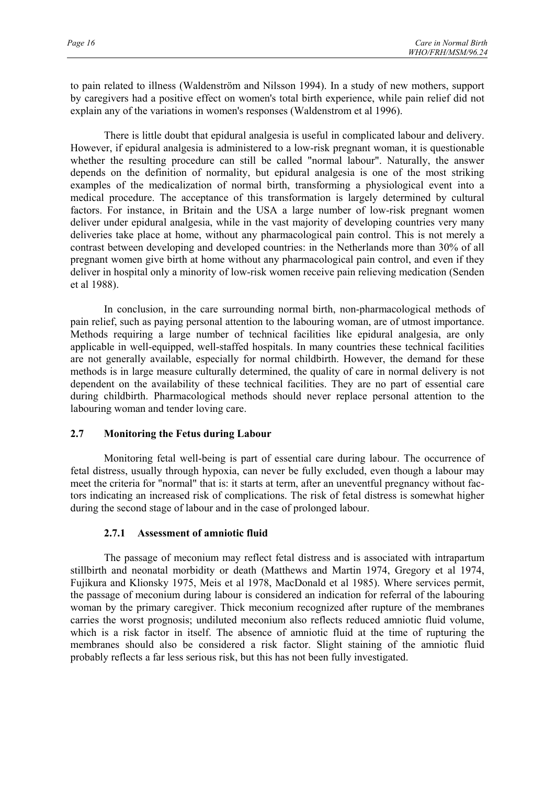to pain related to illness (Waldenström and Nilsson 1994). In a study of new mothers, support by caregivers had a positive effect on women's total birth experience, while pain relief did not explain any of the variations in women's responses (Waldenstrom et al 1996).

There is little doubt that epidural analgesia is useful in complicated labour and delivery. However, if epidural analgesia is administered to a low-risk pregnant woman, it is questionable whether the resulting procedure can still be called "normal labour". Naturally, the answer depends on the definition of normality, but epidural analgesia is one of the most striking examples of the medicalization of normal birth, transforming a physiological event into a medical procedure. The acceptance of this transformation is largely determined by cultural factors. For instance, in Britain and the USA a large number of low-risk pregnant women deliver under epidural analgesia, while in the vast majority of developing countries very many deliveries take place at home, without any pharmacological pain control. This is not merely a contrast between developing and developed countries: in the Netherlands more than 30% of all pregnant women give birth at home without any pharmacological pain control, and even if they deliver in hospital only a minority of low-risk women receive pain relieving medication (Senden et al 1988).

In conclusion, in the care surrounding normal birth, non-pharmacological methods of pain relief, such as paying personal attention to the labouring woman, are of utmost importance. Methods requiring a large number of technical facilities like epidural analgesia, are only applicable in well-equipped, well-staffed hospitals. In many countries these technical facilities are not generally available, especially for normal childbirth. However, the demand for these methods is in large measure culturally determined, the quality of care in normal delivery is not dependent on the availability of these technical facilities. They are no part of essential care during childbirth. Pharmacological methods should never replace personal attention to the labouring woman and tender loving care.

## **2.7 Monitoring the Fetus during Labour**

Monitoring fetal well-being is part of essential care during labour. The occurrence of fetal distress, usually through hypoxia, can never be fully excluded, even though a labour may meet the criteria for "normal" that is: it starts at term, after an uneventful pregnancy without factors indicating an increased risk of complications. The risk of fetal distress is somewhat higher during the second stage of labour and in the case of prolonged labour.

### **2.7.1 Assessment of amniotic fluid**

The passage of meconium may reflect fetal distress and is associated with intrapartum stillbirth and neonatal morbidity or death (Matthews and Martin 1974, Gregory et al 1974, Fujikura and Klionsky 1975, Meis et al 1978, MacDonald et al 1985). Where services permit, the passage of meconium during labour is considered an indication for referral of the labouring woman by the primary caregiver. Thick meconium recognized after rupture of the membranes carries the worst prognosis; undiluted meconium also reflects reduced amniotic fluid volume, which is a risk factor in itself. The absence of amniotic fluid at the time of rupturing the membranes should also be considered a risk factor. Slight staining of the amniotic fluid probably reflects a far less serious risk, but this has not been fully investigated.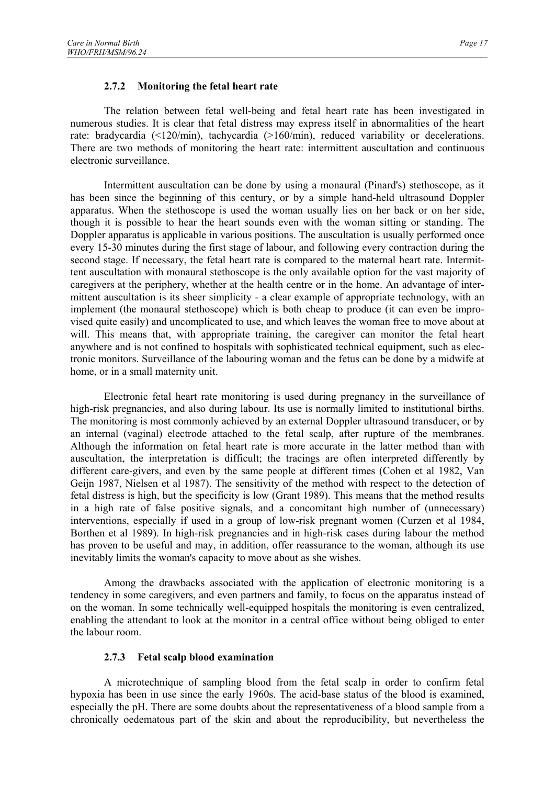#### **2.7.2 Monitoring the fetal heart rate**

The relation between fetal well-being and fetal heart rate has been investigated in numerous studies. It is clear that fetal distress may express itself in abnormalities of the heart rate: bradycardia (<120/min), tachycardia (>160/min), reduced variability or decelerations. There are two methods of monitoring the heart rate: intermittent auscultation and continuous electronic surveillance.

Intermittent auscultation can be done by using a monaural (Pinard's) stethoscope, as it has been since the beginning of this century, or by a simple hand-held ultrasound Doppler apparatus. When the stethoscope is used the woman usually lies on her back or on her side, though it is possible to hear the heart sounds even with the woman sitting or standing. The Doppler apparatus is applicable in various positions. The auscultation is usually performed once every 15-30 minutes during the first stage of labour, and following every contraction during the second stage. If necessary, the fetal heart rate is compared to the maternal heart rate. Intermittent auscultation with monaural stethoscope is the only available option for the vast majority of caregivers at the periphery, whether at the health centre or in the home. An advantage of intermittent auscultation is its sheer simplicity - a clear example of appropriate technology, with an implement (the monaural stethoscope) which is both cheap to produce (it can even be improvised quite easily) and uncomplicated to use, and which leaves the woman free to move about at will. This means that, with appropriate training, the caregiver can monitor the fetal heart anywhere and is not confined to hospitals with sophisticated technical equipment, such as electronic monitors. Surveillance of the labouring woman and the fetus can be done by a midwife at home, or in a small maternity unit.

Electronic fetal heart rate monitoring is used during pregnancy in the surveillance of high-risk pregnancies, and also during labour. Its use is normally limited to institutional births. The monitoring is most commonly achieved by an external Doppler ultrasound transducer, or by an internal (vaginal) electrode attached to the fetal scalp, after rupture of the membranes. Although the information on fetal heart rate is more accurate in the latter method than with auscultation, the interpretation is difficult; the tracings are often interpreted differently by different care-givers, and even by the same people at different times (Cohen et al 1982, Van Geijn 1987, Nielsen et al 1987). The sensitivity of the method with respect to the detection of fetal distress is high, but the specificity is low (Grant 1989). This means that the method results in a high rate of false positive signals, and a concomitant high number of (unnecessary) interventions, especially if used in a group of low-risk pregnant women (Curzen et al 1984, Borthen et al 1989). In high-risk pregnancies and in high-risk cases during labour the method has proven to be useful and may, in addition, offer reassurance to the woman, although its use inevitably limits the woman's capacity to move about as she wishes.

Among the drawbacks associated with the application of electronic monitoring is a tendency in some caregivers, and even partners and family, to focus on the apparatus instead of on the woman. In some technically well-equipped hospitals the monitoring is even centralized, enabling the attendant to look at the monitor in a central office without being obliged to enter the labour room.

#### **2.7.3 Fetal scalp blood examination**

A microtechnique of sampling blood from the fetal scalp in order to confirm fetal hypoxia has been in use since the early 1960s. The acid-base status of the blood is examined, especially the pH. There are some doubts about the representativeness of a blood sample from a chronically oedematous part of the skin and about the reproducibility, but nevertheless the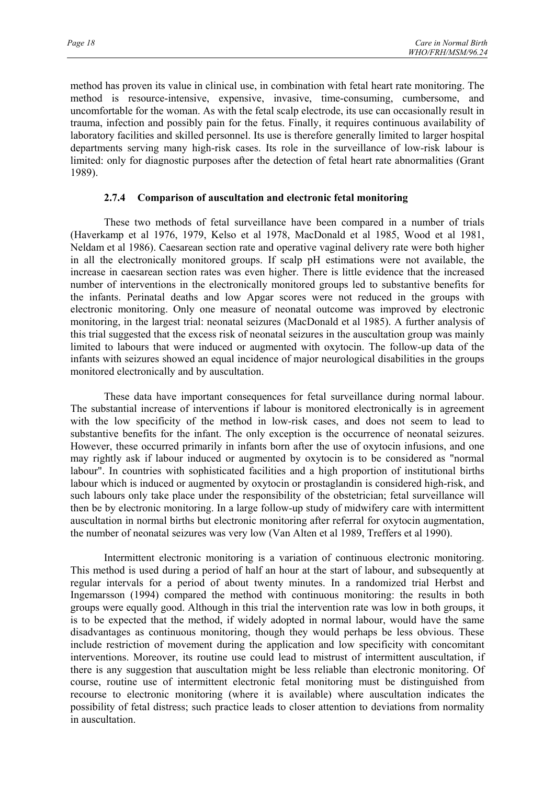method has proven its value in clinical use, in combination with fetal heart rate monitoring. The method is resource-intensive, expensive, invasive, time-consuming, cumbersome, and uncomfortable for the woman. As with the fetal scalp electrode, its use can occasionally result in trauma, infection and possibly pain for the fetus. Finally, it requires continuous availability of laboratory facilities and skilled personnel. Its use is therefore generally limited to larger hospital departments serving many high-risk cases. Its role in the surveillance of low-risk labour is limited: only for diagnostic purposes after the detection of fetal heart rate abnormalities (Grant 1989).

## **2.7.4 Comparison of auscultation and electronic fetal monitoring**

These two methods of fetal surveillance have been compared in a number of trials (Haverkamp et al 1976, 1979, Kelso et al 1978, MacDonald et al 1985, Wood et al 1981, Neldam et al 1986). Caesarean section rate and operative vaginal delivery rate were both higher in all the electronically monitored groups. If scalp pH estimations were not available, the increase in caesarean section rates was even higher. There is little evidence that the increased number of interventions in the electronically monitored groups led to substantive benefits for the infants. Perinatal deaths and low Apgar scores were not reduced in the groups with electronic monitoring. Only one measure of neonatal outcome was improved by electronic monitoring, in the largest trial: neonatal seizures (MacDonald et al 1985). A further analysis of this trial suggested that the excess risk of neonatal seizures in the auscultation group was mainly limited to labours that were induced or augmented with oxytocin. The follow-up data of the infants with seizures showed an equal incidence of major neurological disabilities in the groups monitored electronically and by auscultation.

These data have important consequences for fetal surveillance during normal labour. The substantial increase of interventions if labour is monitored electronically is in agreement with the low specificity of the method in low-risk cases, and does not seem to lead to substantive benefits for the infant. The only exception is the occurrence of neonatal seizures. However, these occurred primarily in infants born after the use of oxytocin infusions, and one may rightly ask if labour induced or augmented by oxytocin is to be considered as "normal labour". In countries with sophisticated facilities and a high proportion of institutional births labour which is induced or augmented by oxytocin or prostaglandin is considered high-risk, and such labours only take place under the responsibility of the obstetrician; fetal surveillance will then be by electronic monitoring. In a large follow-up study of midwifery care with intermittent auscultation in normal births but electronic monitoring after referral for oxytocin augmentation, the number of neonatal seizures was very low (Van Alten et al 1989, Treffers et al 1990).

Intermittent electronic monitoring is a variation of continuous electronic monitoring. This method is used during a period of half an hour at the start of labour, and subsequently at regular intervals for a period of about twenty minutes. In a randomized trial Herbst and Ingemarsson (1994) compared the method with continuous monitoring: the results in both groups were equally good. Although in this trial the intervention rate was low in both groups, it is to be expected that the method, if widely adopted in normal labour, would have the same disadvantages as continuous monitoring, though they would perhaps be less obvious. These include restriction of movement during the application and low specificity with concomitant interventions. Moreover, its routine use could lead to mistrust of intermittent auscultation, if there is any suggestion that auscultation might be less reliable than electronic monitoring. Of course, routine use of intermittent electronic fetal monitoring must be distinguished from recourse to electronic monitoring (where it is available) where auscultation indicates the possibility of fetal distress; such practice leads to closer attention to deviations from normality in auscultation.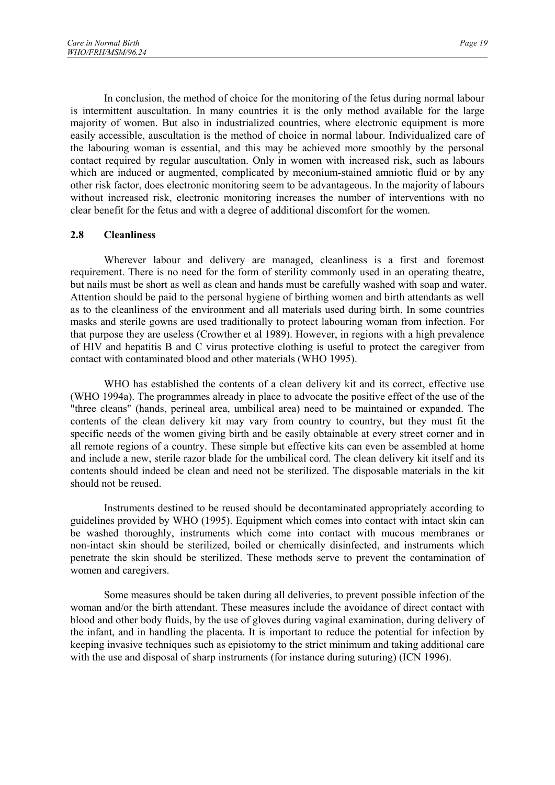In conclusion, the method of choice for the monitoring of the fetus during normal labour is intermittent auscultation. In many countries it is the only method available for the large majority of women. But also in industrialized countries, where electronic equipment is more easily accessible, auscultation is the method of choice in normal labour. Individualized care of the labouring woman is essential, and this may be achieved more smoothly by the personal contact required by regular auscultation. Only in women with increased risk, such as labours which are induced or augmented, complicated by meconium-stained amniotic fluid or by any other risk factor, does electronic monitoring seem to be advantageous. In the majority of labours without increased risk, electronic monitoring increases the number of interventions with no clear benefit for the fetus and with a degree of additional discomfort for the women.

#### **2.8 Cleanliness**

Wherever labour and delivery are managed, cleanliness is a first and foremost requirement. There is no need for the form of sterility commonly used in an operating theatre, but nails must be short as well as clean and hands must be carefully washed with soap and water. Attention should be paid to the personal hygiene of birthing women and birth attendants as well as to the cleanliness of the environment and all materials used during birth. In some countries masks and sterile gowns are used traditionally to protect labouring woman from infection. For that purpose they are useless (Crowther et al 1989). However, in regions with a high prevalence of HIV and hepatitis B and C virus protective clothing is useful to protect the caregiver from contact with contaminated blood and other materials (WHO 1995).

WHO has established the contents of a clean delivery kit and its correct, effective use (WHO 1994a). The programmes already in place to advocate the positive effect of the use of the "three cleans" (hands, perineal area, umbilical area) need to be maintained or expanded. The contents of the clean delivery kit may vary from country to country, but they must fit the specific needs of the women giving birth and be easily obtainable at every street corner and in all remote regions of a country. These simple but effective kits can even be assembled at home and include a new, sterile razor blade for the umbilical cord. The clean delivery kit itself and its contents should indeed be clean and need not be sterilized. The disposable materials in the kit should not be reused.

Instruments destined to be reused should be decontaminated appropriately according to guidelines provided by WHO (1995). Equipment which comes into contact with intact skin can be washed thoroughly, instruments which come into contact with mucous membranes or non-intact skin should be sterilized, boiled or chemically disinfected, and instruments which penetrate the skin should be sterilized. These methods serve to prevent the contamination of women and caregivers.

Some measures should be taken during all deliveries, to prevent possible infection of the woman and/or the birth attendant. These measures include the avoidance of direct contact with blood and other body fluids, by the use of gloves during vaginal examination, during delivery of the infant, and in handling the placenta. It is important to reduce the potential for infection by keeping invasive techniques such as episiotomy to the strict minimum and taking additional care with the use and disposal of sharp instruments (for instance during suturing) (ICN 1996).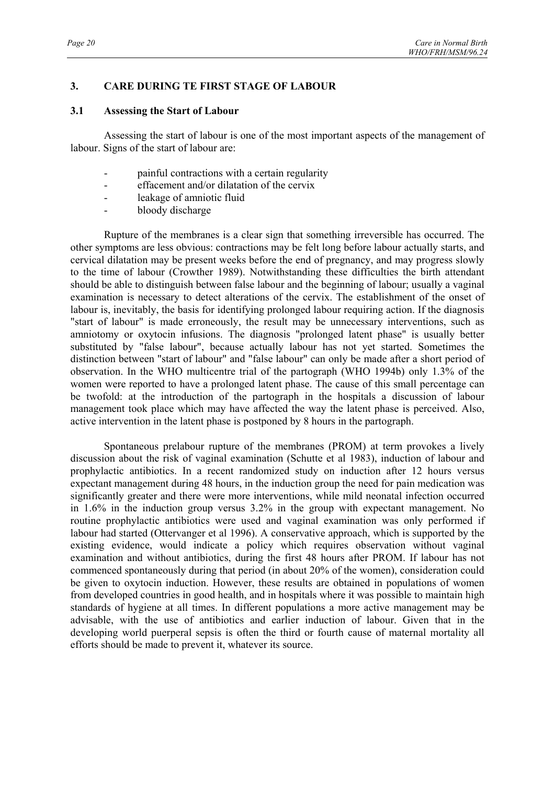## **3. CARE DURING TE FIRST STAGE OF LABOUR**

#### **3.1 Assessing the Start of Labour**

Assessing the start of labour is one of the most important aspects of the management of labour. Signs of the start of labour are:

- painful contractions with a certain regularity
- effacement and/or dilatation of the cervix
- leakage of amniotic fluid
- bloody discharge

Rupture of the membranes is a clear sign that something irreversible has occurred. The other symptoms are less obvious: contractions may be felt long before labour actually starts, and cervical dilatation may be present weeks before the end of pregnancy, and may progress slowly to the time of labour (Crowther 1989). Notwithstanding these difficulties the birth attendant should be able to distinguish between false labour and the beginning of labour; usually a vaginal examination is necessary to detect alterations of the cervix. The establishment of the onset of labour is, inevitably, the basis for identifying prolonged labour requiring action. If the diagnosis "start of labour" is made erroneously, the result may be unnecessary interventions, such as amniotomy or oxytocin infusions. The diagnosis "prolonged latent phase" is usually better substituted by "false labour", because actually labour has not yet started. Sometimes the distinction between "start of labour" and "false labour" can only be made after a short period of observation. In the WHO multicentre trial of the partograph (WHO 1994b) only 1.3% of the women were reported to have a prolonged latent phase. The cause of this small percentage can be twofold: at the introduction of the partograph in the hospitals a discussion of labour management took place which may have affected the way the latent phase is perceived. Also, active intervention in the latent phase is postponed by 8 hours in the partograph.

Spontaneous prelabour rupture of the membranes (PROM) at term provokes a lively discussion about the risk of vaginal examination (Schutte et al 1983), induction of labour and prophylactic antibiotics. In a recent randomized study on induction after 12 hours versus expectant management during 48 hours, in the induction group the need for pain medication was significantly greater and there were more interventions, while mild neonatal infection occurred in 1.6% in the induction group versus 3.2% in the group with expectant management. No routine prophylactic antibiotics were used and vaginal examination was only performed if labour had started (Ottervanger et al 1996). A conservative approach, which is supported by the existing evidence, would indicate a policy which requires observation without vaginal examination and without antibiotics, during the first 48 hours after PROM. If labour has not commenced spontaneously during that period (in about 20% of the women), consideration could be given to oxytocin induction. However, these results are obtained in populations of women from developed countries in good health, and in hospitals where it was possible to maintain high standards of hygiene at all times. In different populations a more active management may be advisable, with the use of antibiotics and earlier induction of labour. Given that in the developing world puerperal sepsis is often the third or fourth cause of maternal mortality all efforts should be made to prevent it, whatever its source.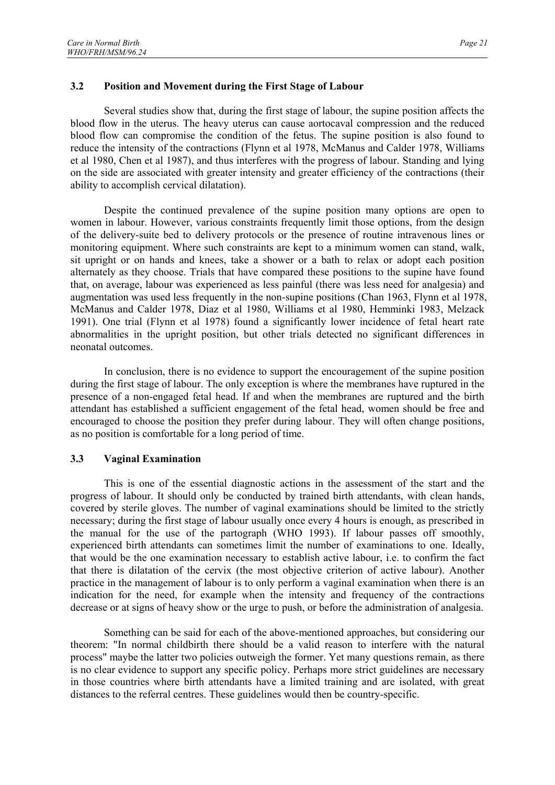#### **3.2 Position and Movement during the First Stage of Labour**

Several studies show that, during the first stage of labour, the supine position affects the blood flow in the uterus. The heavy uterus can cause aortocaval compression and the reduced blood flow can compromise the condition of the fetus. The supine position is also found to reduce the intensity of the contractions (Flynn et al 1978, McManus and Calder 1978, Williams et al 1980, Chen et al 1987), and thus interferes with the progress of labour. Standing and lying on the side are associated with greater intensity and greater efficiency of the contractions (their ability to accomplish cervical dilatation).

Despite the continued prevalence of the supine position many options are open to women in labour. However, various constraints frequently limit those options, from the design of the delivery-suite bed to delivery protocols or the presence of routine intravenous lines or monitoring equipment. Where such constraints are kept to a minimum women can stand, walk, sit upright or on hands and knees, take a shower or a bath to relax or adopt each position alternately as they choose. Trials that have compared these positions to the supine have found that, on average, labour was experienced as less painful (there was less need for analgesia) and augmentation was used less frequently in the non-supine positions (Chan 1963, Flynn et al 1978, McManus and Calder 1978, Diaz et al 1980, Williams et al 1980, Hemminki 1983, Melzack 1991). One trial (Flynn et al 1978) found a significantly lower incidence of fetal heart rate abnormalities in the upright position, but other trials detected no significant differences in neonatal outcomes.

In conclusion, there is no evidence to support the encouragement of the supine position during the first stage of labour. The only exception is where the membranes have ruptured in the presence of a non-engaged fetal head. If and when the membranes are ruptured and the birth attendant has established a sufficient engagement of the fetal head, women should be free and encouraged to choose the position they prefer during labour. They will often change positions, as no position is comfortable for a long period of time.

#### **3.3 Vaginal Examination**

This is one of the essential diagnostic actions in the assessment of the start and the progress of labour. It should only be conducted by trained birth attendants, with clean hands, covered by sterile gloves. The number of vaginal examinations should be limited to the strictly necessary; during the first stage of labour usually once every 4 hours is enough, as prescribed in the manual for the use of the partograph (WHO 1993). If labour passes off smoothly, experienced birth attendants can sometimes limit the number of examinations to one. Ideally, that would be the one examination necessary to establish active labour, i.e. to confirm the fact that there is dilatation of the cervix (the most objective criterion of active labour). Another practice in the management of labour is to only perform a vaginal examination when there is an indication for the need, for example when the intensity and frequency of the contractions decrease or at signs of heavy show or the urge to push, or before the administration of analgesia.

Something can be said for each of the above-mentioned approaches, but considering our theorem: "In normal childbirth there should be a valid reason to interfere with the natural process" maybe the latter two policies outweigh the former. Yet many questions remain, as there is no clear evidence to support any specific policy. Perhaps more strict guidelines are necessary in those countries where birth attendants have a limited training and are isolated, with great distances to the referral centres. These guidelines would then be country-specific.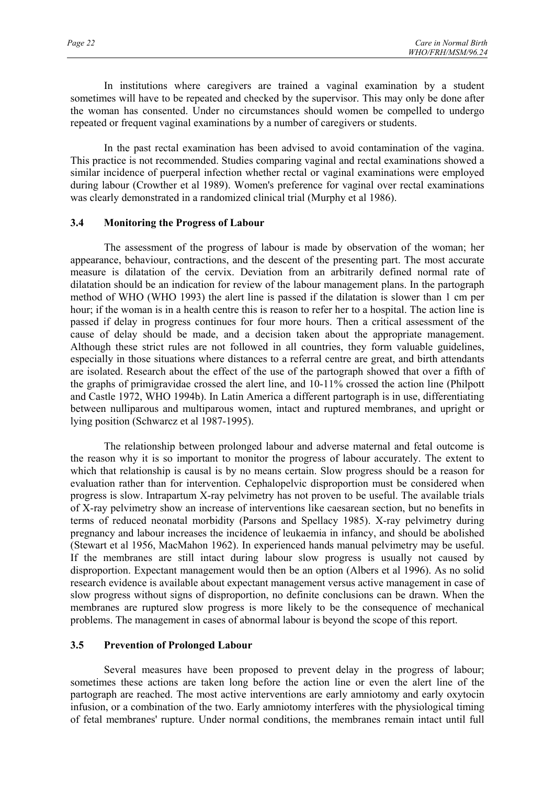In institutions where caregivers are trained a vaginal examination by a student sometimes will have to be repeated and checked by the supervisor. This may only be done after the woman has consented. Under no circumstances should women be compelled to undergo repeated or frequent vaginal examinations by a number of caregivers or students.

In the past rectal examination has been advised to avoid contamination of the vagina. This practice is not recommended. Studies comparing vaginal and rectal examinations showed a similar incidence of puerperal infection whether rectal or vaginal examinations were employed during labour (Crowther et al 1989). Women's preference for vaginal over rectal examinations was clearly demonstrated in a randomized clinical trial (Murphy et al 1986).

#### **3.4 Monitoring the Progress of Labour**

The assessment of the progress of labour is made by observation of the woman; her appearance, behaviour, contractions, and the descent of the presenting part. The most accurate measure is dilatation of the cervix. Deviation from an arbitrarily defined normal rate of dilatation should be an indication for review of the labour management plans. In the partograph method of WHO (WHO 1993) the alert line is passed if the dilatation is slower than 1 cm per hour; if the woman is in a health centre this is reason to refer her to a hospital. The action line is passed if delay in progress continues for four more hours. Then a critical assessment of the cause of delay should be made, and a decision taken about the appropriate management. Although these strict rules are not followed in all countries, they form valuable guidelines, especially in those situations where distances to a referral centre are great, and birth attendants are isolated. Research about the effect of the use of the partograph showed that over a fifth of the graphs of primigravidae crossed the alert line, and 10-11% crossed the action line (Philpott and Castle 1972, WHO 1994b). In Latin America a different partograph is in use, differentiating between nulliparous and multiparous women, intact and ruptured membranes, and upright or lying position (Schwarcz et al 1987-1995).

The relationship between prolonged labour and adverse maternal and fetal outcome is the reason why it is so important to monitor the progress of labour accurately. The extent to which that relationship is causal is by no means certain. Slow progress should be a reason for evaluation rather than for intervention. Cephalopelvic disproportion must be considered when progress is slow. Intrapartum X-ray pelvimetry has not proven to be useful. The available trials of X-ray pelvimetry show an increase of interventions like caesarean section, but no benefits in terms of reduced neonatal morbidity (Parsons and Spellacy 1985). X-ray pelvimetry during pregnancy and labour increases the incidence of leukaemia in infancy, and should be abolished (Stewart et al 1956, MacMahon 1962). In experienced hands manual pelvimetry may be useful. If the membranes are still intact during labour slow progress is usually not caused by disproportion. Expectant management would then be an option (Albers et al 1996). As no solid research evidence is available about expectant management versus active management in case of slow progress without signs of disproportion, no definite conclusions can be drawn. When the membranes are ruptured slow progress is more likely to be the consequence of mechanical problems. The management in cases of abnormal labour is beyond the scope of this report.

#### **3.5 Prevention of Prolonged Labour**

Several measures have been proposed to prevent delay in the progress of labour; sometimes these actions are taken long before the action line or even the alert line of the partograph are reached. The most active interventions are early amniotomy and early oxytocin infusion, or a combination of the two. Early amniotomy interferes with the physiological timing of fetal membranes' rupture. Under normal conditions, the membranes remain intact until full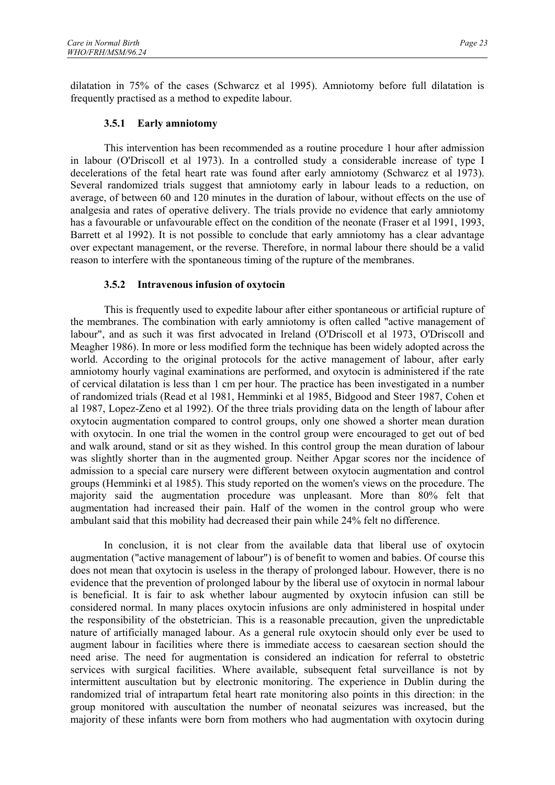dilatation in 75% of the cases (Schwarcz et al 1995). Amniotomy before full dilatation is frequently practised as a method to expedite labour.

## **3.5.1 Early amniotomy**

This intervention has been recommended as a routine procedure 1 hour after admission in labour (O'Driscoll et al 1973). In a controlled study a considerable increase of type I decelerations of the fetal heart rate was found after early amniotomy (Schwarcz et al 1973). Several randomized trials suggest that amniotomy early in labour leads to a reduction, on average, of between 60 and 120 minutes in the duration of labour, without effects on the use of analgesia and rates of operative delivery. The trials provide no evidence that early amniotomy has a favourable or unfavourable effect on the condition of the neonate (Fraser et al 1991, 1993, Barrett et al 1992). It is not possible to conclude that early amniotomy has a clear advantage over expectant management, or the reverse. Therefore, in normal labour there should be a valid reason to interfere with the spontaneous timing of the rupture of the membranes.

## **3.5.2 Intravenous infusion of oxytocin**

This is frequently used to expedite labour after either spontaneous or artificial rupture of the membranes. The combination with early amniotomy is often called "active management of labour", and as such it was first advocated in Ireland (O'Driscoll et al 1973, O'Driscoll and Meagher 1986). In more or less modified form the technique has been widely adopted across the world. According to the original protocols for the active management of labour, after early amniotomy hourly vaginal examinations are performed, and oxytocin is administered if the rate of cervical dilatation is less than 1 cm per hour. The practice has been investigated in a number of randomized trials (Read et al 1981, Hemminki et al 1985, Bidgood and Steer 1987, Cohen et al 1987, Lopez-Zeno et al 1992). Of the three trials providing data on the length of labour after oxytocin augmentation compared to control groups, only one showed a shorter mean duration with oxytocin. In one trial the women in the control group were encouraged to get out of bed and walk around, stand or sit as they wished. In this control group the mean duration of labour was slightly shorter than in the augmented group. Neither Apgar scores nor the incidence of admission to a special care nursery were different between oxytocin augmentation and control groups (Hemminki et al 1985). This study reported on the women's views on the procedure. The majority said the augmentation procedure was unpleasant. More than 80% felt that augmentation had increased their pain. Half of the women in the control group who were ambulant said that this mobility had decreased their pain while 24% felt no difference.

In conclusion, it is not clear from the available data that liberal use of oxytocin augmentation ("active management of labour") is of benefit to women and babies. Of course this does not mean that oxytocin is useless in the therapy of prolonged labour. However, there is no evidence that the prevention of prolonged labour by the liberal use of oxytocin in normal labour is beneficial. It is fair to ask whether labour augmented by oxytocin infusion can still be considered normal. In many places oxytocin infusions are only administered in hospital under the responsibility of the obstetrician. This is a reasonable precaution, given the unpredictable nature of artificially managed labour. As a general rule oxytocin should only ever be used to augment labour in facilities where there is immediate access to caesarean section should the need arise. The need for augmentation is considered an indication for referral to obstetric services with surgical facilities. Where available, subsequent fetal surveillance is not by intermittent auscultation but by electronic monitoring. The experience in Dublin during the randomized trial of intrapartum fetal heart rate monitoring also points in this direction: in the group monitored with auscultation the number of neonatal seizures was increased, but the majority of these infants were born from mothers who had augmentation with oxytocin during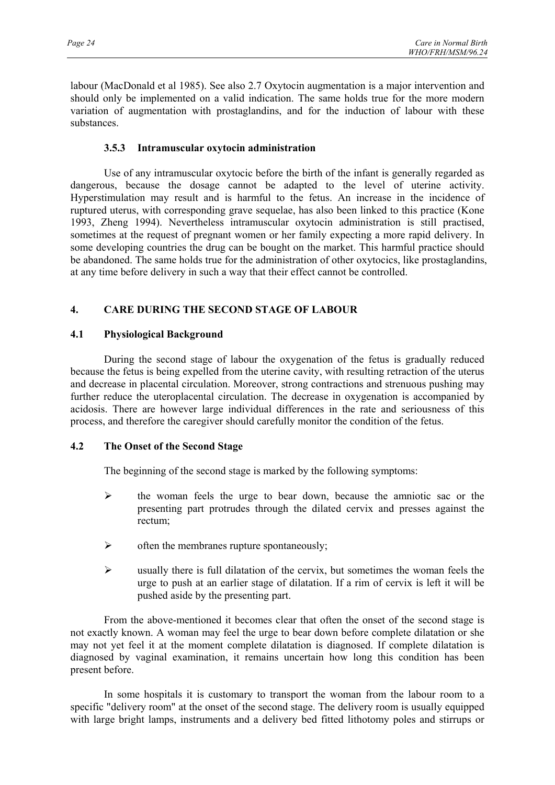labour (MacDonald et al 1985). See also 2.7 Oxytocin augmentation is a major intervention and should only be implemented on a valid indication. The same holds true for the more modern variation of augmentation with prostaglandins, and for the induction of labour with these substances.

## **3.5.3 Intramuscular oxytocin administration**

Use of any intramuscular oxytocic before the birth of the infant is generally regarded as dangerous, because the dosage cannot be adapted to the level of uterine activity. Hyperstimulation may result and is harmful to the fetus. An increase in the incidence of ruptured uterus, with corresponding grave sequelae, has also been linked to this practice (Kone 1993, Zheng 1994). Nevertheless intramuscular oxytocin administration is still practised, sometimes at the request of pregnant women or her family expecting a more rapid delivery. In some developing countries the drug can be bought on the market. This harmful practice should be abandoned. The same holds true for the administration of other oxytocics, like prostaglandins, at any time before delivery in such a way that their effect cannot be controlled.

## **4. CARE DURING THE SECOND STAGE OF LABOUR**

## **4.1 Physiological Background**

During the second stage of labour the oxygenation of the fetus is gradually reduced because the fetus is being expelled from the uterine cavity, with resulting retraction of the uterus and decrease in placental circulation. Moreover, strong contractions and strenuous pushing may further reduce the uteroplacental circulation. The decrease in oxygenation is accompanied by acidosis. There are however large individual differences in the rate and seriousness of this process, and therefore the caregiver should carefully monitor the condition of the fetus.

## **4.2 The Onset of the Second Stage**

The beginning of the second stage is marked by the following symptoms:

- $\geq$  the woman feels the urge to bear down, because the amniotic sac or the presenting part protrudes through the dilated cervix and presses against the rectum;
- $\triangleright$  often the membranes rupture spontaneously;
- $\triangleright$  usually there is full dilatation of the cervix, but sometimes the woman feels the urge to push at an earlier stage of dilatation. If a rim of cervix is left it will be pushed aside by the presenting part.

From the above-mentioned it becomes clear that often the onset of the second stage is not exactly known. A woman may feel the urge to bear down before complete dilatation or she may not yet feel it at the moment complete dilatation is diagnosed. If complete dilatation is diagnosed by vaginal examination, it remains uncertain how long this condition has been present before.

In some hospitals it is customary to transport the woman from the labour room to a specific "delivery room" at the onset of the second stage. The delivery room is usually equipped with large bright lamps, instruments and a delivery bed fitted lithotomy poles and stirrups or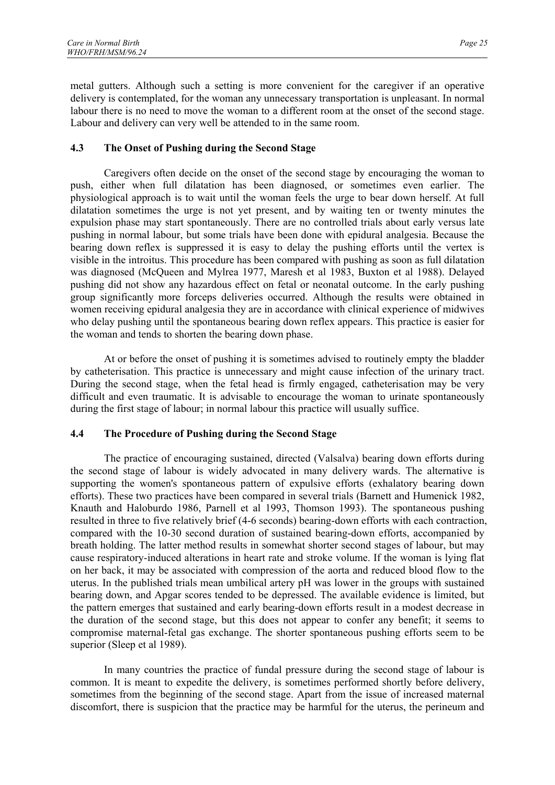metal gutters. Although such a setting is more convenient for the caregiver if an operative delivery is contemplated, for the woman any unnecessary transportation is unpleasant. In normal labour there is no need to move the woman to a different room at the onset of the second stage. Labour and delivery can very well be attended to in the same room.

## **4.3 The Onset of Pushing during the Second Stage**

Caregivers often decide on the onset of the second stage by encouraging the woman to push, either when full dilatation has been diagnosed, or sometimes even earlier. The physiological approach is to wait until the woman feels the urge to bear down herself. At full dilatation sometimes the urge is not yet present, and by waiting ten or twenty minutes the expulsion phase may start spontaneously. There are no controlled trials about early versus late pushing in normal labour, but some trials have been done with epidural analgesia. Because the bearing down reflex is suppressed it is easy to delay the pushing efforts until the vertex is visible in the introitus. This procedure has been compared with pushing as soon as full dilatation was diagnosed (McQueen and Mylrea 1977, Maresh et al 1983, Buxton et al 1988). Delayed pushing did not show any hazardous effect on fetal or neonatal outcome. In the early pushing group significantly more forceps deliveries occurred. Although the results were obtained in women receiving epidural analgesia they are in accordance with clinical experience of midwives who delay pushing until the spontaneous bearing down reflex appears. This practice is easier for the woman and tends to shorten the bearing down phase.

At or before the onset of pushing it is sometimes advised to routinely empty the bladder by catheterisation. This practice is unnecessary and might cause infection of the urinary tract. During the second stage, when the fetal head is firmly engaged, catheterisation may be very difficult and even traumatic. It is advisable to encourage the woman to urinate spontaneously during the first stage of labour; in normal labour this practice will usually suffice.

## **4.4 The Procedure of Pushing during the Second Stage**

The practice of encouraging sustained, directed (Valsalva) bearing down efforts during the second stage of labour is widely advocated in many delivery wards. The alternative is supporting the women's spontaneous pattern of expulsive efforts (exhalatory bearing down efforts). These two practices have been compared in several trials (Barnett and Humenick 1982, Knauth and Haloburdo 1986, Parnell et al 1993, Thomson 1993). The spontaneous pushing resulted in three to five relatively brief (4-6 seconds) bearing-down efforts with each contraction, compared with the 10-30 second duration of sustained bearing-down efforts, accompanied by breath holding. The latter method results in somewhat shorter second stages of labour, but may cause respiratory-induced alterations in heart rate and stroke volume. If the woman is lying flat on her back, it may be associated with compression of the aorta and reduced blood flow to the uterus. In the published trials mean umbilical artery pH was lower in the groups with sustained bearing down, and Apgar scores tended to be depressed. The available evidence is limited, but the pattern emerges that sustained and early bearing-down efforts result in a modest decrease in the duration of the second stage, but this does not appear to confer any benefit; it seems to compromise maternal-fetal gas exchange. The shorter spontaneous pushing efforts seem to be superior (Sleep et al 1989).

In many countries the practice of fundal pressure during the second stage of labour is common. It is meant to expedite the delivery, is sometimes performed shortly before delivery, sometimes from the beginning of the second stage. Apart from the issue of increased maternal discomfort, there is suspicion that the practice may be harmful for the uterus, the perineum and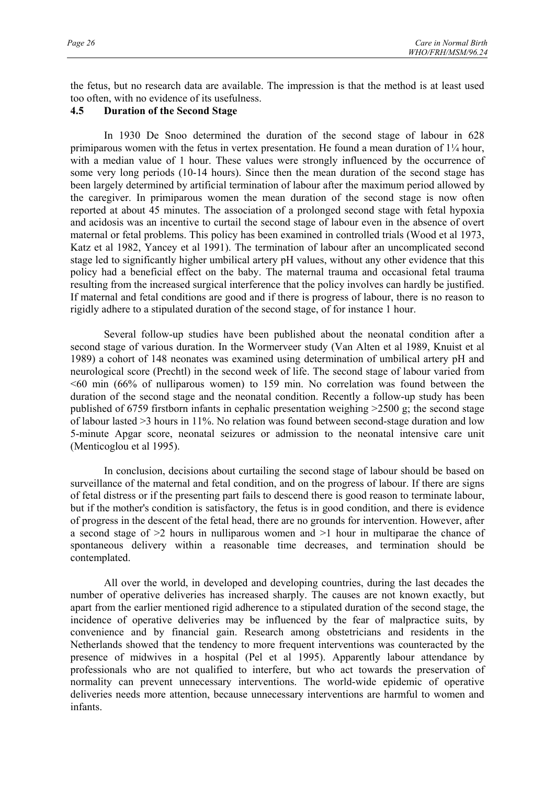the fetus, but no research data are available. The impression is that the method is at least used too often, with no evidence of its usefulness.

## **4.5 Duration of the Second Stage**

In 1930 De Snoo determined the duration of the second stage of labour in 628 primiparous women with the fetus in vertex presentation. He found a mean duration of 1¼ hour, with a median value of 1 hour. These values were strongly influenced by the occurrence of some very long periods (10-14 hours). Since then the mean duration of the second stage has been largely determined by artificial termination of labour after the maximum period allowed by the caregiver. In primiparous women the mean duration of the second stage is now often reported at about 45 minutes. The association of a prolonged second stage with fetal hypoxia and acidosis was an incentive to curtail the second stage of labour even in the absence of overt maternal or fetal problems. This policy has been examined in controlled trials (Wood et al 1973, Katz et al 1982, Yancey et al 1991). The termination of labour after an uncomplicated second stage led to significantly higher umbilical artery pH values, without any other evidence that this policy had a beneficial effect on the baby. The maternal trauma and occasional fetal trauma resulting from the increased surgical interference that the policy involves can hardly be justified. If maternal and fetal conditions are good and if there is progress of labour, there is no reason to rigidly adhere to a stipulated duration of the second stage, of for instance 1 hour.

Several follow-up studies have been published about the neonatal condition after a second stage of various duration. In the Wormerveer study (Van Alten et al 1989, Knuist et al 1989) a cohort of 148 neonates was examined using determination of umbilical artery pH and neurological score (Prechtl) in the second week of life. The second stage of labour varied from  $\leq 60$  min (66% of nulliparous women) to 159 min. No correlation was found between the duration of the second stage and the neonatal condition. Recently a follow-up study has been published of 6759 firstborn infants in cephalic presentation weighing >2500 g; the second stage of labour lasted >3 hours in 11%. No relation was found between second-stage duration and low 5-minute Apgar score, neonatal seizures or admission to the neonatal intensive care unit (Menticoglou et al 1995).

In conclusion, decisions about curtailing the second stage of labour should be based on surveillance of the maternal and fetal condition, and on the progress of labour. If there are signs of fetal distress or if the presenting part fails to descend there is good reason to terminate labour, but if the mother's condition is satisfactory, the fetus is in good condition, and there is evidence of progress in the descent of the fetal head, there are no grounds for intervention. However, after a second stage of >2 hours in nulliparous women and >1 hour in multiparae the chance of spontaneous delivery within a reasonable time decreases, and termination should be contemplated.

All over the world, in developed and developing countries, during the last decades the number of operative deliveries has increased sharply. The causes are not known exactly, but apart from the earlier mentioned rigid adherence to a stipulated duration of the second stage, the incidence of operative deliveries may be influenced by the fear of malpractice suits, by convenience and by financial gain. Research among obstetricians and residents in the Netherlands showed that the tendency to more frequent interventions was counteracted by the presence of midwives in a hospital (Pel et al 1995). Apparently labour attendance by professionals who are not qualified to interfere, but who act towards the preservation of normality can prevent unnecessary interventions. The world-wide epidemic of operative deliveries needs more attention, because unnecessary interventions are harmful to women and infants.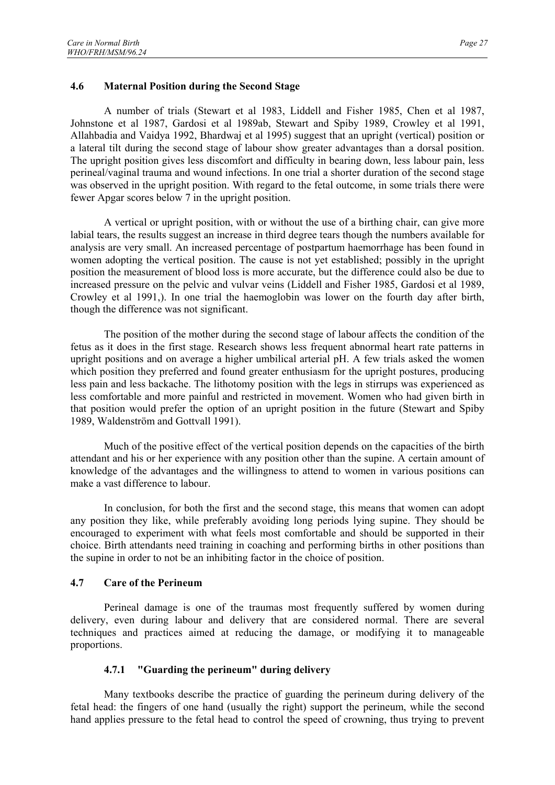#### **4.6 Maternal Position during the Second Stage**

A number of trials (Stewart et al 1983, Liddell and Fisher 1985, Chen et al 1987, Johnstone et al 1987, Gardosi et al 1989ab, Stewart and Spiby 1989, Crowley et al 1991, Allahbadia and Vaidya 1992, Bhardwaj et al 1995) suggest that an upright (vertical) position or a lateral tilt during the second stage of labour show greater advantages than a dorsal position. The upright position gives less discomfort and difficulty in bearing down, less labour pain, less perineal/vaginal trauma and wound infections. In one trial a shorter duration of the second stage was observed in the upright position. With regard to the fetal outcome, in some trials there were fewer Apgar scores below 7 in the upright position.

A vertical or upright position, with or without the use of a birthing chair, can give more labial tears, the results suggest an increase in third degree tears though the numbers available for analysis are very small. An increased percentage of postpartum haemorrhage has been found in women adopting the vertical position. The cause is not yet established; possibly in the upright position the measurement of blood loss is more accurate, but the difference could also be due to increased pressure on the pelvic and vulvar veins (Liddell and Fisher 1985, Gardosi et al 1989, Crowley et al 1991,). In one trial the haemoglobin was lower on the fourth day after birth, though the difference was not significant.

The position of the mother during the second stage of labour affects the condition of the fetus as it does in the first stage. Research shows less frequent abnormal heart rate patterns in upright positions and on average a higher umbilical arterial pH. A few trials asked the women which position they preferred and found greater enthusiasm for the upright postures, producing less pain and less backache. The lithotomy position with the legs in stirrups was experienced as less comfortable and more painful and restricted in movement. Women who had given birth in that position would prefer the option of an upright position in the future (Stewart and Spiby 1989, Waldenström and Gottvall 1991).

Much of the positive effect of the vertical position depends on the capacities of the birth attendant and his or her experience with any position other than the supine. A certain amount of knowledge of the advantages and the willingness to attend to women in various positions can make a vast difference to labour.

In conclusion, for both the first and the second stage, this means that women can adopt any position they like, while preferably avoiding long periods lying supine. They should be encouraged to experiment with what feels most comfortable and should be supported in their choice. Birth attendants need training in coaching and performing births in other positions than the supine in order to not be an inhibiting factor in the choice of position.

#### **4.7 Care of the Perineum**

Perineal damage is one of the traumas most frequently suffered by women during delivery, even during labour and delivery that are considered normal. There are several techniques and practices aimed at reducing the damage, or modifying it to manageable proportions.

## **4.7.1 "Guarding the perineum" during delivery**

Many textbooks describe the practice of guarding the perineum during delivery of the fetal head: the fingers of one hand (usually the right) support the perineum, while the second hand applies pressure to the fetal head to control the speed of crowning, thus trying to prevent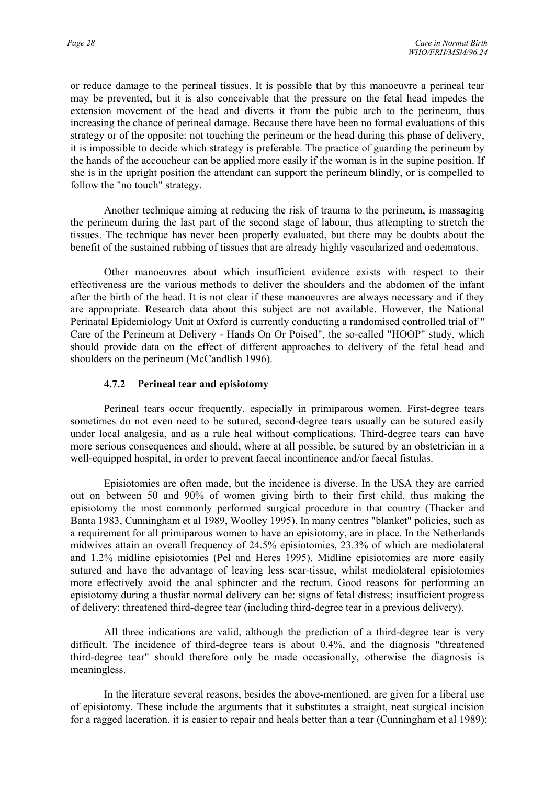or reduce damage to the perineal tissues. It is possible that by this manoeuvre a perineal tear may be prevented, but it is also conceivable that the pressure on the fetal head impedes the extension movement of the head and diverts it from the pubic arch to the perineum, thus increasing the chance of perineal damage. Because there have been no formal evaluations of this strategy or of the opposite: not touching the perineum or the head during this phase of delivery, it is impossible to decide which strategy is preferable. The practice of guarding the perineum by the hands of the accoucheur can be applied more easily if the woman is in the supine position. If she is in the upright position the attendant can support the perineum blindly, or is compelled to follow the "no touch" strategy.

Another technique aiming at reducing the risk of trauma to the perineum, is massaging the perineum during the last part of the second stage of labour, thus attempting to stretch the tissues. The technique has never been properly evaluated, but there may be doubts about the benefit of the sustained rubbing of tissues that are already highly vascularized and oedematous.

Other manoeuvres about which insufficient evidence exists with respect to their effectiveness are the various methods to deliver the shoulders and the abdomen of the infant after the birth of the head. It is not clear if these manoeuvres are always necessary and if they are appropriate. Research data about this subject are not available. However, the National Perinatal Epidemiology Unit at Oxford is currently conducting a randomised controlled trial of " Care of the Perineum at Delivery - Hands On Or Poised", the so-called "HOOP" study, which should provide data on the effect of different approaches to delivery of the fetal head and shoulders on the perineum (McCandlish 1996).

## **4.7.2 Perineal tear and episiotomy**

Perineal tears occur frequently, especially in primiparous women. First-degree tears sometimes do not even need to be sutured, second-degree tears usually can be sutured easily under local analgesia, and as a rule heal without complications. Third-degree tears can have more serious consequences and should, where at all possible, be sutured by an obstetrician in a well-equipped hospital, in order to prevent faecal incontinence and/or faecal fistulas.

Episiotomies are often made, but the incidence is diverse. In the USA they are carried out on between 50 and 90% of women giving birth to their first child, thus making the episiotomy the most commonly performed surgical procedure in that country (Thacker and Banta 1983, Cunningham et al 1989, Woolley 1995). In many centres "blanket" policies, such as a requirement for all primiparous women to have an episiotomy, are in place. In the Netherlands midwives attain an overall frequency of 24.5% episiotomies, 23.3% of which are mediolateral and 1.2% midline episiotomies (Pel and Heres 1995). Midline episiotomies are more easily sutured and have the advantage of leaving less scar-tissue, whilst mediolateral episiotomies more effectively avoid the anal sphincter and the rectum. Good reasons for performing an episiotomy during a thusfar normal delivery can be: signs of fetal distress; insufficient progress of delivery; threatened third-degree tear (including third-degree tear in a previous delivery).

All three indications are valid, although the prediction of a third-degree tear is very difficult. The incidence of third-degree tears is about 0.4%, and the diagnosis "threatened third-degree tear" should therefore only be made occasionally, otherwise the diagnosis is meaningless.

In the literature several reasons, besides the above-mentioned, are given for a liberal use of episiotomy. These include the arguments that it substitutes a straight, neat surgical incision for a ragged laceration, it is easier to repair and heals better than a tear (Cunningham et al 1989);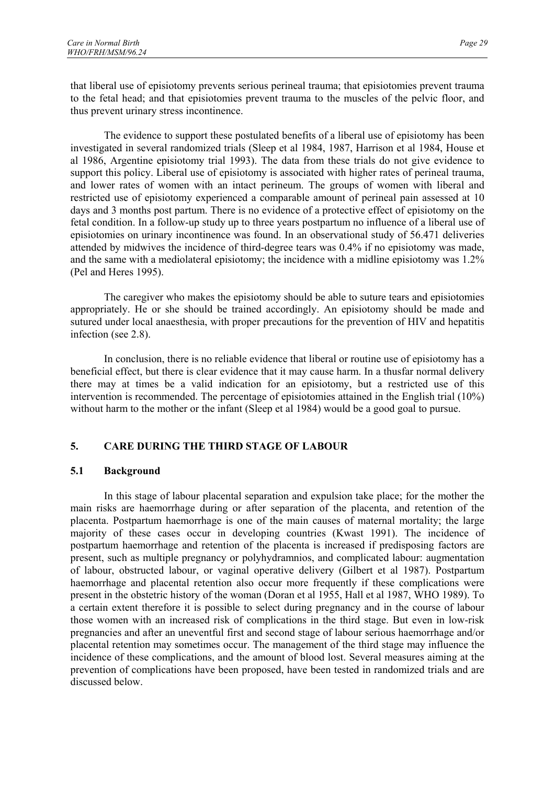that liberal use of episiotomy prevents serious perineal trauma; that episiotomies prevent trauma to the fetal head; and that episiotomies prevent trauma to the muscles of the pelvic floor, and thus prevent urinary stress incontinence.

The evidence to support these postulated benefits of a liberal use of episiotomy has been investigated in several randomized trials (Sleep et al 1984, 1987, Harrison et al 1984, House et al 1986, Argentine episiotomy trial 1993). The data from these trials do not give evidence to support this policy. Liberal use of episiotomy is associated with higher rates of perineal trauma, and lower rates of women with an intact perineum. The groups of women with liberal and restricted use of episiotomy experienced a comparable amount of perineal pain assessed at 10 days and 3 months post partum. There is no evidence of a protective effect of episiotomy on the fetal condition. In a follow-up study up to three years postpartum no influence of a liberal use of episiotomies on urinary incontinence was found. In an observational study of 56.471 deliveries attended by midwives the incidence of third-degree tears was 0.4% if no episiotomy was made, and the same with a mediolateral episiotomy; the incidence with a midline episiotomy was 1.2% (Pel and Heres 1995).

The caregiver who makes the episiotomy should be able to suture tears and episiotomies appropriately. He or she should be trained accordingly. An episiotomy should be made and sutured under local anaesthesia, with proper precautions for the prevention of HIV and hepatitis infection (see 2.8).

In conclusion, there is no reliable evidence that liberal or routine use of episiotomy has a beneficial effect, but there is clear evidence that it may cause harm. In a thusfar normal delivery there may at times be a valid indication for an episiotomy, but a restricted use of this intervention is recommended. The percentage of episiotomies attained in the English trial (10%) without harm to the mother or the infant (Sleep et al 1984) would be a good goal to pursue.

## **5. CARE DURING THE THIRD STAGE OF LABOUR**

### **5.1 Background**

In this stage of labour placental separation and expulsion take place; for the mother the main risks are haemorrhage during or after separation of the placenta, and retention of the placenta. Postpartum haemorrhage is one of the main causes of maternal mortality; the large majority of these cases occur in developing countries (Kwast 1991). The incidence of postpartum haemorrhage and retention of the placenta is increased if predisposing factors are present, such as multiple pregnancy or polyhydramnios, and complicated labour: augmentation of labour, obstructed labour, or vaginal operative delivery (Gilbert et al 1987). Postpartum haemorrhage and placental retention also occur more frequently if these complications were present in the obstetric history of the woman (Doran et al 1955, Hall et al 1987, WHO 1989). To a certain extent therefore it is possible to select during pregnancy and in the course of labour those women with an increased risk of complications in the third stage. But even in low-risk pregnancies and after an uneventful first and second stage of labour serious haemorrhage and/or placental retention may sometimes occur. The management of the third stage may influence the incidence of these complications, and the amount of blood lost. Several measures aiming at the prevention of complications have been proposed, have been tested in randomized trials and are discussed below.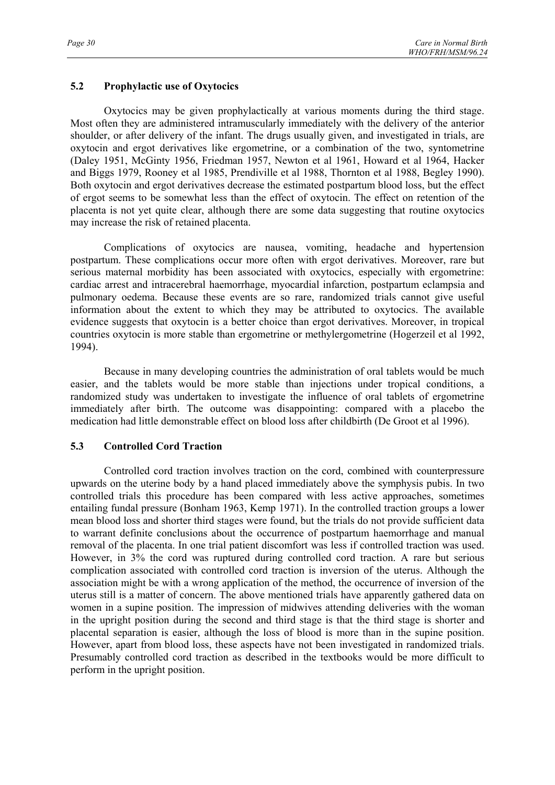## **5.2 Prophylactic use of Oxytocics**

Oxytocics may be given prophylactically at various moments during the third stage. Most often they are administered intramuscularly immediately with the delivery of the anterior shoulder, or after delivery of the infant. The drugs usually given, and investigated in trials, are oxytocin and ergot derivatives like ergometrine, or a combination of the two, syntometrine (Daley 1951, McGinty 1956, Friedman 1957, Newton et al 1961, Howard et al 1964, Hacker and Biggs 1979, Rooney et al 1985, Prendiville et al 1988, Thornton et al 1988, Begley 1990). Both oxytocin and ergot derivatives decrease the estimated postpartum blood loss, but the effect of ergot seems to be somewhat less than the effect of oxytocin. The effect on retention of the placenta is not yet quite clear, although there are some data suggesting that routine oxytocics may increase the risk of retained placenta.

Complications of oxytocics are nausea, vomiting, headache and hypertension postpartum. These complications occur more often with ergot derivatives. Moreover, rare but serious maternal morbidity has been associated with oxytocics, especially with ergometrine: cardiac arrest and intracerebral haemorrhage, myocardial infarction, postpartum eclampsia and pulmonary oedema. Because these events are so rare, randomized trials cannot give useful information about the extent to which they may be attributed to oxytocics. The available evidence suggests that oxytocin is a better choice than ergot derivatives. Moreover, in tropical countries oxytocin is more stable than ergometrine or methylergometrine (Hogerzeil et al 1992, 1994).

Because in many developing countries the administration of oral tablets would be much easier, and the tablets would be more stable than injections under tropical conditions, a randomized study was undertaken to investigate the influence of oral tablets of ergometrine immediately after birth. The outcome was disappointing: compared with a placebo the medication had little demonstrable effect on blood loss after childbirth (De Groot et al 1996).

## **5.3 Controlled Cord Traction**

Controlled cord traction involves traction on the cord, combined with counterpressure upwards on the uterine body by a hand placed immediately above the symphysis pubis. In two controlled trials this procedure has been compared with less active approaches, sometimes entailing fundal pressure (Bonham 1963, Kemp 1971). In the controlled traction groups a lower mean blood loss and shorter third stages were found, but the trials do not provide sufficient data to warrant definite conclusions about the occurrence of postpartum haemorrhage and manual removal of the placenta. In one trial patient discomfort was less if controlled traction was used. However, in 3% the cord was ruptured during controlled cord traction. A rare but serious complication associated with controlled cord traction is inversion of the uterus. Although the association might be with a wrong application of the method, the occurrence of inversion of the uterus still is a matter of concern. The above mentioned trials have apparently gathered data on women in a supine position. The impression of midwives attending deliveries with the woman in the upright position during the second and third stage is that the third stage is shorter and placental separation is easier, although the loss of blood is more than in the supine position. However, apart from blood loss, these aspects have not been investigated in randomized trials. Presumably controlled cord traction as described in the textbooks would be more difficult to perform in the upright position.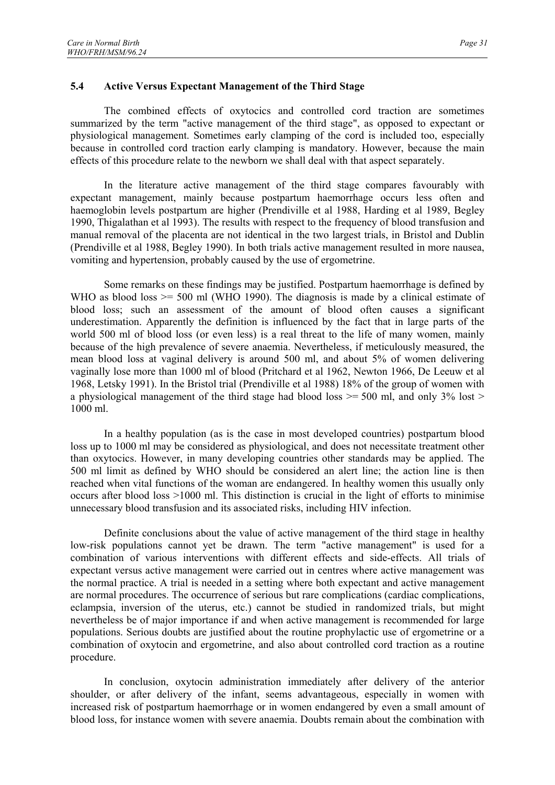#### **5.4 Active Versus Expectant Management of the Third Stage**

The combined effects of oxytocics and controlled cord traction are sometimes summarized by the term "active management of the third stage", as opposed to expectant or physiological management. Sometimes early clamping of the cord is included too, especially because in controlled cord traction early clamping is mandatory. However, because the main effects of this procedure relate to the newborn we shall deal with that aspect separately.

In the literature active management of the third stage compares favourably with expectant management, mainly because postpartum haemorrhage occurs less often and haemoglobin levels postpartum are higher (Prendiville et al 1988, Harding et al 1989, Begley 1990, Thigalathan et al 1993). The results with respect to the frequency of blood transfusion and manual removal of the placenta are not identical in the two largest trials, in Bristol and Dublin (Prendiville et al 1988, Begley 1990). In both trials active management resulted in more nausea, vomiting and hypertension, probably caused by the use of ergometrine.

Some remarks on these findings may be justified. Postpartum haemorrhage is defined by WHO as blood loss  $\ge$  500 ml (WHO 1990). The diagnosis is made by a clinical estimate of blood loss; such an assessment of the amount of blood often causes a significant underestimation. Apparently the definition is influenced by the fact that in large parts of the world 500 ml of blood loss (or even less) is a real threat to the life of many women, mainly because of the high prevalence of severe anaemia. Nevertheless, if meticulously measured, the mean blood loss at vaginal delivery is around 500 ml, and about 5% of women delivering vaginally lose more than 1000 ml of blood (Pritchard et al 1962, Newton 1966, De Leeuw et al 1968, Letsky 1991). In the Bristol trial (Prendiville et al 1988) 18% of the group of women with a physiological management of the third stage had blood loss  $\ge$  = 500 ml, and only 3% lost  $\ge$ 1000 ml.

In a healthy population (as is the case in most developed countries) postpartum blood loss up to 1000 ml may be considered as physiological, and does not necessitate treatment other than oxytocics. However, in many developing countries other standards may be applied. The 500 ml limit as defined by WHO should be considered an alert line; the action line is then reached when vital functions of the woman are endangered. In healthy women this usually only occurs after blood loss >1000 ml. This distinction is crucial in the light of efforts to minimise unnecessary blood transfusion and its associated risks, including HIV infection.

Definite conclusions about the value of active management of the third stage in healthy low-risk populations cannot yet be drawn. The term "active management" is used for a combination of various interventions with different effects and side-effects. All trials of expectant versus active management were carried out in centres where active management was the normal practice. A trial is needed in a setting where both expectant and active management are normal procedures. The occurrence of serious but rare complications (cardiac complications, eclampsia, inversion of the uterus, etc.) cannot be studied in randomized trials, but might nevertheless be of major importance if and when active management is recommended for large populations. Serious doubts are justified about the routine prophylactic use of ergometrine or a combination of oxytocin and ergometrine, and also about controlled cord traction as a routine procedure.

In conclusion, oxytocin administration immediately after delivery of the anterior shoulder, or after delivery of the infant, seems advantageous, especially in women with increased risk of postpartum haemorrhage or in women endangered by even a small amount of blood loss, for instance women with severe anaemia. Doubts remain about the combination with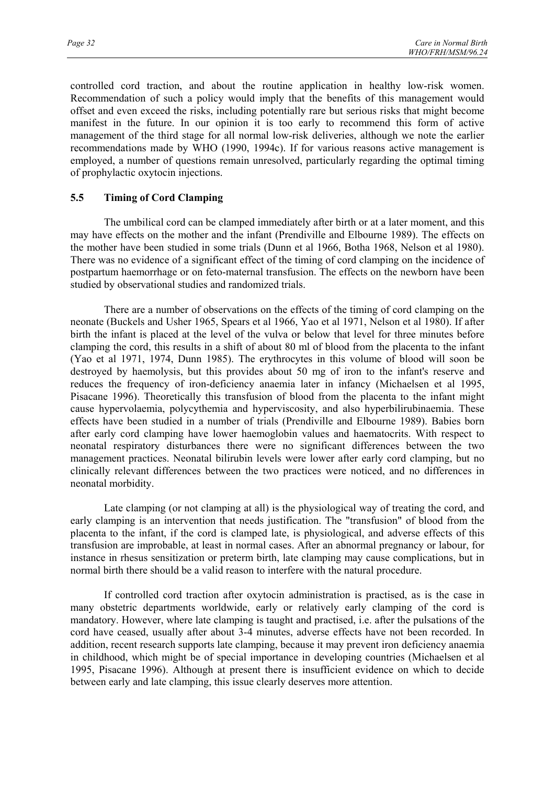controlled cord traction, and about the routine application in healthy low-risk women. Recommendation of such a policy would imply that the benefits of this management would offset and even exceed the risks, including potentially rare but serious risks that might become manifest in the future. In our opinion it is too early to recommend this form of active management of the third stage for all normal low-risk deliveries, although we note the earlier recommendations made by WHO (1990, 1994c). If for various reasons active management is employed, a number of questions remain unresolved, particularly regarding the optimal timing of prophylactic oxytocin injections.

## **5.5 Timing of Cord Clamping**

The umbilical cord can be clamped immediately after birth or at a later moment, and this may have effects on the mother and the infant (Prendiville and Elbourne 1989). The effects on the mother have been studied in some trials (Dunn et al 1966, Botha 1968, Nelson et al 1980). There was no evidence of a significant effect of the timing of cord clamping on the incidence of postpartum haemorrhage or on feto-maternal transfusion. The effects on the newborn have been studied by observational studies and randomized trials.

There are a number of observations on the effects of the timing of cord clamping on the neonate (Buckels and Usher 1965, Spears et al 1966, Yao et al 1971, Nelson et al 1980). If after birth the infant is placed at the level of the vulva or below that level for three minutes before clamping the cord, this results in a shift of about 80 ml of blood from the placenta to the infant (Yao et al 1971, 1974, Dunn 1985). The erythrocytes in this volume of blood will soon be destroyed by haemolysis, but this provides about 50 mg of iron to the infant's reserve and reduces the frequency of iron-deficiency anaemia later in infancy (Michaelsen et al 1995, Pisacane 1996). Theoretically this transfusion of blood from the placenta to the infant might cause hypervolaemia, polycythemia and hyperviscosity, and also hyperbilirubinaemia. These effects have been studied in a number of trials (Prendiville and Elbourne 1989). Babies born after early cord clamping have lower haemoglobin values and haematocrits. With respect to neonatal respiratory disturbances there were no significant differences between the two management practices. Neonatal bilirubin levels were lower after early cord clamping, but no clinically relevant differences between the two practices were noticed, and no differences in neonatal morbidity.

Late clamping (or not clamping at all) is the physiological way of treating the cord, and early clamping is an intervention that needs justification. The "transfusion" of blood from the placenta to the infant, if the cord is clamped late, is physiological, and adverse effects of this transfusion are improbable, at least in normal cases. After an abnormal pregnancy or labour, for instance in rhesus sensitization or preterm birth, late clamping may cause complications, but in normal birth there should be a valid reason to interfere with the natural procedure.

If controlled cord traction after oxytocin administration is practised, as is the case in many obstetric departments worldwide, early or relatively early clamping of the cord is mandatory. However, where late clamping is taught and practised, i.e. after the pulsations of the cord have ceased, usually after about 3-4 minutes, adverse effects have not been recorded. In addition, recent research supports late clamping, because it may prevent iron deficiency anaemia in childhood, which might be of special importance in developing countries (Michaelsen et al 1995, Pisacane 1996). Although at present there is insufficient evidence on which to decide between early and late clamping, this issue clearly deserves more attention.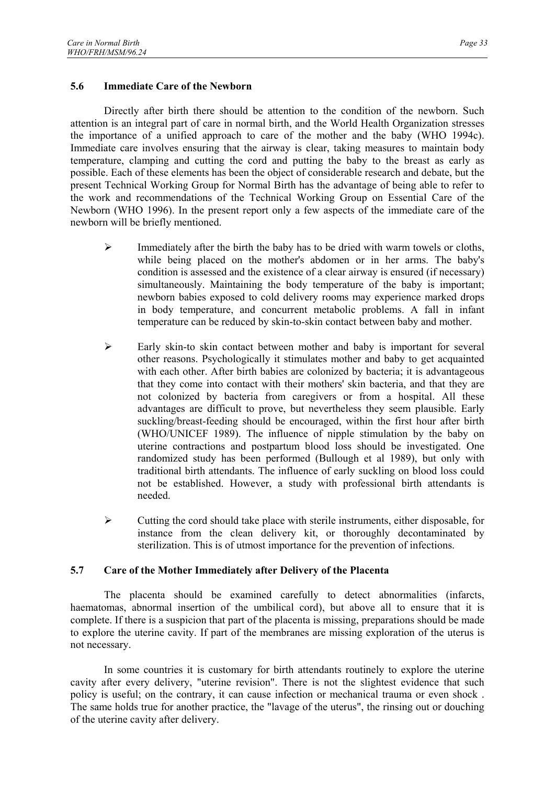### **5.6 Immediate Care of the Newborn**

Directly after birth there should be attention to the condition of the newborn. Such attention is an integral part of care in normal birth, and the World Health Organization stresses the importance of a unified approach to care of the mother and the baby (WHO 1994c). Immediate care involves ensuring that the airway is clear, taking measures to maintain body temperature, clamping and cutting the cord and putting the baby to the breast as early as possible. Each of these elements has been the object of considerable research and debate, but the present Technical Working Group for Normal Birth has the advantage of being able to refer to the work and recommendations of the Technical Working Group on Essential Care of the Newborn (WHO 1996). In the present report only a few aspects of the immediate care of the newborn will be briefly mentioned.

- $\triangleright$  Immediately after the birth the baby has to be dried with warm towels or cloths, while being placed on the mother's abdomen or in her arms. The baby's condition is assessed and the existence of a clear airway is ensured (if necessary) simultaneously. Maintaining the body temperature of the baby is important; newborn babies exposed to cold delivery rooms may experience marked drops in body temperature, and concurrent metabolic problems. A fall in infant temperature can be reduced by skin-to-skin contact between baby and mother.
- $\triangleright$  Early skin-to skin contact between mother and baby is important for several other reasons. Psychologically it stimulates mother and baby to get acquainted with each other. After birth babies are colonized by bacteria; it is advantageous that they come into contact with their mothers' skin bacteria, and that they are not colonized by bacteria from caregivers or from a hospital. All these advantages are difficult to prove, but nevertheless they seem plausible. Early suckling/breast-feeding should be encouraged, within the first hour after birth (WHO/UNICEF 1989). The influence of nipple stimulation by the baby on uterine contractions and postpartum blood loss should be investigated. One randomized study has been performed (Bullough et al 1989), but only with traditional birth attendants. The influence of early suckling on blood loss could not be established. However, a study with professional birth attendants is needed.
- $\triangleright$  Cutting the cord should take place with sterile instruments, either disposable, for instance from the clean delivery kit, or thoroughly decontaminated by sterilization. This is of utmost importance for the prevention of infections.

#### **5.7 Care of the Mother Immediately after Delivery of the Placenta**

The placenta should be examined carefully to detect abnormalities (infarcts, haematomas, abnormal insertion of the umbilical cord), but above all to ensure that it is complete. If there is a suspicion that part of the placenta is missing, preparations should be made to explore the uterine cavity. If part of the membranes are missing exploration of the uterus is not necessary.

In some countries it is customary for birth attendants routinely to explore the uterine cavity after every delivery, "uterine revision". There is not the slightest evidence that such policy is useful; on the contrary, it can cause infection or mechanical trauma or even shock . The same holds true for another practice, the "lavage of the uterus", the rinsing out or douching of the uterine cavity after delivery.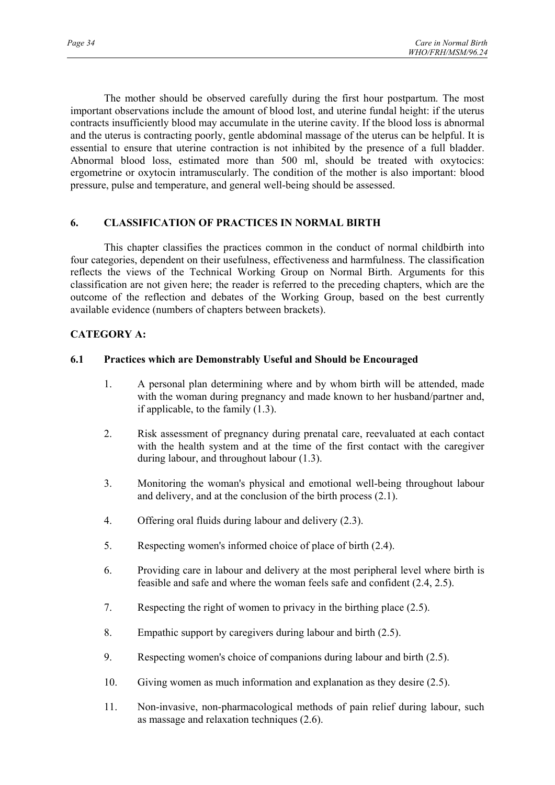The mother should be observed carefully during the first hour postpartum. The most important observations include the amount of blood lost, and uterine fundal height: if the uterus contracts insufficiently blood may accumulate in the uterine cavity. If the blood loss is abnormal and the uterus is contracting poorly, gentle abdominal massage of the uterus can be helpful. It is essential to ensure that uterine contraction is not inhibited by the presence of a full bladder. Abnormal blood loss, estimated more than 500 ml, should be treated with oxytocics: ergometrine or oxytocin intramuscularly. The condition of the mother is also important: blood pressure, pulse and temperature, and general well-being should be assessed.

## **6. CLASSIFICATION OF PRACTICES IN NORMAL BIRTH**

This chapter classifies the practices common in the conduct of normal childbirth into four categories, dependent on their usefulness, effectiveness and harmfulness. The classification reflects the views of the Technical Working Group on Normal Birth. Arguments for this classification are not given here; the reader is referred to the preceding chapters, which are the outcome of the reflection and debates of the Working Group, based on the best currently available evidence (numbers of chapters between brackets).

## **CATEGORY A:**

## **6.1 Practices which are Demonstrably Useful and Should be Encouraged**

- 1. A personal plan determining where and by whom birth will be attended, made with the woman during pregnancy and made known to her husband/partner and, if applicable, to the family (1.3).
- 2. Risk assessment of pregnancy during prenatal care, reevaluated at each contact with the health system and at the time of the first contact with the caregiver during labour, and throughout labour (1.3).
- 3. Monitoring the woman's physical and emotional well-being throughout labour and delivery, and at the conclusion of the birth process (2.1).
- 4. Offering oral fluids during labour and delivery (2.3).
- 5. Respecting women's informed choice of place of birth (2.4).
- 6. Providing care in labour and delivery at the most peripheral level where birth is feasible and safe and where the woman feels safe and confident (2.4, 2.5).
- 7. Respecting the right of women to privacy in the birthing place (2.5).
- 8. Empathic support by caregivers during labour and birth (2.5).
- 9. Respecting women's choice of companions during labour and birth (2.5).
- 10. Giving women as much information and explanation as they desire (2.5).
- 11. Non-invasive, non-pharmacological methods of pain relief during labour, such as massage and relaxation techniques (2.6).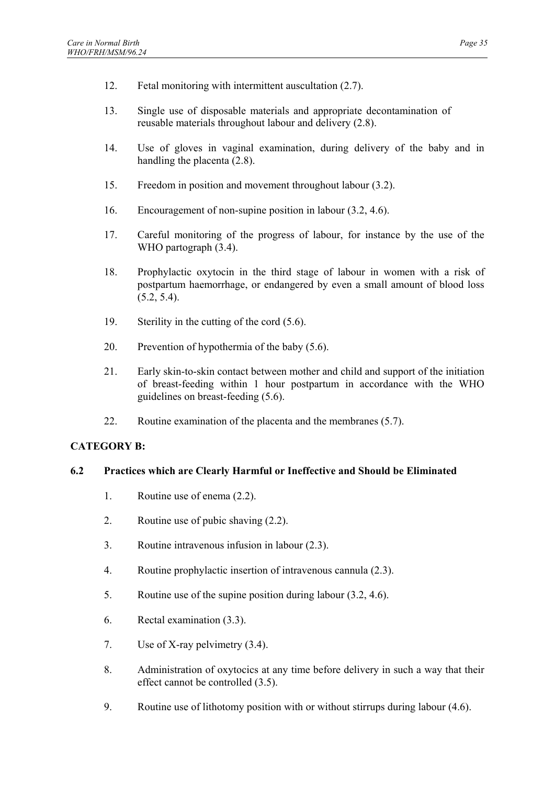- 12. Fetal monitoring with intermittent auscultation (2.7).
- 13. Single use of disposable materials and appropriate decontamination of reusable materials throughout labour and delivery (2.8).
- 14. Use of gloves in vaginal examination, during delivery of the baby and in handling the placenta (2.8).
- 15. Freedom in position and movement throughout labour (3.2).
- 16. Encouragement of non-supine position in labour (3.2, 4.6).
- 17. Careful monitoring of the progress of labour, for instance by the use of the WHO partograph (3.4).
- 18. Prophylactic oxytocin in the third stage of labour in women with a risk of postpartum haemorrhage, or endangered by even a small amount of blood loss  $(5.2, 5.4)$ .
- 19. Sterility in the cutting of the cord (5.6).
- 20. Prevention of hypothermia of the baby (5.6).
- 21. Early skin-to-skin contact between mother and child and support of the initiation of breast-feeding within 1 hour postpartum in accordance with the WHO guidelines on breast-feeding (5.6).
- 22. Routine examination of the placenta and the membranes (5.7).

## **CATEGORY B:**

## **6.2 Practices which are Clearly Harmful or Ineffective and Should be Eliminated**

- 1. Routine use of enema (2.2).
- 2. Routine use of pubic shaving (2.2).
- 3. Routine intravenous infusion in labour (2.3).
- 4. Routine prophylactic insertion of intravenous cannula (2.3).
- 5. Routine use of the supine position during labour (3.2, 4.6).
- 6. Rectal examination (3.3).
- 7. Use of X-ray pelvimetry (3.4).
- 8. Administration of oxytocics at any time before delivery in such a way that their effect cannot be controlled (3.5).
- 9. Routine use of lithotomy position with or without stirrups during labour (4.6).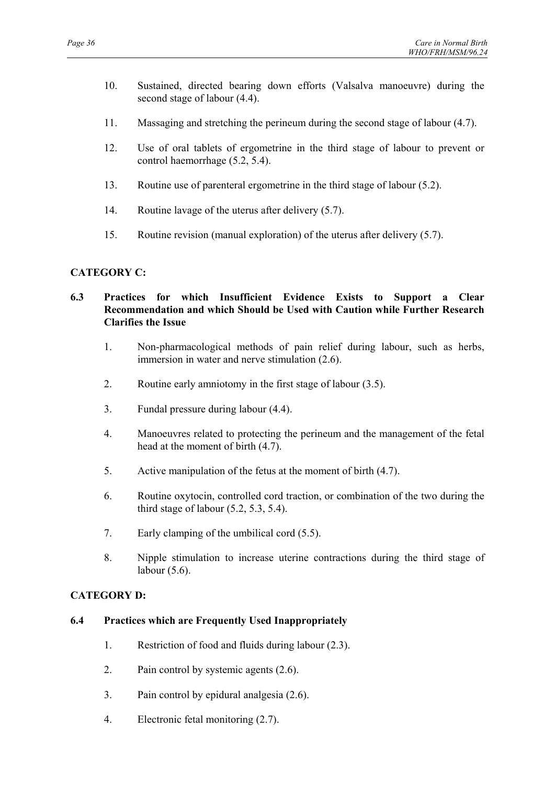- 10. Sustained, directed bearing down efforts (Valsalva manoeuvre) during the second stage of labour (4.4).
- 11. Massaging and stretching the perineum during the second stage of labour (4.7).
- 12. Use of oral tablets of ergometrine in the third stage of labour to prevent or control haemorrhage (5.2, 5.4).
- 13. Routine use of parenteral ergometrine in the third stage of labour (5.2).
- 14. Routine lavage of the uterus after delivery (5.7).
- 15. Routine revision (manual exploration) of the uterus after delivery (5.7).

## **CATEGORY C:**

# **6.3 Practices for which Insufficient Evidence Exists to Support a Clear Recommendation and which Should be Used with Caution while Further Research Clarifies the Issue**

- 1. Non-pharmacological methods of pain relief during labour, such as herbs, immersion in water and nerve stimulation (2.6).
- 2. Routine early amniotomy in the first stage of labour (3.5).
- 3. Fundal pressure during labour (4.4).
- 4. Manoeuvres related to protecting the perineum and the management of the fetal head at the moment of birth (4.7).
- 5. Active manipulation of the fetus at the moment of birth (4.7).
- 6. Routine oxytocin, controlled cord traction, or combination of the two during the third stage of labour  $(5.2, 5.3, 5.4)$ .
- 7. Early clamping of the umbilical cord (5.5).
- 8. Nipple stimulation to increase uterine contractions during the third stage of labour (5.6).

## **CATEGORY D:**

### **6.4 Practices which are Frequently Used Inappropriately**

- 1. Restriction of food and fluids during labour (2.3).
- 2. Pain control by systemic agents (2.6).
- 3. Pain control by epidural analgesia (2.6).
- 4. Electronic fetal monitoring (2.7).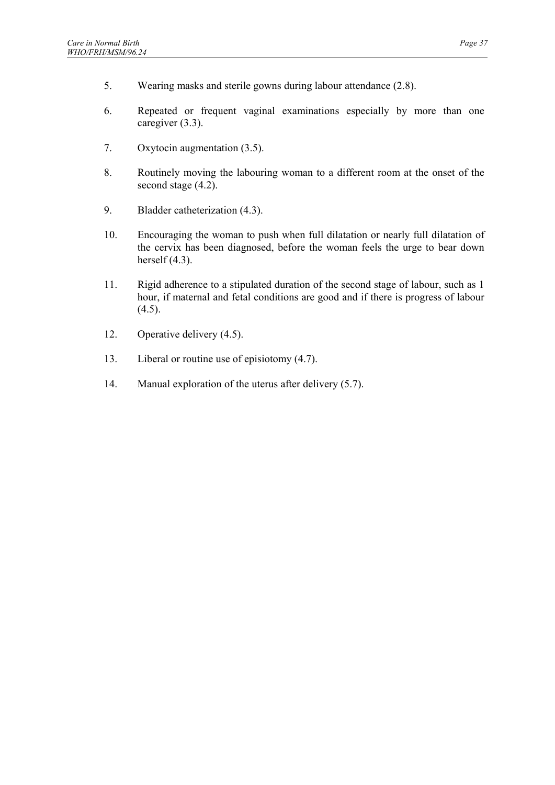- 5. Wearing masks and sterile gowns during labour attendance (2.8).
- 6. Repeated or frequent vaginal examinations especially by more than one caregiver (3.3).
- 7. Oxytocin augmentation (3.5).
- 8. Routinely moving the labouring woman to a different room at the onset of the second stage (4.2).
- 9. Bladder catheterization (4.3).
- 10. Encouraging the woman to push when full dilatation or nearly full dilatation of the cervix has been diagnosed, before the woman feels the urge to bear down herself  $(4.3)$ .
- 11. Rigid adherence to a stipulated duration of the second stage of labour, such as 1 hour, if maternal and fetal conditions are good and if there is progress of labour  $(4.5)$ .
- 12. Operative delivery (4.5).
- 13. Liberal or routine use of episiotomy (4.7).
- 14. Manual exploration of the uterus after delivery (5.7).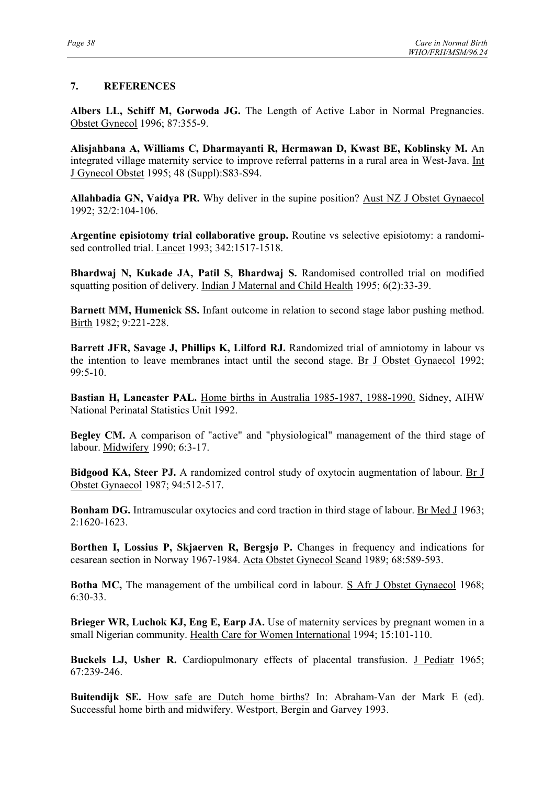## **7. REFERENCES**

**Albers LL, Schiff M, Gorwoda JG.** The Length of Active Labor in Normal Pregnancies. Obstet Gynecol 1996; 87:355-9.

**Alisjahbana A, Williams C, Dharmayanti R, Hermawan D, Kwast BE, Koblinsky M.** An integrated village maternity service to improve referral patterns in a rural area in West-Java. Int J Gynecol Obstet 1995; 48 (Suppl):S83-S94.

**Allahbadia GN, Vaidya PR.** Why deliver in the supine position? Aust NZ J Obstet Gynaecol 1992; 32/2:104-106.

**Argentine episiotomy trial collaborative group.** Routine vs selective episiotomy: a randomised controlled trial. Lancet 1993; 342:1517-1518.

**Bhardwaj N, Kukade JA, Patil S, Bhardwaj S.** Randomised controlled trial on modified squatting position of delivery. Indian J Maternal and Child Health 1995; 6(2):33-39.

**Barnett MM, Humenick SS.** Infant outcome in relation to second stage labor pushing method. Birth 1982; 9:221-228.

**Barrett JFR, Savage J, Phillips K, Lilford RJ.** Randomized trial of amniotomy in labour vs the intention to leave membranes intact until the second stage. Br J Obstet Gynaecol 1992; 99:5-10.

**Bastian H, Lancaster PAL.** Home births in Australia 1985-1987, 1988-1990. Sidney, AIHW National Perinatal Statistics Unit 1992.

**Begley CM.** A comparison of "active" and "physiological" management of the third stage of labour. Midwifery 1990; 6:3-17.

**Bidgood KA, Steer PJ.** A randomized control study of oxytocin augmentation of labour. Br J Obstet Gynaecol 1987; 94:512-517.

**Bonham DG.** Intramuscular oxytocics and cord traction in third stage of labour. Br Med J 1963; 2:1620-1623.

**Borthen I, Lossius P, Skjaerven R, Bergsjø P.** Changes in frequency and indications for cesarean section in Norway 1967-1984. Acta Obstet Gynecol Scand 1989; 68:589-593.

**Botha MC,** The management of the umbilical cord in labour. S Afr J Obstet Gynaecol 1968; 6:30-33.

**Brieger WR, Luchok KJ, Eng E, Earp JA.** Use of maternity services by pregnant women in a small Nigerian community. Health Care for Women International 1994; 15:101-110.

Buckels LJ, Usher R. Cardiopulmonary effects of placental transfusion. J Pediatr 1965; 67:239-246.

**Buitendijk SE.** How safe are Dutch home births? In: Abraham-Van der Mark E (ed). Successful home birth and midwifery. Westport, Bergin and Garvey 1993.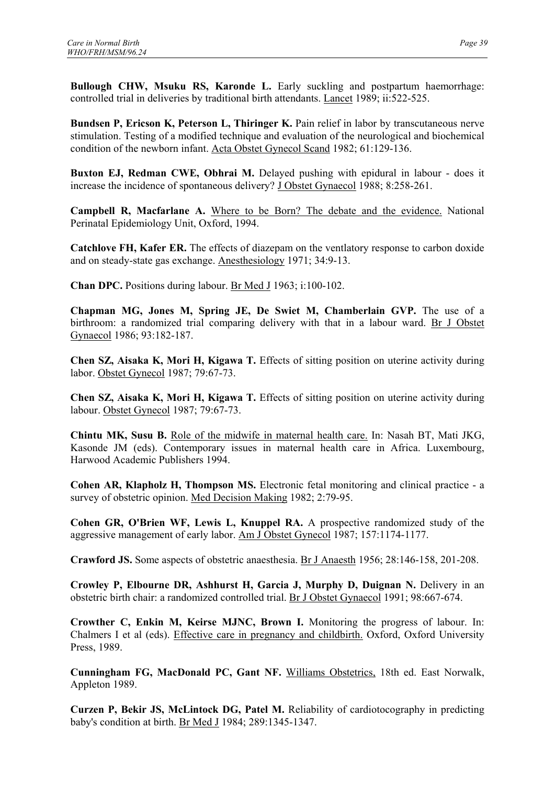**Bullough CHW, Msuku RS, Karonde L.** Early suckling and postpartum haemorrhage: controlled trial in deliveries by traditional birth attendants. Lancet 1989; ii:522-525.

**Bundsen P, Ericson K, Peterson L, Thiringer K.** Pain relief in labor by transcutaneous nerve stimulation. Testing of a modified technique and evaluation of the neurological and biochemical condition of the newborn infant. Acta Obstet Gynecol Scand 1982; 61:129-136.

**Buxton EJ, Redman CWE, Obhrai M.** Delayed pushing with epidural in labour - does it increase the incidence of spontaneous delivery? J Obstet Gynaecol 1988; 8:258-261.

**Campbell R, Macfarlane A.** Where to be Born? The debate and the evidence. National Perinatal Epidemiology Unit, Oxford, 1994.

**Catchlove FH, Kafer ER.** The effects of diazepam on the ventlatory response to carbon doxide and on steady-state gas exchange. Anesthesiology 1971; 34:9-13.

**Chan DPC.** Positions during labour. Br Med J 1963; i:100-102.

**Chapman MG, Jones M, Spring JE, De Swiet M, Chamberlain GVP.** The use of a birthroom: a randomized trial comparing delivery with that in a labour ward. Br J Obstet Gynaecol 1986; 93:182-187.

**Chen SZ, Aisaka K, Mori H, Kigawa T.** Effects of sitting position on uterine activity during labor. Obstet Gynecol 1987; 79:67-73.

**Chen SZ, Aisaka K, Mori H, Kigawa T.** Effects of sitting position on uterine activity during labour. Obstet Gynecol 1987; 79:67-73.

**Chintu MK, Susu B.** Role of the midwife in maternal health care. In: Nasah BT, Mati JKG, Kasonde JM (eds). Contemporary issues in maternal health care in Africa. Luxembourg, Harwood Academic Publishers 1994.

**Cohen AR, Klapholz H, Thompson MS.** Electronic fetal monitoring and clinical practice - a survey of obstetric opinion. Med Decision Making 1982; 2:79-95.

**Cohen GR, O'Brien WF, Lewis L, Knuppel RA.** A prospective randomized study of the aggressive management of early labor. Am J Obstet Gynecol 1987; 157:1174-1177.

**Crawford JS.** Some aspects of obstetric anaesthesia. Br J Anaesth 1956; 28:146-158, 201-208.

**Crowley P, Elbourne DR, Ashhurst H, Garcia J, Murphy D, Duignan N.** Delivery in an obstetric birth chair: a randomized controlled trial. Br J Obstet Gynaecol 1991; 98:667-674.

**Crowther C, Enkin M, Keirse MJNC, Brown I.** Monitoring the progress of labour. In: Chalmers I et al (eds). Effective care in pregnancy and childbirth. Oxford, Oxford University Press, 1989.

**Cunningham FG, MacDonald PC, Gant NF.** Williams Obstetrics, 18th ed. East Norwalk, Appleton 1989.

**Curzen P, Bekir JS, McLintock DG, Patel M.** Reliability of cardiotocography in predicting baby's condition at birth. Br Med J 1984; 289:1345-1347.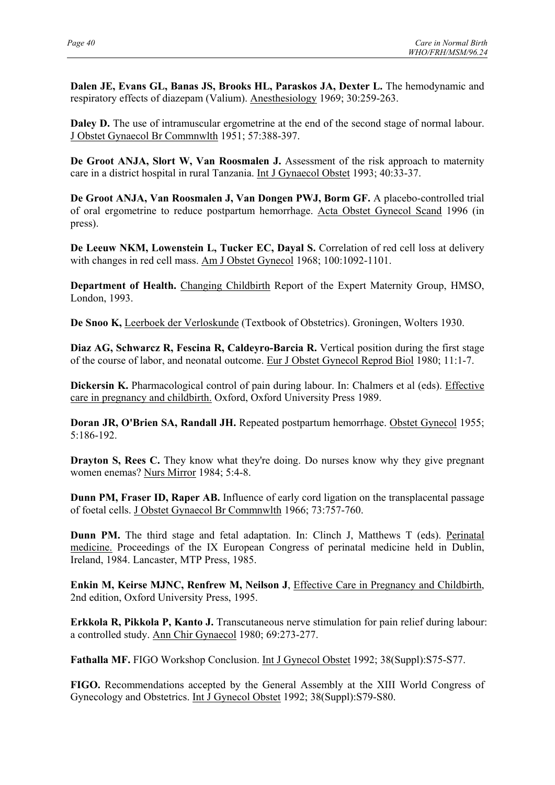**Dalen JE, Evans GL, Banas JS, Brooks HL, Paraskos JA, Dexter L.** The hemodynamic and respiratory effects of diazepam (Valium). Anesthesiology 1969; 30:259-263.

**Daley D.** The use of intramuscular ergometrine at the end of the second stage of normal labour. J Obstet Gynaecol Br Commnwlth 1951; 57:388-397.

**De Groot ANJA, Slort W, Van Roosmalen J.** Assessment of the risk approach to maternity care in a district hospital in rural Tanzania. Int J Gynaecol Obstet 1993; 40:33-37.

**De Groot ANJA, Van Roosmalen J, Van Dongen PWJ, Borm GF.** A placebo-controlled trial of oral ergometrine to reduce postpartum hemorrhage. Acta Obstet Gynecol Scand 1996 (in press).

**De Leeuw NKM, Lowenstein L, Tucker EC, Dayal S.** Correlation of red cell loss at delivery with changes in red cell mass. Am J Obstet Gynecol 1968; 100:1092-1101.

**Department of Health.** Changing Childbirth Report of the Expert Maternity Group, HMSO, London, 1993.

**De Snoo K,** Leerboek der Verloskunde (Textbook of Obstetrics). Groningen, Wolters 1930.

**Diaz AG, Schwarcz R, Fescina R, Caldeyro-Barcia R.** Vertical position during the first stage of the course of labor, and neonatal outcome. Eur J Obstet Gynecol Reprod Biol 1980; 11:1-7.

**Dickersin K.** Pharmacological control of pain during labour. In: Chalmers et al (eds). Effective care in pregnancy and childbirth. Oxford, Oxford University Press 1989.

**Doran JR, O'Brien SA, Randall JH.** Repeated postpartum hemorrhage. Obstet Gynecol 1955; 5:186-192.

**Drayton S, Rees C.** They know what they're doing. Do nurses know why they give pregnant women enemas? Nurs Mirror 1984; 5:4-8.

**Dunn PM, Fraser ID, Raper AB.** Influence of early cord ligation on the transplacental passage of foetal cells. J Obstet Gynaecol Br Commnwlth 1966; 73:757-760.

**Dunn PM.** The third stage and fetal adaptation. In: Clinch J, Matthews T (eds). Perinatal medicine. Proceedings of the IX European Congress of perinatal medicine held in Dublin, Ireland, 1984. Lancaster, MTP Press, 1985.

**Enkin M, Keirse MJNC, Renfrew M, Neilson J**, Effective Care in Pregnancy and Childbirth, 2nd edition, Oxford University Press, 1995.

**Erkkola R, Pikkola P, Kanto J.** Transcutaneous nerve stimulation for pain relief during labour: a controlled study. Ann Chir Gynaecol 1980; 69:273-277.

**Fathalla MF.** FIGO Workshop Conclusion. Int J Gynecol Obstet 1992; 38(Suppl):S75-S77.

**FIGO.** Recommendations accepted by the General Assembly at the XIII World Congress of Gynecology and Obstetrics. Int J Gynecol Obstet 1992; 38(Suppl):S79-S80.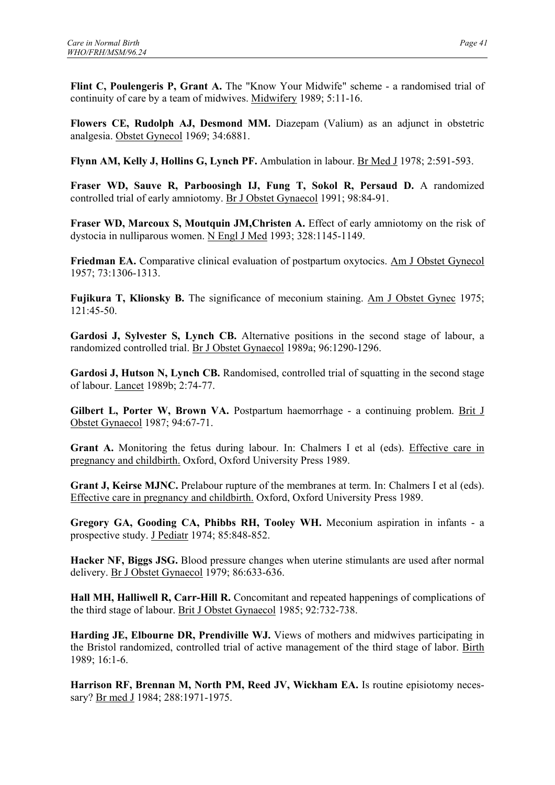**Flint C, Poulengeris P, Grant A.** The "Know Your Midwife" scheme - a randomised trial of continuity of care by a team of midwives. Midwifery 1989; 5:11-16.

**Flowers CE, Rudolph AJ, Desmond MM.** Diazepam (Valium) as an adjunct in obstetric analgesia. Obstet Gynecol 1969; 34:6881.

**Flynn AM, Kelly J, Hollins G, Lynch PF.** Ambulation in labour. Br Med J 1978; 2:591-593.

**Fraser WD, Sauve R, Parboosingh IJ, Fung T, Sokol R, Persaud D.** A randomized controlled trial of early amniotomy. Br J Obstet Gynaecol 1991; 98:84-91.

**Fraser WD, Marcoux S, Moutquin JM,Christen A.** Effect of early amniotomy on the risk of dystocia in nulliparous women. N Engl J Med 1993; 328:1145-1149.

**Friedman EA.** Comparative clinical evaluation of postpartum oxytocics. Am J Obstet Gynecol 1957; 73:1306-1313.

**Fujikura T, Klionsky B.** The significance of meconium staining. Am J Obstet Gynec 1975; 121:45-50.

**Gardosi J, Sylvester S, Lynch CB.** Alternative positions in the second stage of labour, a randomized controlled trial. Br J Obstet Gynaecol 1989a; 96:1290-1296.

**Gardosi J, Hutson N, Lynch CB.** Randomised, controlled trial of squatting in the second stage of labour. Lancet 1989b; 2:74-77.

**Gilbert L, Porter W, Brown VA.** Postpartum haemorrhage - a continuing problem. Brit J Obstet Gynaecol 1987; 94:67-71.

**Grant A.** Monitoring the fetus during labour. In: Chalmers I et al (eds). Effective care in pregnancy and childbirth. Oxford, Oxford University Press 1989.

**Grant J, Keirse MJNC.** Prelabour rupture of the membranes at term. In: Chalmers I et al (eds). Effective care in pregnancy and childbirth. Oxford, Oxford University Press 1989.

**Gregory GA, Gooding CA, Phibbs RH, Tooley WH.** Meconium aspiration in infants - a prospective study. J Pediatr 1974; 85:848-852.

**Hacker NF, Biggs JSG.** Blood pressure changes when uterine stimulants are used after normal delivery. Br J Obstet Gynaecol 1979; 86:633-636.

**Hall MH, Halliwell R, Carr-Hill R.** Concomitant and repeated happenings of complications of the third stage of labour. Brit J Obstet Gynaecol 1985; 92:732-738.

**Harding JE, Elbourne DR, Prendiville WJ.** Views of mothers and midwives participating in the Bristol randomized, controlled trial of active management of the third stage of labor. Birth 1989; 16:1-6.

**Harrison RF, Brennan M, North PM, Reed JV, Wickham EA.** Is routine episiotomy necessary? Br med J 1984; 288:1971-1975.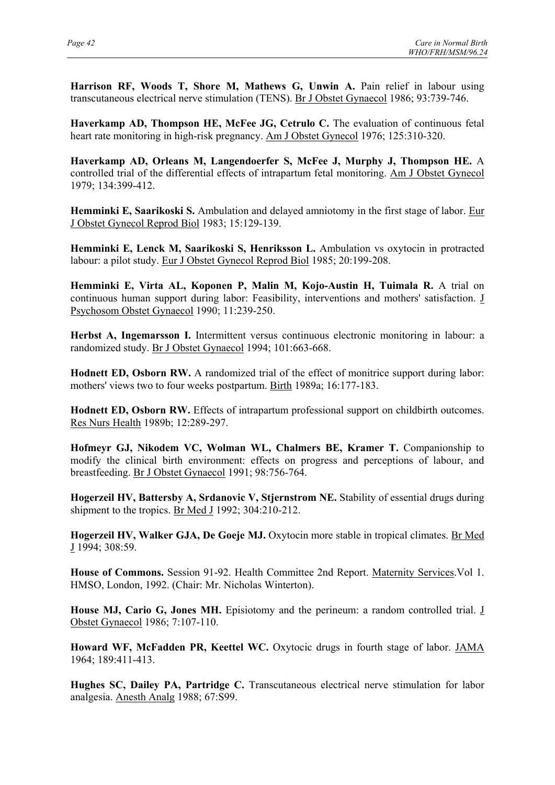**Harrison RF, Woods T, Shore M, Mathews G, Unwin A.** Pain relief in labour using transcutaneous electrical nerve stimulation (TENS). Br J Obstet Gynaecol 1986; 93:739-746.

**Haverkamp AD, Thompson HE, McFee JG, Cetrulo C.** The evaluation of continuous fetal heart rate monitoring in high-risk pregnancy. Am J Obstet Gynecol 1976; 125:310-320.

**Haverkamp AD, Orleans M, Langendoerfer S, McFee J, Murphy J, Thompson HE.** A controlled trial of the differential effects of intrapartum fetal monitoring. Am J Obstet Gynecol 1979; 134:399-412.

**Hemminki E, Saarikoski S.** Ambulation and delayed amniotomy in the first stage of labor. Eur J Obstet Gynecol Reprod Biol 1983; 15:129-139.

**Hemminki E, Lenck M, Saarikoski S, Henriksson L.** Ambulation vs oxytocin in protracted labour: a pilot study. Eur J Obstet Gynecol Reprod Biol 1985; 20:199-208.

**Hemminki E, Virta AL, Koponen P, Malin M, Kojo-Austin H, Tuimala R.** A trial on continuous human support during labor: Feasibility, interventions and mothers' satisfaction. J Psychosom Obstet Gynaecol 1990; 11:239-250.

Herbst A, Ingemarsson I. Intermittent versus continuous electronic monitoring in labour: a randomized study. Br J Obstet Gynaecol 1994; 101:663-668.

Hodnett ED, Osborn RW. A randomized trial of the effect of monitrice support during labor: mothers' views two to four weeks postpartum. Birth 1989a; 16:177-183.

**Hodnett ED, Osborn RW.** Effects of intrapartum professional support on childbirth outcomes. Res Nurs Health 1989b; 12:289-297.

**Hofmeyr GJ, Nikodem VC, Wolman WL, Chalmers BE, Kramer T.** Companionship to modify the clinical birth environment: effects on progress and perceptions of labour, and breastfeeding. Br J Obstet Gynaecol 1991; 98:756-764.

**Hogerzeil HV, Battersby A, Srdanovic V, Stjernstrom NE.** Stability of essential drugs during shipment to the tropics. Br Med J 1992; 304:210-212.

**Hogerzeil HV, Walker GJA, De Goeje MJ.** Oxytocin more stable in tropical climates. Br Med J 1994; 308:59.

**House of Commons.** Session 91-92. Health Committee 2nd Report. Maternity Services.Vol 1. HMSO, London, 1992. (Chair: Mr. Nicholas Winterton).

**House MJ, Cario G, Jones MH.** Episiotomy and the perineum: a random controlled trial. J Obstet Gynaecol 1986; 7:107-110.

**Howard WF, McFadden PR, Keettel WC.** Oxytocic drugs in fourth stage of labor. JAMA 1964; 189:411-413.

**Hughes SC, Dailey PA, Partridge C.** Transcutaneous electrical nerve stimulation for labor analgesia. Anesth Analg 1988; 67:S99.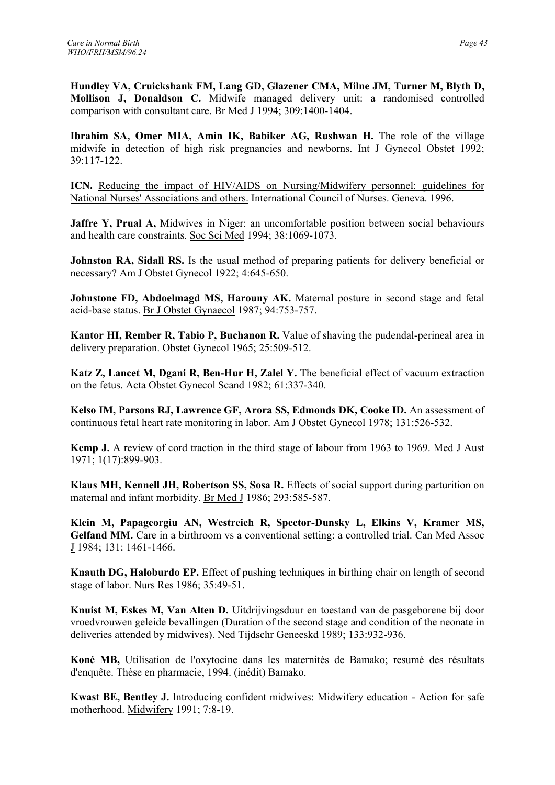**Hundley VA, Cruickshank FM, Lang GD, Glazener CMA, Milne JM, Turner M, Blyth D, Mollison J, Donaldson C.** Midwife managed delivery unit: a randomised controlled comparison with consultant care. Br Med J 1994; 309:1400-1404.

**Ibrahim SA, Omer MIA, Amin IK, Babiker AG, Rushwan H.** The role of the village midwife in detection of high risk pregnancies and newborns. Int J Gynecol Obstet 1992; 39:117-122.

**ICN.** Reducing the impact of HIV/AIDS on Nursing/Midwifery personnel: guidelines for National Nurses' Associations and others. International Council of Nurses. Geneva. 1996.

**Jaffre Y, Prual A,** Midwives in Niger: an uncomfortable position between social behaviours and health care constraints. Soc Sci Med 1994; 38:1069-1073.

**Johnston RA, Sidall RS.** Is the usual method of preparing patients for delivery beneficial or necessary? Am J Obstet Gynecol 1922; 4:645-650.

**Johnstone FD, Abdoelmagd MS, Harouny AK.** Maternal posture in second stage and fetal acid-base status. Br J Obstet Gynaecol 1987; 94:753-757.

**Kantor HI, Rember R, Tabio P, Buchanon R.** Value of shaving the pudendal-perineal area in delivery preparation. Obstet Gynecol 1965; 25:509-512.

**Katz Z, Lancet M, Dgani R, Ben-Hur H, Zalel Y.** The beneficial effect of vacuum extraction on the fetus. Acta Obstet Gynecol Scand 1982; 61:337-340.

**Kelso IM, Parsons RJ, Lawrence GF, Arora SS, Edmonds DK, Cooke ID.** An assessment of continuous fetal heart rate monitoring in labor. Am J Obstet Gynecol 1978; 131:526-532.

**Kemp J.** A review of cord traction in the third stage of labour from 1963 to 1969. Med J Aust 1971; 1(17):899-903.

**Klaus MH, Kennell JH, Robertson SS, Sosa R.** Effects of social support during parturition on maternal and infant morbidity. Br Med J 1986; 293:585-587.

**Klein M, Papageorgiu AN, Westreich R, Spector-Dunsky L, Elkins V, Kramer MS,**  Gelfand MM. Care in a birthroom vs a conventional setting: a controlled trial. Can Med Assoc J 1984; 131: 1461-1466.

**Knauth DG, Haloburdo EP.** Effect of pushing techniques in birthing chair on length of second stage of labor. Nurs Res 1986; 35:49-51.

**Knuist M, Eskes M, Van Alten D.** Uitdrijvingsduur en toestand van de pasgeborene bij door vroedvrouwen geleide bevallingen (Duration of the second stage and condition of the neonate in deliveries attended by midwives). Ned Tijdschr Geneeskd 1989; 133:932-936.

**Koné MB,** Utilisation de l'oxytocine dans les maternités de Bamako; resumé des résultats d'enquête. Thèse en pharmacie, 1994. (inédit) Bamako.

**Kwast BE, Bentley J.** Introducing confident midwives: Midwifery education - Action for safe motherhood. Midwifery 1991; 7:8-19.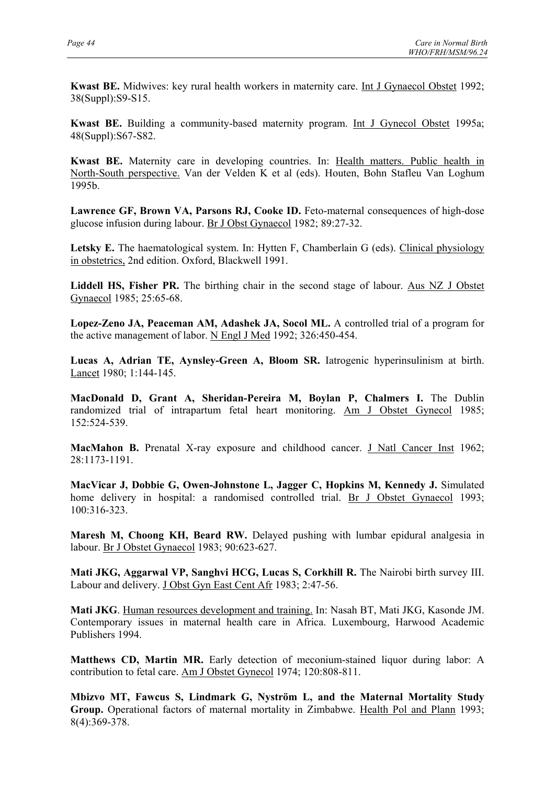**Kwast BE.** Midwives: key rural health workers in maternity care. Int J Gynaecol Obstet 1992; 38(Suppl):S9-S15.

**Kwast BE.** Building a community-based maternity program. Int J Gynecol Obstet 1995a; 48(Suppl):S67-S82.

**Kwast BE.** Maternity care in developing countries. In: Health matters. Public health in North-South perspective. Van der Velden K et al (eds). Houten, Bohn Stafleu Van Loghum 1995b.

**Lawrence GF, Brown VA, Parsons RJ, Cooke ID.** Feto-maternal consequences of high-dose glucose infusion during labour. Br J Obst Gynaecol 1982; 89:27-32.

Letsky E. The haematological system. In: Hytten F, Chamberlain G (eds). Clinical physiology in obstetrics, 2nd edition. Oxford, Blackwell 1991.

Liddell HS, Fisher PR. The birthing chair in the second stage of labour. Aus NZ J Obstet Gynaecol 1985; 25:65-68.

**Lopez-Zeno JA, Peaceman AM, Adashek JA, Socol ML.** A controlled trial of a program for the active management of labor. N Engl J Med 1992; 326:450-454.

**Lucas A, Adrian TE, Aynsley-Green A, Bloom SR.** Iatrogenic hyperinsulinism at birth. Lancet 1980; 1:144-145.

MacDonald D, Grant A, Sheridan-Pereira M, Boylan P, Chalmers I. The Dublin randomized trial of intrapartum fetal heart monitoring. Am J Obstet Gynecol 1985; 152:524-539.

MacMahon B. Prenatal X-ray exposure and childhood cancer. J Natl Cancer Inst 1962; 28:1173-1191.

**MacVicar J, Dobbie G, Owen-Johnstone L, Jagger C, Hopkins M, Kennedy J.** Simulated home delivery in hospital: a randomised controlled trial. Br J Obstet Gynaecol 1993; 100:316-323.

**Maresh M, Choong KH, Beard RW.** Delayed pushing with lumbar epidural analgesia in labour. Br J Obstet Gynaecol 1983; 90:623-627.

**Mati JKG, Aggarwal VP, Sanghvi HCG, Lucas S, Corkhill R.** The Nairobi birth survey III. Labour and delivery. J Obst Gyn East Cent Afr 1983; 2:47-56.

**Mati JKG**. Human resources development and training. In: Nasah BT, Mati JKG, Kasonde JM. Contemporary issues in maternal health care in Africa. Luxembourg, Harwood Academic Publishers 1994.

**Matthews CD, Martin MR.** Early detection of meconium-stained liquor during labor: A contribution to fetal care. Am J Obstet Gynecol 1974; 120:808-811.

**Mbizvo MT, Fawcus S, Lindmark G, Nyström L, and the Maternal Mortality Study Group.** Operational factors of maternal mortality in Zimbabwe. Health Pol and Plann 1993; 8(4):369-378.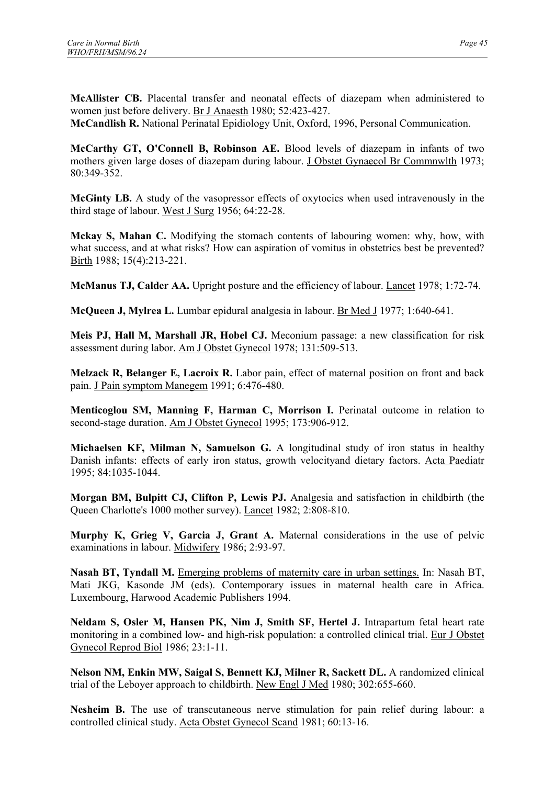**McAllister CB.** Placental transfer and neonatal effects of diazepam when administered to women just before delivery. Br J Anaesth 1980; 52:423-427.

**McCandlish R.** National Perinatal Epidiology Unit, Oxford, 1996, Personal Communication.

**McCarthy GT, O'Connell B, Robinson AE.** Blood levels of diazepam in infants of two mothers given large doses of diazepam during labour. J Obstet Gynaecol Br Commnwlth 1973; 80:349-352.

**McGinty LB.** A study of the vasopressor effects of oxytocics when used intravenously in the third stage of labour. West J Surg 1956; 64:22-28.

**Mckay S, Mahan C.** Modifying the stomach contents of labouring women: why, how, with what success, and at what risks? How can aspiration of vomitus in obstetrics best be prevented? Birth 1988; 15(4):213-221.

**McManus TJ, Calder AA.** Upright posture and the efficiency of labour. Lancet 1978; 1:72-74.

**McQueen J, Mylrea L.** Lumbar epidural analgesia in labour. Br Med J 1977; 1:640-641.

**Meis PJ, Hall M, Marshall JR, Hobel CJ.** Meconium passage: a new classification for risk assessment during labor. Am J Obstet Gynecol 1978; 131:509-513.

**Melzack R, Belanger E, Lacroix R.** Labor pain, effect of maternal position on front and back pain. J Pain symptom Manegem 1991; 6:476-480.

**Menticoglou SM, Manning F, Harman C, Morrison I.** Perinatal outcome in relation to second-stage duration. Am J Obstet Gynecol 1995; 173:906-912.

**Michaelsen KF, Milman N, Samuelson G.** A longitudinal study of iron status in healthy Danish infants: effects of early iron status, growth velocityand dietary factors. Acta Paediatr 1995; 84:1035-1044.

**Morgan BM, Bulpitt CJ, Clifton P, Lewis PJ.** Analgesia and satisfaction in childbirth (the Queen Charlotte's 1000 mother survey). Lancet 1982; 2:808-810.

**Murphy K, Grieg V, Garcia J, Grant A.** Maternal considerations in the use of pelvic examinations in labour. Midwifery 1986; 2:93-97.

**Nasah BT, Tyndall M.** Emerging problems of maternity care in urban settings. In: Nasah BT, Mati JKG, Kasonde JM (eds). Contemporary issues in maternal health care in Africa. Luxembourg, Harwood Academic Publishers 1994.

**Neldam S, Osler M, Hansen PK, Nim J, Smith SF, Hertel J.** Intrapartum fetal heart rate monitoring in a combined low- and high-risk population: a controlled clinical trial. Eur J Obstet Gynecol Reprod Biol 1986; 23:1-11.

**Nelson NM, Enkin MW, Saigal S, Bennett KJ, Milner R, Sackett DL.** A randomized clinical trial of the Leboyer approach to childbirth. New Engl J Med 1980; 302:655-660.

**Nesheim B.** The use of transcutaneous nerve stimulation for pain relief during labour: a controlled clinical study. Acta Obstet Gynecol Scand 1981; 60:13-16.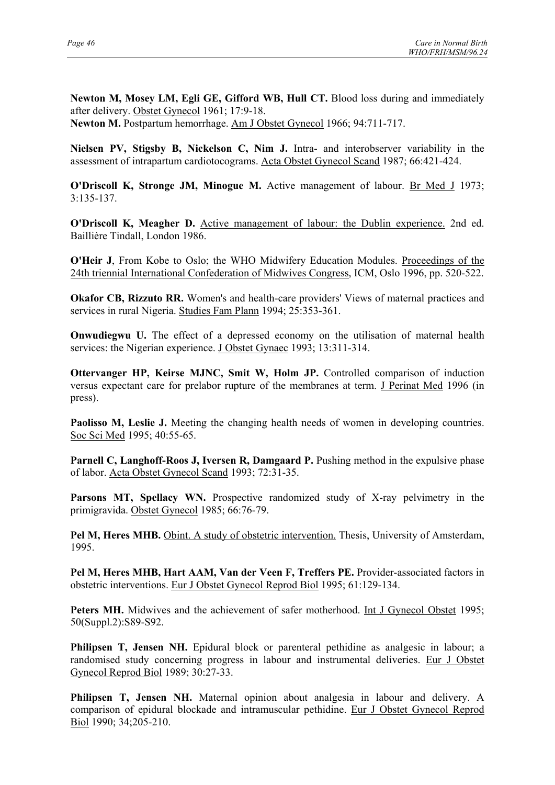**Newton M, Mosey LM, Egli GE, Gifford WB, Hull CT.** Blood loss during and immediately after delivery. Obstet Gynecol 1961; 17:9-18. **Newton M.** Postpartum hemorrhage. Am J Obstet Gynecol 1966; 94:711-717.

**Nielsen PV, Stigsby B, Nickelson C, Nim J.** Intra- and interobserver variability in the assessment of intrapartum cardiotocograms. Acta Obstet Gynecol Scand 1987; 66:421-424.

**O'Driscoll K, Stronge JM, Minogue M.** Active management of labour. Br Med J 1973; 3:135-137.

**O'Driscoll K, Meagher D.** Active management of labour: the Dublin experience. 2nd ed. Baillière Tindall, London 1986.

**O'Heir J**, From Kobe to Oslo; the WHO Midwifery Education Modules. Proceedings of the 24th triennial International Confederation of Midwives Congress, ICM, Oslo 1996, pp. 520-522.

**Okafor CB, Rizzuto RR.** Women's and health-care providers' Views of maternal practices and services in rural Nigeria. Studies Fam Plann 1994; 25:353-361.

**Onwudiegwu U.** The effect of a depressed economy on the utilisation of maternal health services: the Nigerian experience. J Obstet Gynaec 1993; 13:311-314.

**Ottervanger HP, Keirse MJNC, Smit W, Holm JP.** Controlled comparison of induction versus expectant care for prelabor rupture of the membranes at term. J Perinat Med 1996 (in press).

Paolisso M, Leslie J. Meeting the changing health needs of women in developing countries. Soc Sci Med 1995; 40:55-65.

**Parnell C, Langhoff-Roos J, Iversen R, Damgaard P.** Pushing method in the expulsive phase of labor. Acta Obstet Gynecol Scand 1993; 72:31-35.

Parsons MT, Spellacy WN. Prospective randomized study of X-ray pelvimetry in the primigravida. Obstet Gynecol 1985; 66:76-79.

**Pel M, Heres MHB.** Obint. A study of obstetric intervention. Thesis, University of Amsterdam, 1995.

**Pel M, Heres MHB, Hart AAM, Van der Veen F, Treffers PE.** Provider-associated factors in obstetric interventions. Eur J Obstet Gynecol Reprod Biol 1995; 61:129-134.

**Peters MH.** Midwives and the achievement of safer motherhood. Int J Gynecol Obstet 1995; 50(Suppl.2):S89-S92.

**Philipsen T, Jensen NH.** Epidural block or parenteral pethidine as analgesic in labour; a randomised study concerning progress in labour and instrumental deliveries. Eur J Obstet Gynecol Reprod Biol 1989; 30:27-33.

**Philipsen T, Jensen NH.** Maternal opinion about analgesia in labour and delivery. A comparison of epidural blockade and intramuscular pethidine. Eur J Obstet Gynecol Reprod Biol 1990; 34;205-210.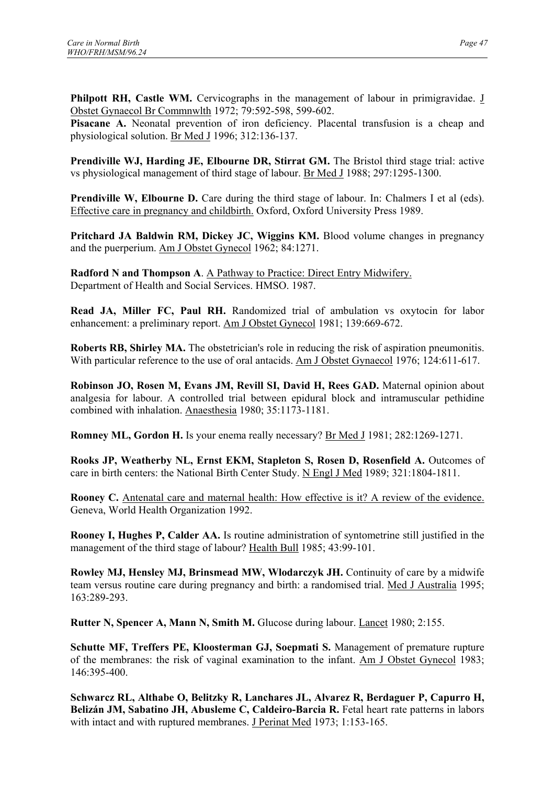**Philpott RH, Castle WM.** Cervicographs in the management of labour in primigravidae. J Obstet Gynaecol Br Commnwlth 1972; 79:592-598, 599-602.

**Pisacane A.** Neonatal prevention of iron deficiency. Placental transfusion is a cheap and physiological solution. Br Med J 1996; 312:136-137.

**Prendiville WJ, Harding JE, Elbourne DR, Stirrat GM.** The Bristol third stage trial: active vs physiological management of third stage of labour. Br Med J 1988; 297:1295-1300.

**Prendiville W, Elbourne D.** Care during the third stage of labour. In: Chalmers I et al (eds). Effective care in pregnancy and childbirth. Oxford, Oxford University Press 1989.

**Pritchard JA Baldwin RM, Dickey JC, Wiggins KM.** Blood volume changes in pregnancy and the puerperium. Am J Obstet Gynecol 1962; 84:1271.

**Radford N and Thompson A**. A Pathway to Practice: Direct Entry Midwifery. Department of Health and Social Services. HMSO. 1987.

**Read JA, Miller FC, Paul RH.** Randomized trial of ambulation vs oxytocin for labor enhancement: a preliminary report. Am J Obstet Gynecol 1981; 139:669-672.

**Roberts RB, Shirley MA.** The obstetrician's role in reducing the risk of aspiration pneumonitis. With particular reference to the use of oral antacids. Am J Obstet Gynaecol 1976; 124:611-617.

**Robinson JO, Rosen M, Evans JM, Revill SI, David H, Rees GAD.** Maternal opinion about analgesia for labour. A controlled trial between epidural block and intramuscular pethidine combined with inhalation. Anaesthesia 1980; 35:1173-1181.

**Romney ML, Gordon H.** Is your enema really necessary? Br Med J 1981; 282:1269-1271.

**Rooks JP, Weatherby NL, Ernst EKM, Stapleton S, Rosen D, Rosenfield A.** Outcomes of care in birth centers: the National Birth Center Study. N Engl J Med 1989; 321:1804-1811.

**Rooney C.** Antenatal care and maternal health: How effective is it? A review of the evidence. Geneva, World Health Organization 1992.

**Rooney I, Hughes P, Calder AA.** Is routine administration of syntometrine still justified in the management of the third stage of labour? Health Bull 1985; 43:99-101.

**Rowley MJ, Hensley MJ, Brinsmead MW, Wlodarczyk JH.** Continuity of care by a midwife team versus routine care during pregnancy and birth: a randomised trial. Med J Australia 1995; 163:289-293.

**Rutter N, Spencer A, Mann N, Smith M.** Glucose during labour. Lancet 1980; 2:155.

**Schutte MF, Treffers PE, Kloosterman GJ, Soepmati S.** Management of premature rupture of the membranes: the risk of vaginal examination to the infant. Am J Obstet Gynecol 1983; 146:395-400.

**Schwarcz RL, Althabe O, Belitzky R, Lanchares JL, Alvarez R, Berdaguer P, Capurro H, Belizán JM, Sabatino JH, Abusleme C, Caldeiro-Barcia R.** Fetal heart rate patterns in labors with intact and with ruptured membranes. J Perinat Med 1973; 1:153-165.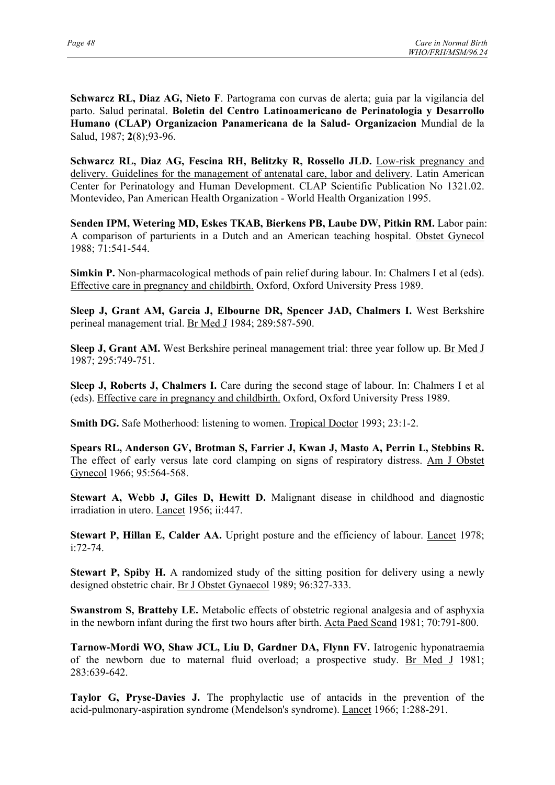**Schwarcz RL, Diaz AG, Nieto F**. Partograma con curvas de alerta; guia par la vigilancia del parto. Salud perinatal. **Boletin del Centro Latinoamericano de Perinatologia y Desarrollo Humano (CLAP) Organizacion Panamericana de la Salud- Organizacion** Mundial de la Salud, 1987; **2**(8);93-96.

**Schwarcz RL, Diaz AG, Fescina RH, Belitzky R, Rossello JLD.** Low-risk pregnancy and delivery. Guidelines for the management of antenatal care, labor and delivery. Latin American Center for Perinatology and Human Development. CLAP Scientific Publication No 1321.02. Montevideo, Pan American Health Organization - World Health Organization 1995.

**Senden IPM, Wetering MD, Eskes TKAB, Bierkens PB, Laube DW, Pitkin RM.** Labor pain: A comparison of parturients in a Dutch and an American teaching hospital. Obstet Gynecol 1988; 71:541-544.

**Simkin P.** Non-pharmacological methods of pain relief during labour. In: Chalmers I et al (eds). Effective care in pregnancy and childbirth. Oxford, Oxford University Press 1989.

**Sleep J, Grant AM, Garcia J, Elbourne DR, Spencer JAD, Chalmers I.** West Berkshire perineal management trial. Br Med J 1984; 289:587-590.

**Sleep J, Grant AM.** West Berkshire perineal management trial: three year follow up. Br Med J 1987; 295:749-751.

**Sleep J, Roberts J, Chalmers I.** Care during the second stage of labour. In: Chalmers I et al (eds). Effective care in pregnancy and childbirth. Oxford, Oxford University Press 1989.

**Smith DG.** Safe Motherhood: listening to women. Tropical Doctor 1993; 23:1-2.

**Spears RL, Anderson GV, Brotman S, Farrier J, Kwan J, Masto A, Perrin L, Stebbins R.** The effect of early versus late cord clamping on signs of respiratory distress. Am J Obstet Gynecol 1966; 95:564-568.

**Stewart A, Webb J, Giles D, Hewitt D.** Malignant disease in childhood and diagnostic irradiation in utero. Lancet 1956; ii:447.

**Stewart P, Hillan E, Calder AA.** Upright posture and the efficiency of labour. Lancet 1978; i:72-74.

**Stewart P, Spiby H.** A randomized study of the sitting position for delivery using a newly designed obstetric chair. Br J Obstet Gynaecol 1989; 96:327-333.

**Swanstrom S, Bratteby LE.** Metabolic effects of obstetric regional analgesia and of asphyxia in the newborn infant during the first two hours after birth. Acta Paed Scand 1981; 70:791-800.

**Tarnow-Mordi WO, Shaw JCL, Liu D, Gardner DA, Flynn FV.** Iatrogenic hyponatraemia of the newborn due to maternal fluid overload; a prospective study. Br Med J 1981; 283:639-642.

**Taylor G, Pryse-Davies J.** The prophylactic use of antacids in the prevention of the acid-pulmonary-aspiration syndrome (Mendelson's syndrome). Lancet 1966; 1:288-291.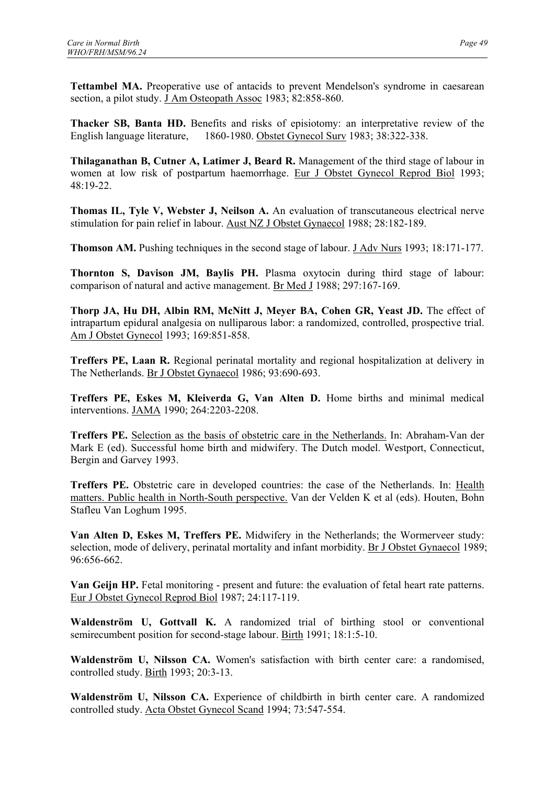**Tettambel MA.** Preoperative use of antacids to prevent Mendelson's syndrome in caesarean section, a pilot study. J Am Osteopath Assoc 1983; 82:858-860.

**Thacker SB, Banta HD.** Benefits and risks of episiotomy: an interpretative review of the English language literature, 1860-1980. Obstet Gynecol Surv 1983; 38:322-338.

**Thilaganathan B, Cutner A, Latimer J, Beard R.** Management of the third stage of labour in women at low risk of postpartum haemorrhage. Eur J Obstet Gynecol Reprod Biol 1993; 48:19-22.

**Thomas IL, Tyle V, Webster J, Neilson A.** An evaluation of transcutaneous electrical nerve stimulation for pain relief in labour. Aust NZ J Obstet Gynaecol 1988; 28:182-189.

**Thomson AM.** Pushing techniques in the second stage of labour. J Adv Nurs 1993; 18:171-177.

**Thornton S, Davison JM, Baylis PH.** Plasma oxytocin during third stage of labour: comparison of natural and active management. Br Med J 1988; 297:167-169.

**Thorp JA, Hu DH, Albin RM, McNitt J, Meyer BA, Cohen GR, Yeast JD.** The effect of intrapartum epidural analgesia on nulliparous labor: a randomized, controlled, prospective trial. Am J Obstet Gynecol 1993; 169:851-858.

**Treffers PE, Laan R.** Regional perinatal mortality and regional hospitalization at delivery in The Netherlands. Br J Obstet Gynaecol 1986; 93:690-693.

**Treffers PE, Eskes M, Kleiverda G, Van Alten D.** Home births and minimal medical interventions. JAMA 1990; 264:2203-2208.

**Treffers PE.** Selection as the basis of obstetric care in the Netherlands. In: Abraham-Van der Mark E (ed). Successful home birth and midwifery. The Dutch model. Westport, Connecticut, Bergin and Garvey 1993.

**Treffers PE.** Obstetric care in developed countries: the case of the Netherlands. In: Health matters. Public health in North-South perspective. Van der Velden K et al (eds). Houten, Bohn Stafleu Van Loghum 1995.

**Van Alten D, Eskes M, Treffers PE.** Midwifery in the Netherlands; the Wormerveer study: selection, mode of delivery, perinatal mortality and infant morbidity. Br J Obstet Gynaecol 1989; 96:656-662.

**Van Geijn HP.** Fetal monitoring - present and future: the evaluation of fetal heart rate patterns. Eur J Obstet Gynecol Reprod Biol 1987; 24:117-119.

**Waldenström U, Gottvall K.** A randomized trial of birthing stool or conventional semirecumbent position for second-stage labour. Birth 1991; 18:1:5-10.

**Waldenström U, Nilsson CA.** Women's satisfaction with birth center care: a randomised, controlled study. Birth 1993; 20:3-13.

**Waldenström U, Nilsson CA.** Experience of childbirth in birth center care. A randomized controlled study. Acta Obstet Gynecol Scand 1994; 73:547-554.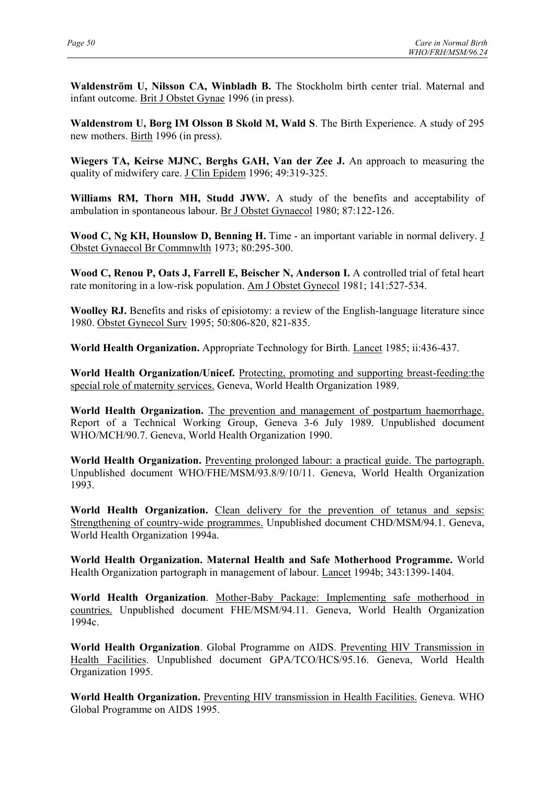Waldenström U, Nilsson CA, Winbladh B. The Stockholm birth center trial. Maternal and infant outcome. Brit J Obstet Gynae 1996 (in press).

**Waldenstrom U, Borg IM Olsson B Skold M, Wald S**. The Birth Experience. A study of 295 new mothers. Birth 1996 (in press).

**Wiegers TA, Keirse MJNC, Berghs GAH, Van der Zee J.** An approach to measuring the quality of midwifery care. J Clin Epidem 1996; 49:319-325.

Williams RM, Thorn MH, Studd JWW. A study of the benefits and acceptability of ambulation in spontaneous labour. Br J Obstet Gynaecol 1980; 87:122-126.

Wood C, Ng KH, Hounslow D, Benning H. Time - an important variable in normal delivery. J Obstet Gynaecol Br Commnwlth 1973; 80:295-300.

**Wood C, Renou P, Oats J, Farrell E, Beischer N, Anderson I.** A controlled trial of fetal heart rate monitoring in a low-risk population. Am J Obstet Gynecol 1981; 141:527-534.

**Woolley RJ.** Benefits and risks of episiotomy: a review of the English-language literature since 1980. Obstet Gynecol Surv 1995; 50:806-820, 821-835.

**World Health Organization.** Appropriate Technology for Birth. Lancet 1985; ii:436-437.

**World Health Organization/Unicef.** Protecting, promoting and supporting breast-feeding:the special role of maternity services. Geneva, World Health Organization 1989.

**World Health Organization.** The prevention and management of postpartum haemorrhage. Report of a Technical Working Group, Geneva 3-6 July 1989. Unpublished document WHO/MCH/90.7. Geneva, World Health Organization 1990.

World Health Organization. Preventing prolonged labour: a practical guide. The partograph. Unpublished document WHO/FHE/MSM/93.8/9/10/11. Geneva, World Health Organization 1993.

**World Health Organization.** Clean delivery for the prevention of tetanus and sepsis: Strengthening of country-wide programmes. Unpublished document CHD/MSM/94.1. Geneva, World Health Organization 1994a.

**World Health Organization. Maternal Health and Safe Motherhood Programme.** World Health Organization partograph in management of labour. Lancet 1994b; 343:1399-1404.

**World Health Organization**. Mother-Baby Package: Implementing safe motherhood in countries. Unpublished document FHE/MSM/94.11. Geneva, World Health Organization 1994c.

**World Health Organization**. Global Programme on AIDS. Preventing HIV Transmission in Health Facilities. Unpublished document GPA/TCO/HCS/95.16. Geneva, World Health Organization 1995.

**World Health Organization.** Preventing HIV transmission in Health Facilities. Geneva. WHO Global Programme on AIDS 1995.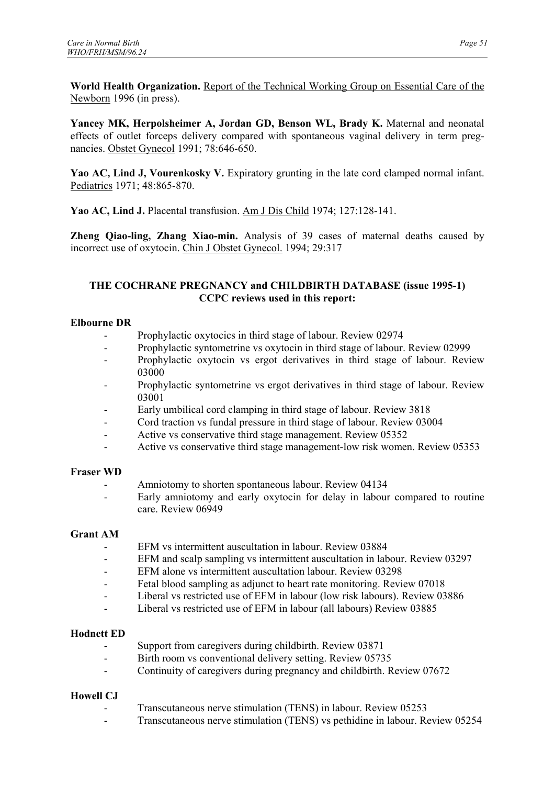**World Health Organization.** Report of the Technical Working Group on Essential Care of the Newborn 1996 (in press).

**Yancey MK, Herpolsheimer A, Jordan GD, Benson WL, Brady K.** Maternal and neonatal effects of outlet forceps delivery compared with spontaneous vaginal delivery in term pregnancies. Obstet Gynecol 1991; 78:646-650.

**Yao AC, Lind J, Vourenkosky V.** Expiratory grunting in the late cord clamped normal infant. Pediatrics 1971; 48:865-870.

**Yao AC, Lind J.** Placental transfusion. Am J Dis Child 1974; 127:128-141.

**Zheng Qiao-ling, Zhang Xiao-min.** Analysis of 39 cases of maternal deaths caused by incorrect use of oxytocin. Chin J Obstet Gynecol. 1994; 29:317

## **THE COCHRANE PREGNANCY and CHILDBIRTH DATABASE (issue 1995-1) CCPC reviews used in this report:**

#### **Elbourne DR**

- Prophylactic oxytocics in third stage of labour. Review 02974
- Prophylactic syntometrine vs oxytocin in third stage of labour. Review 02999
- Prophylactic oxytocin vs ergot derivatives in third stage of labour. Review 03000
- Prophylactic syntometrine vs ergot derivatives in third stage of labour. Review 03001
- Early umbilical cord clamping in third stage of labour. Review 3818
- Cord traction vs fundal pressure in third stage of labour. Review 03004
- Active vs conservative third stage management. Review 05352
- Active vs conservative third stage management-low risk women. Review 05353

### **Fraser WD**

- Amniotomy to shorten spontaneous labour. Review 04134
- Early amniotomy and early oxytocin for delay in labour compared to routine care. Review 06949

### **Grant AM**

- EFM vs intermittent auscultation in labour. Review 03884
- EFM and scalp sampling vs intermittent auscultation in labour. Review 03297
- EFM alone vs intermittent auscultation labour. Review 03298
- Fetal blood sampling as adjunct to heart rate monitoring. Review 07018
- Liberal vs restricted use of EFM in labour (low risk labours). Review 03886
- Liberal vs restricted use of EFM in labour (all labours) Review 03885

### **Hodnett ED**

- Support from caregivers during childbirth. Review 03871
- Birth room vs conventional delivery setting. Review 05735
- Continuity of caregivers during pregnancy and childbirth. Review 07672

### **Howell CJ**

- Transcutaneous nerve stimulation (TENS) in labour. Review 05253
- Transcutaneous nerve stimulation (TENS) vs pethidine in labour. Review 05254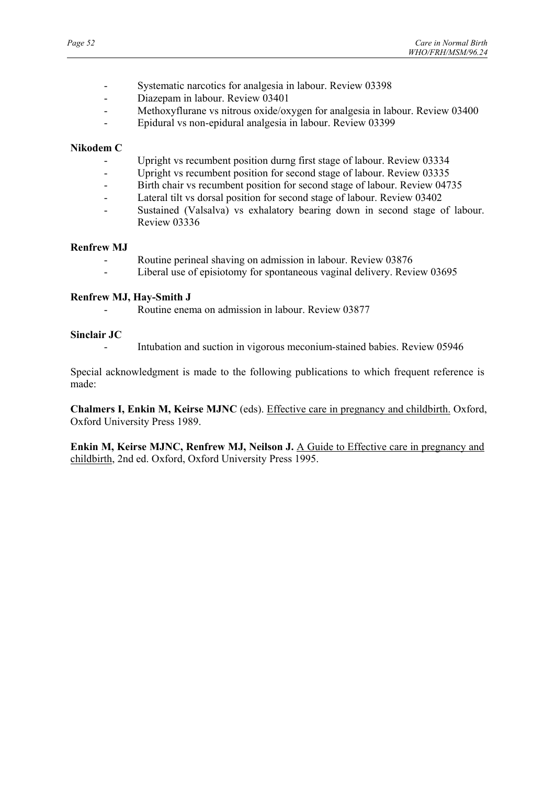- Systematic narcotics for analgesia in labour. Review 03398
- Diazepam in labour. Review 03401
- Methoxyflurane vs nitrous oxide/oxygen for analgesia in labour. Review 03400
- Epidural vs non-epidural analgesia in labour. Review 03399

## **Nikodem C**

- Upright vs recumbent position durng first stage of labour. Review 03334
- Upright vs recumbent position for second stage of labour. Review 03335
- Birth chair vs recumbent position for second stage of labour. Review 04735
- Lateral tilt vs dorsal position for second stage of labour. Review 03402
- Sustained (Valsalva) vs exhalatory bearing down in second stage of labour. Review 03336

### **Renfrew MJ**

- Routine perineal shaving on admission in labour. Review 03876
- Liberal use of episiotomy for spontaneous vaginal delivery. Review 03695

### **Renfrew MJ, Hay-Smith J**

Routine enema on admission in labour. Review 03877

#### **Sinclair JC**

- Intubation and suction in vigorous meconium-stained babies. Review 05946

Special acknowledgment is made to the following publications to which frequent reference is made:

**Chalmers I, Enkin M, Keirse MJNC** (eds). Effective care in pregnancy and childbirth. Oxford, Oxford University Press 1989.

**Enkin M, Keirse MJNC, Renfrew MJ, Neilson J.** A Guide to Effective care in pregnancy and childbirth, 2nd ed. Oxford, Oxford University Press 1995.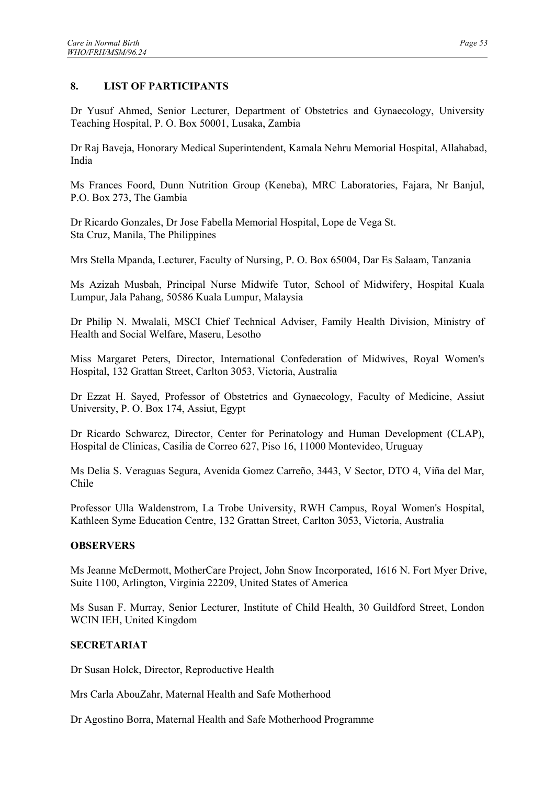# **8. LIST OF PARTICIPANTS**

Dr Yusuf Ahmed, Senior Lecturer, Department of Obstetrics and Gynaecology, University Teaching Hospital, P. O. Box 50001, Lusaka, Zambia

Dr Raj Baveja, Honorary Medical Superintendent, Kamala Nehru Memorial Hospital, Allahabad, India

Ms Frances Foord, Dunn Nutrition Group (Keneba), MRC Laboratories, Fajara, Nr Banjul, P.O. Box 273, The Gambia

Dr Ricardo Gonzales, Dr Jose Fabella Memorial Hospital, Lope de Vega St. Sta Cruz, Manila, The Philippines

Mrs Stella Mpanda, Lecturer, Faculty of Nursing, P. O. Box 65004, Dar Es Salaam, Tanzania

Ms Azizah Musbah, Principal Nurse Midwife Tutor, School of Midwifery, Hospital Kuala Lumpur, Jala Pahang, 50586 Kuala Lumpur, Malaysia

Dr Philip N. Mwalali, MSCI Chief Technical Adviser, Family Health Division, Ministry of Health and Social Welfare, Maseru, Lesotho

Miss Margaret Peters, Director, International Confederation of Midwives, Royal Women's Hospital, 132 Grattan Street, Carlton 3053, Victoria, Australia

Dr Ezzat H. Sayed, Professor of Obstetrics and Gynaecology, Faculty of Medicine, Assiut University, P. O. Box 174, Assiut, Egypt

Dr Ricardo Schwarcz, Director, Center for Perinatology and Human Development (CLAP), Hospital de Clinicas, Casilia de Correo 627, Piso 16, 11000 Montevideo, Uruguay

Ms Delia S. Veraguas Segura, Avenida Gomez Carreño, 3443, V Sector, DTO 4, Viña del Mar, Chile

Professor Ulla Waldenstrom, La Trobe University, RWH Campus, Royal Women's Hospital, Kathleen Syme Education Centre, 132 Grattan Street, Carlton 3053, Victoria, Australia

## **OBSERVERS**

Ms Jeanne McDermott, MotherCare Project, John Snow Incorporated, 1616 N. Fort Myer Drive, Suite 1100, Arlington, Virginia 22209, United States of America

Ms Susan F. Murray, Senior Lecturer, Institute of Child Health, 30 Guildford Street, London WCIN IEH, United Kingdom

## **SECRETARIAT**

Dr Susan Holck, Director, Reproductive Health

Mrs Carla AbouZahr, Maternal Health and Safe Motherhood

Dr Agostino Borra, Maternal Health and Safe Motherhood Programme